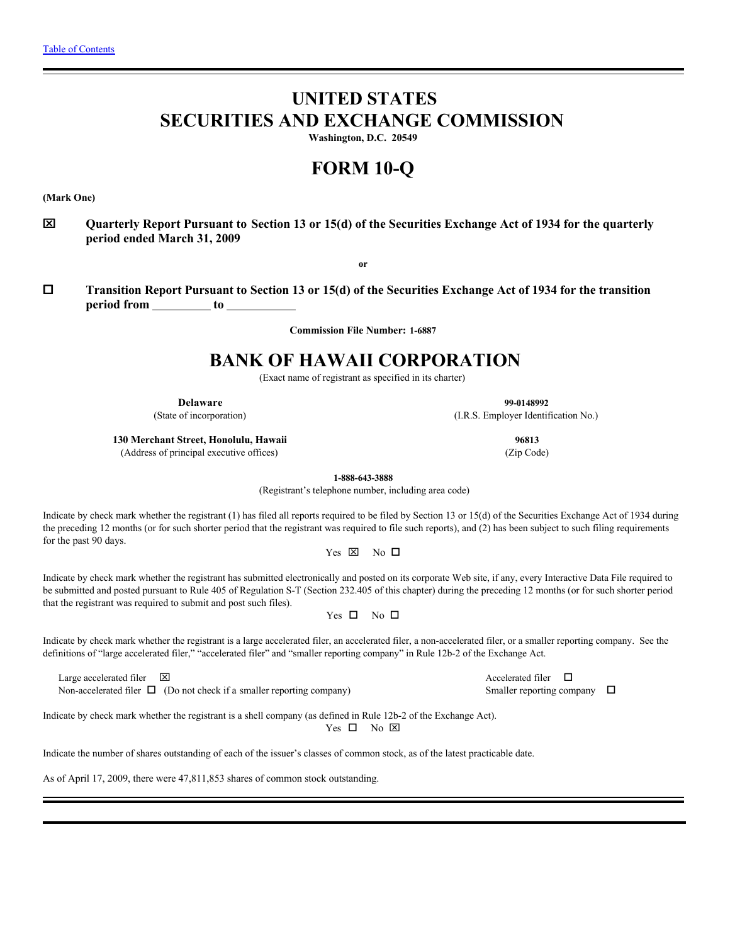# **UNITED STATES SECURITIES AND EXCHANGE COMMISSION**

**Washington, D.C. 20549**

# **FORM 10-Q**

**(Mark One)**

x **Quarterly Report Pursuant to Section 13 or 15(d) of the Securities Exchange Act of 1934 for the quarterly period ended March 31, 2009**

**or**

o **Transition Report Pursuant to Section 13 or 15(d) of the Securities Exchange Act of 1934 for the transition period from \_\_\_\_\_\_\_\_\_\_\_\_ to \_\_\_\_\_\_\_\_\_\_\_** 

**Commission File Number: 1-6887**

# **BANK OF HAWAII CORPORATION**

(Exact name of registrant as specified in its charter)

**Delaware 99-0148992**

(State of incorporation) (I.R.S. Employer Identification No.)

**130 Merchant Street, Honolulu, Hawaii 96813**

(Address of principal executive offices) (Zip Code)

**1-888-643-3888**

(Registrant's telephone number, including area code)

Indicate by check mark whether the registrant (1) has filed all reports required to be filed by Section 13 or 15(d) of the Securities Exchange Act of 1934 during the preceding 12 months (or for such shorter period that the registrant was required to file such reports), and (2) has been subject to such filing requirements for the past 90 days.

Yes  $\boxtimes$  No  $\square$ 

Indicate by check mark whether the registrant has submitted electronically and posted on its corporate Web site, if any, every Interactive Data File required to be submitted and posted pursuant to Rule 405 of Regulation S-T (Section 232.405 of this chapter) during the preceding 12 months (or for such shorter period that the registrant was required to submit and post such files).

Yes  $\square$  No  $\square$ 

Indicate by check mark whether the registrant is a large accelerated filer, an accelerated filer, a non-accelerated filer, or a smaller reporting company. See the definitions of "large accelerated filer," "accelerated filer" and "smaller reporting company" in Rule 12b-2 of the Exchange Act.

Large accelerated filer  $\boxtimes$ Non-accelerated filer  $\Box$  (Do not check if a smaller reporting company) Smaller reporting company  $\Box$ 

Indicate by check mark whether the registrant is a shell company (as defined in Rule 12b-2 of the Exchange Act).

Yes  $\square$  No  $\overline{\times}$ 

Indicate the number of shares outstanding of each of the issuer's classes of common stock, as of the latest practicable date.

As of April 17, 2009, there were 47,811,853 shares of common stock outstanding.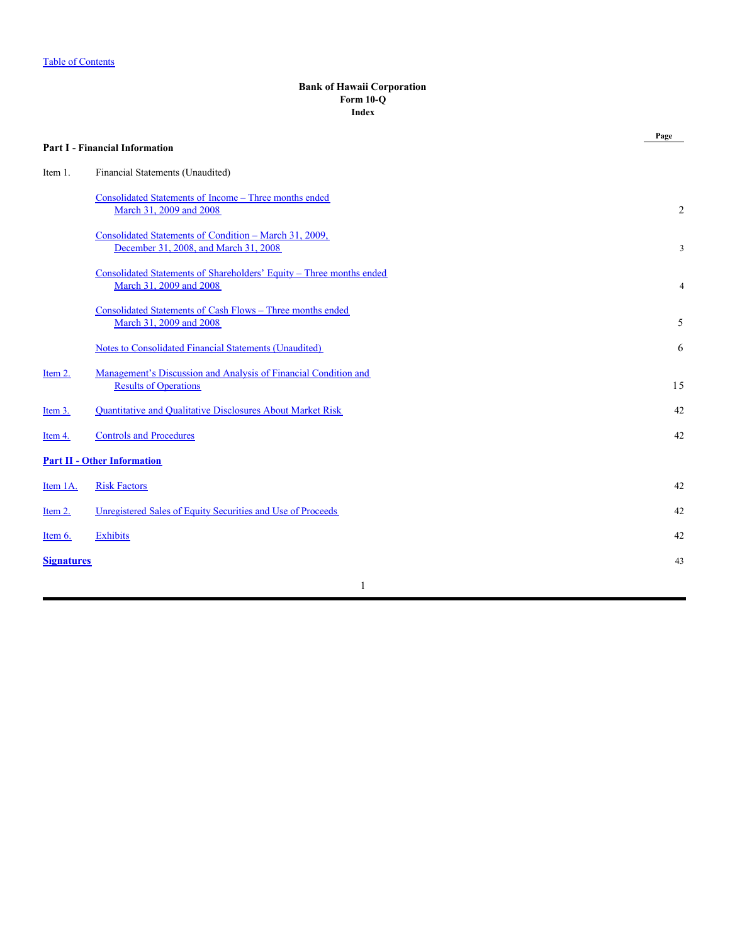# **Bank of Hawaii Corporation Form 10-Q Index**

<span id="page-1-0"></span>

|                   | Part I - Financial Information                                                                  | Page           |
|-------------------|-------------------------------------------------------------------------------------------------|----------------|
| Item 1.           | Financial Statements (Unaudited)                                                                |                |
|                   | Consolidated Statements of Income - Three months ended<br>March 31, 2009 and 2008               | $\overline{2}$ |
|                   | Consolidated Statements of Condition - March 31, 2009,<br>December 31, 2008, and March 31, 2008 | 3              |
|                   | Consolidated Statements of Shareholders' Equity - Three months ended<br>March 31, 2009 and 2008 | $\overline{4}$ |
|                   | Consolidated Statements of Cash Flows - Three months ended<br>March 31, 2009 and 2008           | 5              |
|                   | Notes to Consolidated Financial Statements (Unaudited)                                          | 6              |
| Item 2.           | Management's Discussion and Analysis of Financial Condition and<br><b>Results of Operations</b> | 15             |
| Item 3.           | Quantitative and Qualitative Disclosures About Market Risk                                      | 42             |
| Item 4.           | <b>Controls and Procedures</b>                                                                  | 42             |
|                   | <b>Part II - Other Information</b>                                                              |                |
| Item 1A.          | <b>Risk Factors</b>                                                                             | 42             |
| Item $2.$         | Unregistered Sales of Equity Securities and Use of Proceeds                                     | 42             |
| Item $6.$         | <b>Exhibits</b>                                                                                 | 42             |
| <b>Signatures</b> |                                                                                                 | 43             |

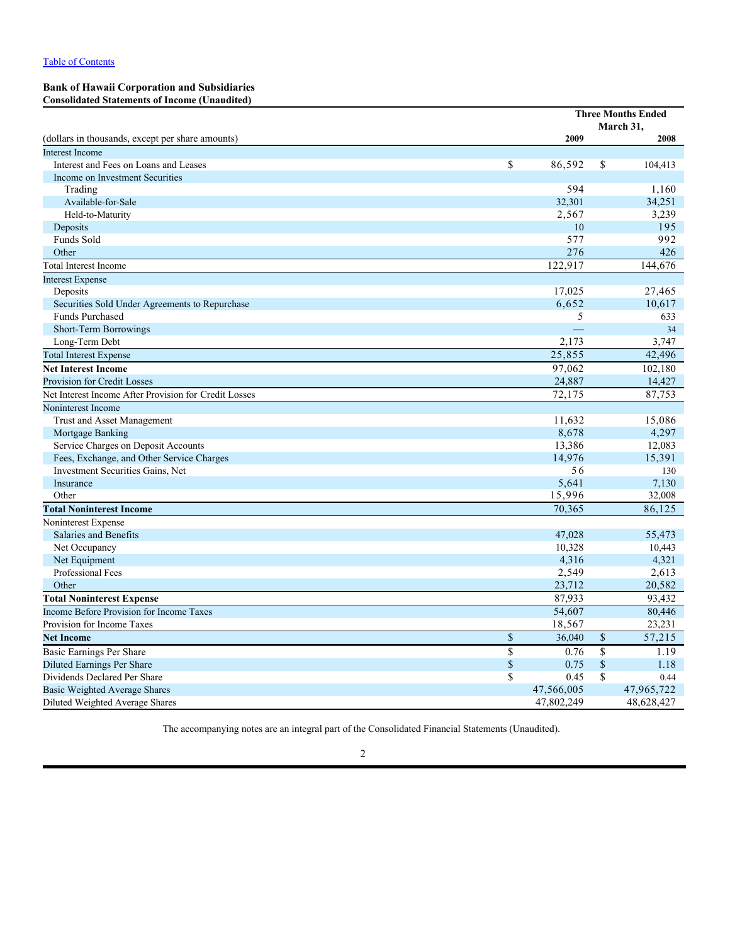# <span id="page-2-0"></span>**Bank of Hawaii Corporation and Subsidiaries Consolidated Statements of Income (Unaudited)**

| March 31,<br>2009<br>2008<br>\$<br>86,592<br>\$<br>Interest and Fees on Loans and Leases<br>104,413<br>Income on Investment Securities<br>594<br>1.160<br>Trading<br>32,301<br>34,251<br>Available-for-Sale<br>2,567<br>3,239<br>Held-to-Maturity<br>195<br>Deposits<br>10<br><b>Funds Sold</b><br>577<br>992<br>276<br>426<br>Other<br>122,917<br>144,676<br>17,025<br>27,465<br>Deposits<br>6,652<br>Securities Sold Under Agreements to Repurchase<br>10,617<br>5<br><b>Funds Purchased</b><br>633<br>Short-Term Borrowings<br>34<br>2,173<br>3,747<br>Long-Term Debt<br>25,855<br>42,496<br>97.062<br>102,180<br>24,887<br>14,427<br>72,175<br>87,753<br>15.086<br>Trust and Asset Management<br>11,632<br>8,678<br>4,297<br>Mortgage Banking<br>Service Charges on Deposit Accounts<br>13,386<br>12,083<br>15,391<br>Fees, Exchange, and Other Service Charges<br>14,976<br>56<br>Investment Securities Gains, Net<br>130<br>5,641<br><b>Insurance</b><br>7,130<br>15,996<br>Other<br>32,008<br>70,365<br>86,125<br>Noninterest Expense<br>Salaries and Benefits<br>47,028<br>55,473<br>10,328<br>10,443<br>Net Occupancy<br>4,316<br>4,321<br>Net Equipment<br>Professional Fees<br>2,549<br>2,613<br>23,712<br>20,582<br>Other<br>87,933<br>93,432<br><b>Total Noninterest Expense</b><br>54,607<br>80,446<br>Income Before Provision for Income Taxes<br>18,567<br>23,231<br>Provision for Income Taxes<br>\$<br>\$<br>57,215<br>36,040<br>$\overline{\mathbb{S}}$<br>$\overline{\mathbb{S}}$<br>0.76<br>Basic Earnings Per Share<br>1.19<br>\$<br>\$<br><b>Diluted Earnings Per Share</b><br>0.75<br>1.18<br>\$<br>\$<br>0.45<br>Dividends Declared Per Share<br>0.44<br>47,566,005<br>47,965,722<br><b>Basic Weighted Average Shares</b><br>47,802,249 |                                                       | <b>Three Months Ended</b> |  |  |            |  |  |
|------------------------------------------------------------------------------------------------------------------------------------------------------------------------------------------------------------------------------------------------------------------------------------------------------------------------------------------------------------------------------------------------------------------------------------------------------------------------------------------------------------------------------------------------------------------------------------------------------------------------------------------------------------------------------------------------------------------------------------------------------------------------------------------------------------------------------------------------------------------------------------------------------------------------------------------------------------------------------------------------------------------------------------------------------------------------------------------------------------------------------------------------------------------------------------------------------------------------------------------------------------------------------------------------------------------------------------------------------------------------------------------------------------------------------------------------------------------------------------------------------------------------------------------------------------------------------------------------------------------------------------------------------------------------------------------------------------------------------------------------------------------|-------------------------------------------------------|---------------------------|--|--|------------|--|--|
|                                                                                                                                                                                                                                                                                                                                                                                                                                                                                                                                                                                                                                                                                                                                                                                                                                                                                                                                                                                                                                                                                                                                                                                                                                                                                                                                                                                                                                                                                                                                                                                                                                                                                                                                                                  |                                                       |                           |  |  |            |  |  |
|                                                                                                                                                                                                                                                                                                                                                                                                                                                                                                                                                                                                                                                                                                                                                                                                                                                                                                                                                                                                                                                                                                                                                                                                                                                                                                                                                                                                                                                                                                                                                                                                                                                                                                                                                                  | (dollars in thousands, except per share amounts)      |                           |  |  |            |  |  |
|                                                                                                                                                                                                                                                                                                                                                                                                                                                                                                                                                                                                                                                                                                                                                                                                                                                                                                                                                                                                                                                                                                                                                                                                                                                                                                                                                                                                                                                                                                                                                                                                                                                                                                                                                                  | <b>Interest Income</b>                                |                           |  |  |            |  |  |
|                                                                                                                                                                                                                                                                                                                                                                                                                                                                                                                                                                                                                                                                                                                                                                                                                                                                                                                                                                                                                                                                                                                                                                                                                                                                                                                                                                                                                                                                                                                                                                                                                                                                                                                                                                  |                                                       |                           |  |  |            |  |  |
|                                                                                                                                                                                                                                                                                                                                                                                                                                                                                                                                                                                                                                                                                                                                                                                                                                                                                                                                                                                                                                                                                                                                                                                                                                                                                                                                                                                                                                                                                                                                                                                                                                                                                                                                                                  |                                                       |                           |  |  |            |  |  |
|                                                                                                                                                                                                                                                                                                                                                                                                                                                                                                                                                                                                                                                                                                                                                                                                                                                                                                                                                                                                                                                                                                                                                                                                                                                                                                                                                                                                                                                                                                                                                                                                                                                                                                                                                                  |                                                       |                           |  |  |            |  |  |
|                                                                                                                                                                                                                                                                                                                                                                                                                                                                                                                                                                                                                                                                                                                                                                                                                                                                                                                                                                                                                                                                                                                                                                                                                                                                                                                                                                                                                                                                                                                                                                                                                                                                                                                                                                  |                                                       |                           |  |  |            |  |  |
|                                                                                                                                                                                                                                                                                                                                                                                                                                                                                                                                                                                                                                                                                                                                                                                                                                                                                                                                                                                                                                                                                                                                                                                                                                                                                                                                                                                                                                                                                                                                                                                                                                                                                                                                                                  |                                                       |                           |  |  |            |  |  |
|                                                                                                                                                                                                                                                                                                                                                                                                                                                                                                                                                                                                                                                                                                                                                                                                                                                                                                                                                                                                                                                                                                                                                                                                                                                                                                                                                                                                                                                                                                                                                                                                                                                                                                                                                                  |                                                       |                           |  |  |            |  |  |
|                                                                                                                                                                                                                                                                                                                                                                                                                                                                                                                                                                                                                                                                                                                                                                                                                                                                                                                                                                                                                                                                                                                                                                                                                                                                                                                                                                                                                                                                                                                                                                                                                                                                                                                                                                  |                                                       |                           |  |  |            |  |  |
|                                                                                                                                                                                                                                                                                                                                                                                                                                                                                                                                                                                                                                                                                                                                                                                                                                                                                                                                                                                                                                                                                                                                                                                                                                                                                                                                                                                                                                                                                                                                                                                                                                                                                                                                                                  |                                                       |                           |  |  |            |  |  |
|                                                                                                                                                                                                                                                                                                                                                                                                                                                                                                                                                                                                                                                                                                                                                                                                                                                                                                                                                                                                                                                                                                                                                                                                                                                                                                                                                                                                                                                                                                                                                                                                                                                                                                                                                                  | <b>Total Interest Income</b>                          |                           |  |  |            |  |  |
|                                                                                                                                                                                                                                                                                                                                                                                                                                                                                                                                                                                                                                                                                                                                                                                                                                                                                                                                                                                                                                                                                                                                                                                                                                                                                                                                                                                                                                                                                                                                                                                                                                                                                                                                                                  | <b>Interest Expense</b>                               |                           |  |  |            |  |  |
|                                                                                                                                                                                                                                                                                                                                                                                                                                                                                                                                                                                                                                                                                                                                                                                                                                                                                                                                                                                                                                                                                                                                                                                                                                                                                                                                                                                                                                                                                                                                                                                                                                                                                                                                                                  |                                                       |                           |  |  |            |  |  |
|                                                                                                                                                                                                                                                                                                                                                                                                                                                                                                                                                                                                                                                                                                                                                                                                                                                                                                                                                                                                                                                                                                                                                                                                                                                                                                                                                                                                                                                                                                                                                                                                                                                                                                                                                                  |                                                       |                           |  |  |            |  |  |
|                                                                                                                                                                                                                                                                                                                                                                                                                                                                                                                                                                                                                                                                                                                                                                                                                                                                                                                                                                                                                                                                                                                                                                                                                                                                                                                                                                                                                                                                                                                                                                                                                                                                                                                                                                  |                                                       |                           |  |  |            |  |  |
|                                                                                                                                                                                                                                                                                                                                                                                                                                                                                                                                                                                                                                                                                                                                                                                                                                                                                                                                                                                                                                                                                                                                                                                                                                                                                                                                                                                                                                                                                                                                                                                                                                                                                                                                                                  |                                                       |                           |  |  |            |  |  |
|                                                                                                                                                                                                                                                                                                                                                                                                                                                                                                                                                                                                                                                                                                                                                                                                                                                                                                                                                                                                                                                                                                                                                                                                                                                                                                                                                                                                                                                                                                                                                                                                                                                                                                                                                                  |                                                       |                           |  |  |            |  |  |
|                                                                                                                                                                                                                                                                                                                                                                                                                                                                                                                                                                                                                                                                                                                                                                                                                                                                                                                                                                                                                                                                                                                                                                                                                                                                                                                                                                                                                                                                                                                                                                                                                                                                                                                                                                  | <b>Total Interest Expense</b>                         |                           |  |  |            |  |  |
|                                                                                                                                                                                                                                                                                                                                                                                                                                                                                                                                                                                                                                                                                                                                                                                                                                                                                                                                                                                                                                                                                                                                                                                                                                                                                                                                                                                                                                                                                                                                                                                                                                                                                                                                                                  | <b>Net Interest Income</b>                            |                           |  |  |            |  |  |
|                                                                                                                                                                                                                                                                                                                                                                                                                                                                                                                                                                                                                                                                                                                                                                                                                                                                                                                                                                                                                                                                                                                                                                                                                                                                                                                                                                                                                                                                                                                                                                                                                                                                                                                                                                  | Provision for Credit Losses                           |                           |  |  |            |  |  |
|                                                                                                                                                                                                                                                                                                                                                                                                                                                                                                                                                                                                                                                                                                                                                                                                                                                                                                                                                                                                                                                                                                                                                                                                                                                                                                                                                                                                                                                                                                                                                                                                                                                                                                                                                                  | Net Interest Income After Provision for Credit Losses |                           |  |  |            |  |  |
|                                                                                                                                                                                                                                                                                                                                                                                                                                                                                                                                                                                                                                                                                                                                                                                                                                                                                                                                                                                                                                                                                                                                                                                                                                                                                                                                                                                                                                                                                                                                                                                                                                                                                                                                                                  | Noninterest Income                                    |                           |  |  |            |  |  |
|                                                                                                                                                                                                                                                                                                                                                                                                                                                                                                                                                                                                                                                                                                                                                                                                                                                                                                                                                                                                                                                                                                                                                                                                                                                                                                                                                                                                                                                                                                                                                                                                                                                                                                                                                                  |                                                       |                           |  |  |            |  |  |
|                                                                                                                                                                                                                                                                                                                                                                                                                                                                                                                                                                                                                                                                                                                                                                                                                                                                                                                                                                                                                                                                                                                                                                                                                                                                                                                                                                                                                                                                                                                                                                                                                                                                                                                                                                  |                                                       |                           |  |  |            |  |  |
|                                                                                                                                                                                                                                                                                                                                                                                                                                                                                                                                                                                                                                                                                                                                                                                                                                                                                                                                                                                                                                                                                                                                                                                                                                                                                                                                                                                                                                                                                                                                                                                                                                                                                                                                                                  |                                                       |                           |  |  |            |  |  |
|                                                                                                                                                                                                                                                                                                                                                                                                                                                                                                                                                                                                                                                                                                                                                                                                                                                                                                                                                                                                                                                                                                                                                                                                                                                                                                                                                                                                                                                                                                                                                                                                                                                                                                                                                                  |                                                       |                           |  |  |            |  |  |
|                                                                                                                                                                                                                                                                                                                                                                                                                                                                                                                                                                                                                                                                                                                                                                                                                                                                                                                                                                                                                                                                                                                                                                                                                                                                                                                                                                                                                                                                                                                                                                                                                                                                                                                                                                  |                                                       |                           |  |  |            |  |  |
|                                                                                                                                                                                                                                                                                                                                                                                                                                                                                                                                                                                                                                                                                                                                                                                                                                                                                                                                                                                                                                                                                                                                                                                                                                                                                                                                                                                                                                                                                                                                                                                                                                                                                                                                                                  |                                                       |                           |  |  |            |  |  |
|                                                                                                                                                                                                                                                                                                                                                                                                                                                                                                                                                                                                                                                                                                                                                                                                                                                                                                                                                                                                                                                                                                                                                                                                                                                                                                                                                                                                                                                                                                                                                                                                                                                                                                                                                                  |                                                       |                           |  |  |            |  |  |
|                                                                                                                                                                                                                                                                                                                                                                                                                                                                                                                                                                                                                                                                                                                                                                                                                                                                                                                                                                                                                                                                                                                                                                                                                                                                                                                                                                                                                                                                                                                                                                                                                                                                                                                                                                  | <b>Total Noninterest Income</b>                       |                           |  |  |            |  |  |
|                                                                                                                                                                                                                                                                                                                                                                                                                                                                                                                                                                                                                                                                                                                                                                                                                                                                                                                                                                                                                                                                                                                                                                                                                                                                                                                                                                                                                                                                                                                                                                                                                                                                                                                                                                  |                                                       |                           |  |  |            |  |  |
|                                                                                                                                                                                                                                                                                                                                                                                                                                                                                                                                                                                                                                                                                                                                                                                                                                                                                                                                                                                                                                                                                                                                                                                                                                                                                                                                                                                                                                                                                                                                                                                                                                                                                                                                                                  |                                                       |                           |  |  |            |  |  |
|                                                                                                                                                                                                                                                                                                                                                                                                                                                                                                                                                                                                                                                                                                                                                                                                                                                                                                                                                                                                                                                                                                                                                                                                                                                                                                                                                                                                                                                                                                                                                                                                                                                                                                                                                                  |                                                       |                           |  |  |            |  |  |
|                                                                                                                                                                                                                                                                                                                                                                                                                                                                                                                                                                                                                                                                                                                                                                                                                                                                                                                                                                                                                                                                                                                                                                                                                                                                                                                                                                                                                                                                                                                                                                                                                                                                                                                                                                  |                                                       |                           |  |  |            |  |  |
|                                                                                                                                                                                                                                                                                                                                                                                                                                                                                                                                                                                                                                                                                                                                                                                                                                                                                                                                                                                                                                                                                                                                                                                                                                                                                                                                                                                                                                                                                                                                                                                                                                                                                                                                                                  |                                                       |                           |  |  |            |  |  |
|                                                                                                                                                                                                                                                                                                                                                                                                                                                                                                                                                                                                                                                                                                                                                                                                                                                                                                                                                                                                                                                                                                                                                                                                                                                                                                                                                                                                                                                                                                                                                                                                                                                                                                                                                                  |                                                       |                           |  |  |            |  |  |
|                                                                                                                                                                                                                                                                                                                                                                                                                                                                                                                                                                                                                                                                                                                                                                                                                                                                                                                                                                                                                                                                                                                                                                                                                                                                                                                                                                                                                                                                                                                                                                                                                                                                                                                                                                  |                                                       |                           |  |  |            |  |  |
|                                                                                                                                                                                                                                                                                                                                                                                                                                                                                                                                                                                                                                                                                                                                                                                                                                                                                                                                                                                                                                                                                                                                                                                                                                                                                                                                                                                                                                                                                                                                                                                                                                                                                                                                                                  |                                                       |                           |  |  |            |  |  |
|                                                                                                                                                                                                                                                                                                                                                                                                                                                                                                                                                                                                                                                                                                                                                                                                                                                                                                                                                                                                                                                                                                                                                                                                                                                                                                                                                                                                                                                                                                                                                                                                                                                                                                                                                                  |                                                       |                           |  |  |            |  |  |
|                                                                                                                                                                                                                                                                                                                                                                                                                                                                                                                                                                                                                                                                                                                                                                                                                                                                                                                                                                                                                                                                                                                                                                                                                                                                                                                                                                                                                                                                                                                                                                                                                                                                                                                                                                  | <b>Net Income</b>                                     |                           |  |  |            |  |  |
|                                                                                                                                                                                                                                                                                                                                                                                                                                                                                                                                                                                                                                                                                                                                                                                                                                                                                                                                                                                                                                                                                                                                                                                                                                                                                                                                                                                                                                                                                                                                                                                                                                                                                                                                                                  |                                                       |                           |  |  |            |  |  |
|                                                                                                                                                                                                                                                                                                                                                                                                                                                                                                                                                                                                                                                                                                                                                                                                                                                                                                                                                                                                                                                                                                                                                                                                                                                                                                                                                                                                                                                                                                                                                                                                                                                                                                                                                                  |                                                       |                           |  |  |            |  |  |
|                                                                                                                                                                                                                                                                                                                                                                                                                                                                                                                                                                                                                                                                                                                                                                                                                                                                                                                                                                                                                                                                                                                                                                                                                                                                                                                                                                                                                                                                                                                                                                                                                                                                                                                                                                  |                                                       |                           |  |  |            |  |  |
|                                                                                                                                                                                                                                                                                                                                                                                                                                                                                                                                                                                                                                                                                                                                                                                                                                                                                                                                                                                                                                                                                                                                                                                                                                                                                                                                                                                                                                                                                                                                                                                                                                                                                                                                                                  |                                                       |                           |  |  |            |  |  |
|                                                                                                                                                                                                                                                                                                                                                                                                                                                                                                                                                                                                                                                                                                                                                                                                                                                                                                                                                                                                                                                                                                                                                                                                                                                                                                                                                                                                                                                                                                                                                                                                                                                                                                                                                                  | Diluted Weighted Average Shares                       |                           |  |  | 48,628,427 |  |  |

The accompanying notes are an integral part of the Consolidated Financial Statements (Unaudited).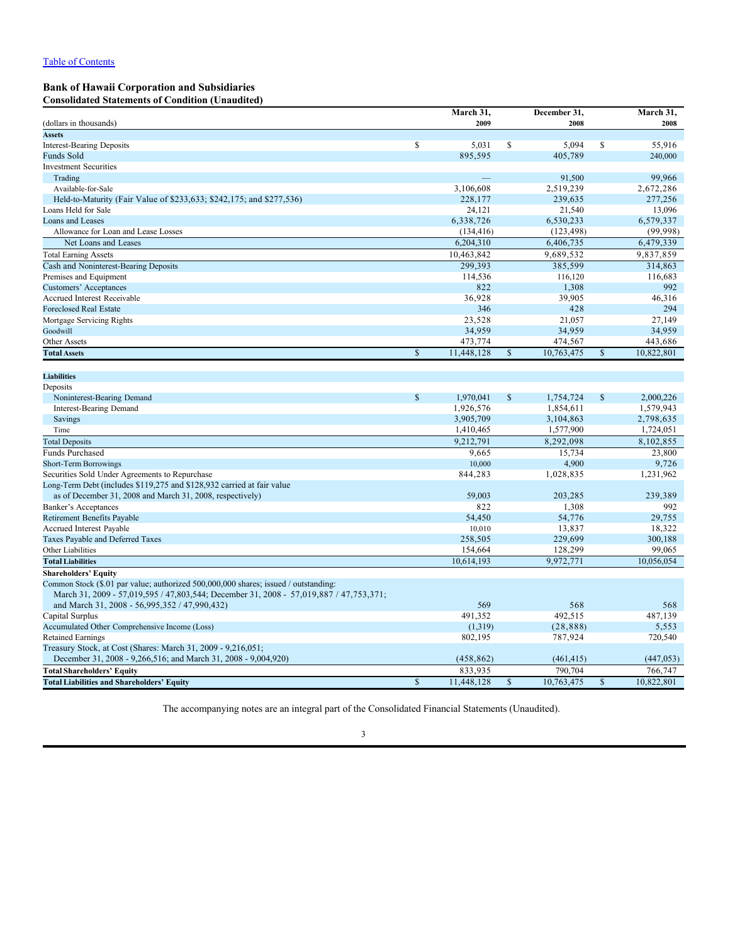# <span id="page-3-0"></span>**Bank of Hawaii Corporation and Subsidiaries Consolidated Statements of Condition (Unaudited)**

|                                                                                        |              | March 31,  |               | December 31, |               | March 31,  |
|----------------------------------------------------------------------------------------|--------------|------------|---------------|--------------|---------------|------------|
| (dollars in thousands)                                                                 |              | 2009       |               | 2008         |               | 2008       |
| <b>Assets</b>                                                                          |              |            |               |              |               |            |
| <b>Interest-Bearing Deposits</b>                                                       | \$           | 5,031      | <sup>\$</sup> | 5.094        | S             | 55,916     |
| <b>Funds Sold</b>                                                                      |              | 895,595    |               | 405.789      |               | 240,000    |
| <b>Investment Securities</b>                                                           |              |            |               |              |               |            |
| Trading                                                                                |              |            |               | 91.500       |               | 99.966     |
| Available-for-Sale                                                                     |              | 3,106,608  |               | 2,519,239    |               | 2,672,286  |
| Held-to-Maturity (Fair Value of \$233,633; \$242,175; and \$277,536)                   |              | 228,177    |               | 239,635      |               | 277,256    |
| Loans Held for Sale                                                                    |              | 24,121     |               | 21,540       |               | 13,096     |
| <b>Loans and Leases</b>                                                                |              | 6,338,726  |               | 6,530,233    |               | 6,579,337  |
| Allowance for Loan and Lease Losses                                                    |              | (134, 416) |               | (123, 498)   |               | (99, 998)  |
| Net Loans and Leases                                                                   |              | 6,204,310  |               | 6,406,735    |               | 6,479,339  |
| <b>Total Earning Assets</b>                                                            |              | 10,463,842 |               | 9,689,532    |               | 9,837,859  |
| Cash and Noninterest-Bearing Deposits                                                  |              | 299.393    |               | 385,599      |               | 314,863    |
| Premises and Equipment                                                                 |              | 114,536    |               | 116,120      |               | 116,683    |
| Customers' Acceptances                                                                 |              | 822        |               | 1,308        |               | 992        |
| Accrued Interest Receivable                                                            |              | 36,928     |               | 39,905       |               | 46,316     |
| <b>Foreclosed Real Estate</b>                                                          |              | 346        |               | 428          |               | 294        |
| Mortgage Servicing Rights                                                              |              | 23,528     |               | 21,057       |               | 27,149     |
| Goodwill                                                                               |              | 34,959     |               | 34,959       |               | 34,959     |
| Other Assets                                                                           |              | 473,774    |               | 474,567      |               | 443,686    |
| <b>Total Assets</b>                                                                    | $\mathbb{S}$ | 11,448,128 | $\mathbb{S}$  | 10,763,475   | $\mathcal{S}$ | 10,822,801 |
|                                                                                        |              |            |               |              |               |            |
| <b>Liabilities</b>                                                                     |              |            |               |              |               |            |
| Deposits                                                                               |              |            |               |              |               |            |
| Noninterest-Bearing Demand                                                             | $\mathbb{S}$ | 1,970,041  | $\mathbb{S}$  | 1,754,724    | \$            | 2,000,226  |
| <b>Interest-Bearing Demand</b>                                                         |              | 1,926,576  |               | 1,854,611    |               | 1,579,943  |
| Savings                                                                                |              | 3,905,709  |               | 3,104,863    |               | 2,798,635  |
| Time                                                                                   |              | 1,410,465  |               | 1,577,900    |               | 1,724,051  |
| <b>Total Deposits</b>                                                                  |              | 9,212,791  |               | 8,292,098    |               | 8,102,855  |
| <b>Funds Purchased</b>                                                                 |              | 9,665      |               | 15,734       |               | 23,800     |
| <b>Short-Term Borrowings</b>                                                           |              | 10,000     |               | 4,900        |               | 9,726      |
| Securities Sold Under Agreements to Repurchase                                         |              | 844,283    |               | 1,028,835    |               | 1,231,962  |
| Long-Term Debt (includes \$119,275 and \$128,932 carried at fair value                 |              |            |               |              |               |            |
|                                                                                        |              | 59,003     |               | 203.285      |               | 239,389    |
| as of December 31, 2008 and March 31, 2008, respectively)                              |              | 822        |               | 1,308        |               | 992        |
| Banker's Acceptances                                                                   |              | 54,450     |               | 54,776       |               | 29,755     |
| <b>Retirement Benefits Payable</b>                                                     |              | 10,010     |               | 13,837       |               | 18,322     |
| Accrued Interest Payable                                                               |              | 258,505    |               | 229,699      |               | 300,188    |
| Taxes Payable and Deferred Taxes                                                       |              |            |               | 128,299      |               | 99,065     |
| Other Liabilities                                                                      |              | 154,664    |               |              |               | 10,056,054 |
| <b>Total Liabilities</b>                                                               |              | 10,614,193 |               | 9,972,771    |               |            |
| <b>Shareholders' Equity</b>                                                            |              |            |               |              |               |            |
| Common Stock (\$.01 par value; authorized 500,000,000 shares; issued / outstanding:    |              |            |               |              |               |            |
| March 31, 2009 - 57,019,595 / 47,803,544; December 31, 2008 - 57,019,887 / 47,753,371; |              |            |               |              |               |            |
| and March 31, 2008 - 56,995,352 / 47,990,432)                                          |              | 569        |               | 568          |               | 568        |
| Capital Surplus                                                                        |              | 491,352    |               | 492,515      |               | 487,139    |
| Accumulated Other Comprehensive Income (Loss)                                          |              | (1,319)    |               | (28, 888)    |               | 5,553      |
| <b>Retained Earnings</b>                                                               |              | 802,195    |               | 787,924      |               | 720,540    |
| Treasury Stock, at Cost (Shares: March 31, 2009 - 9,216,051;                           |              |            |               |              |               |            |
| December 31, 2008 - 9,266,516; and March 31, 2008 - 9,004,920)                         |              | (458, 862) |               | (461, 415)   |               | (447, 053) |
| <b>Total Shareholders' Equity</b>                                                      |              | 833.935    |               | 790.704      |               | 766.747    |
| <b>Total Liabilities and Shareholders' Equity</b>                                      | $\mathbb S$  | 11,448,128 | $\$$          | 10,763,475   | $\mathbb{S}$  | 10,822,801 |

The accompanying notes are an integral part of the Consolidated Financial Statements (Unaudited).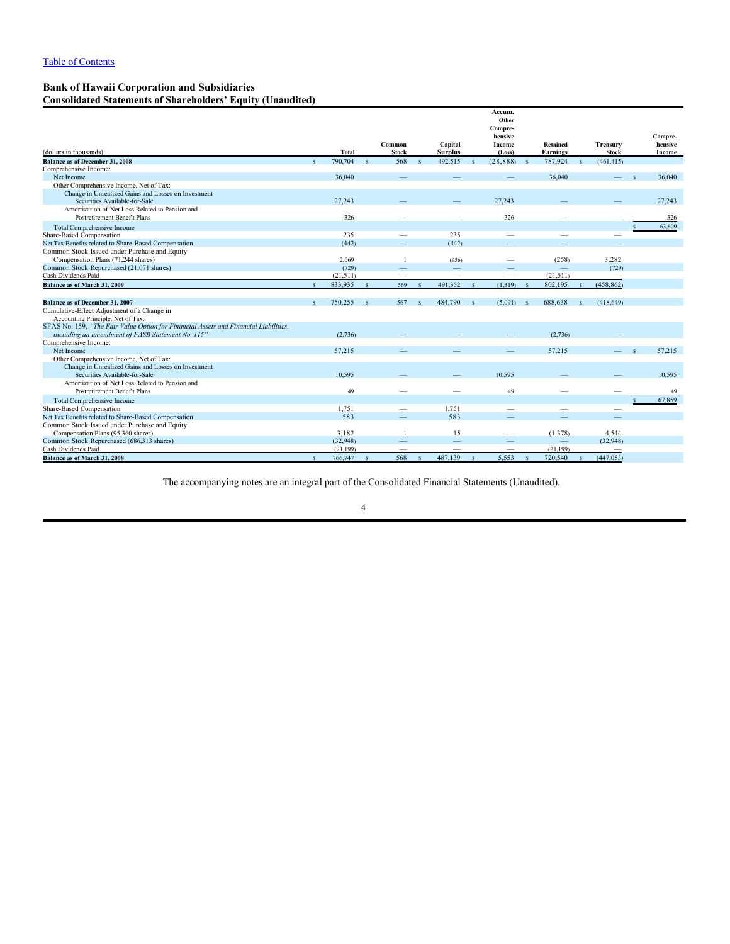### <span id="page-4-0"></span>**Bank of Hawaii Corporation and Subsidiaries**

**Consolidated Statements of Shareholders' Equity (Unaudited)**

|                                                                                      |              |           |              |                          |                    |                           |                    | Accum.<br>Other<br>Compre- |              |                             |              |                                 |                    |                   |
|--------------------------------------------------------------------------------------|--------------|-----------|--------------|--------------------------|--------------------|---------------------------|--------------------|----------------------------|--------------|-----------------------------|--------------|---------------------------------|--------------------|-------------------|
|                                                                                      |              |           |              |                          |                    |                           |                    | hensive                    |              |                             |              |                                 |                    | Compre-           |
| (dollars in thousands)                                                               |              | Total     |              | Common<br><b>Stock</b>   |                    | Capital<br><b>Surplus</b> |                    | Income<br>(Loss)           |              | <b>Retained</b><br>Earnings |              | <b>Treasury</b><br><b>Stock</b> |                    | hensive<br>Income |
| Balance as of December 31, 2008                                                      | $\mathbf{s}$ | 790,704   |              | 568                      | $\hat{\mathbf{z}}$ | 492,515                   |                    | $(28, 888)$ s              |              | 787,924                     | $\mathbf{s}$ | (461, 415)                      |                    |                   |
| Comprehensive Income:                                                                |              |           |              |                          |                    |                           |                    |                            |              |                             |              |                                 |                    |                   |
| Net Income                                                                           |              | 36,040    |              |                          |                    |                           |                    |                            |              | 36,040                      |              |                                 | $\mathbf{\hat{S}}$ | 36,040            |
| Other Comprehensive Income, Net of Tax:                                              |              |           |              |                          |                    |                           |                    |                            |              |                             |              |                                 |                    |                   |
| Change in Unrealized Gains and Losses on Investment                                  |              |           |              |                          |                    |                           |                    |                            |              |                             |              |                                 |                    |                   |
| Securities Available-for-Sale                                                        |              | 27,243    |              |                          |                    |                           |                    | 27,243                     |              |                             |              |                                 |                    | 27,243            |
| Amortization of Net Loss Related to Pension and                                      |              |           |              |                          |                    |                           |                    |                            |              |                             |              |                                 |                    |                   |
| Postretirement Benefit Plans                                                         |              | 326       |              |                          |                    |                           |                    | 326                        |              |                             |              |                                 |                    | 326               |
| <b>Total Comprehensive Income</b>                                                    |              |           |              |                          |                    |                           |                    |                            |              |                             |              |                                 |                    | 63,609            |
| Share-Based Compensation                                                             |              | 235       |              | $\overline{\phantom{0}}$ |                    | 235                       |                    | $\overline{\phantom{0}}$   |              | $\overline{\phantom{0}}$    |              |                                 |                    |                   |
| Net Tax Benefits related to Share-Based Compensation                                 |              | (442)     |              |                          |                    | (442)                     |                    |                            |              |                             |              |                                 |                    |                   |
| Common Stock Issued under Purchase and Equity                                        |              |           |              |                          |                    |                           |                    |                            |              |                             |              |                                 |                    |                   |
| Compensation Plans (71,244 shares)                                                   |              | 2,069     |              | $\overline{1}$           |                    | (956)                     |                    |                            |              | (258)                       |              | 3,282                           |                    |                   |
| Common Stock Repurchased (21,071 shares)                                             |              | (729)     |              |                          |                    |                           |                    |                            |              |                             |              | (729)                           |                    |                   |
| Cash Dividends Paid                                                                  |              | (21,511)  |              |                          |                    |                           |                    |                            |              | (21,511)                    |              |                                 |                    |                   |
| Balance as of March 31, 2009                                                         | $\mathbf{s}$ | 833.935   | $\mathbf{s}$ | 569                      | $\mathbf{\hat{S}}$ | 491.352                   | $\hat{\mathbf{z}}$ | (1,319)                    | $\mathbf{s}$ | 802,195                     | $\mathbf{s}$ | (458, 862)                      |                    |                   |
|                                                                                      |              |           |              |                          |                    |                           |                    |                            |              |                             |              |                                 |                    |                   |
| Balance as of December 31, 2007                                                      | $\mathbf{s}$ | 750,255   | $\sim$ S     | 567                      | $\mathbf{s}$       | 484,790                   | $\mathbf{s}$       | $(5,091)$ s                |              | 688,638                     | $\mathbf{s}$ | (418, 649)                      |                    |                   |
| Cumulative-Effect Adjustment of a Change in                                          |              |           |              |                          |                    |                           |                    |                            |              |                             |              |                                 |                    |                   |
| Accounting Principle, Net of Tax:                                                    |              |           |              |                          |                    |                           |                    |                            |              |                             |              |                                 |                    |                   |
| SFAS No. 159, "The Fair Value Option for Financial Assets and Financial Liabilities, |              |           |              |                          |                    |                           |                    |                            |              |                             |              |                                 |                    |                   |
| including an amendment of FASB Statement No. 115"                                    |              | (2,736)   |              |                          |                    |                           |                    |                            |              | (2,736)                     |              |                                 |                    |                   |
| Comprehensive Income:                                                                |              |           |              |                          |                    |                           |                    |                            |              |                             |              |                                 |                    |                   |
| Net Income                                                                           |              | 57,215    |              |                          |                    |                           |                    |                            |              | 57,215                      |              |                                 | $\mathbf{S}$       | 57.215            |
| Other Comprehensive Income, Net of Tax:                                              |              |           |              |                          |                    |                           |                    |                            |              |                             |              |                                 |                    |                   |
| Change in Unrealized Gains and Losses on Investment                                  |              |           |              |                          |                    |                           |                    |                            |              |                             |              |                                 |                    |                   |
| Securities Available-for-Sale                                                        |              | 10.595    |              |                          |                    |                           |                    | 10,595                     |              |                             |              |                                 |                    | 10,595            |
| Amortization of Net Loss Related to Pension and                                      |              |           |              |                          |                    |                           |                    |                            |              |                             |              |                                 |                    |                   |
| Postretirement Benefit Plans                                                         |              | 49        |              |                          |                    |                           |                    | 49                         |              |                             |              |                                 |                    | 49                |
| Total Comprehensive Income                                                           |              |           |              |                          |                    |                           |                    |                            |              |                             |              |                                 |                    | 67,859            |
| Share-Based Compensation                                                             |              | 1,751     |              |                          |                    | 1,751                     |                    |                            |              |                             |              |                                 |                    |                   |
| Net Tax Benefits related to Share-Based Compensation                                 |              | 583       |              |                          |                    | 583                       |                    |                            |              |                             |              |                                 |                    |                   |
| Common Stock Issued under Purchase and Equity                                        |              |           |              |                          |                    |                           |                    |                            |              |                             |              |                                 |                    |                   |
| Compensation Plans (95,360 shares)                                                   |              | 3,182     |              | $\overline{1}$           |                    | 15                        |                    |                            |              | (1,378)                     |              | 4,544                           |                    |                   |
| Common Stock Repurchased (686,313 shares)                                            |              | (32,948)  |              |                          |                    |                           |                    |                            |              |                             |              | (32,948)                        |                    |                   |
| Cash Dividends Paid                                                                  |              | (21, 199) |              |                          |                    | -                         |                    |                            |              | (21, 199)                   |              |                                 |                    |                   |
| Balance as of March 31, 2008                                                         | s.           | 766,747   | -S           | 568                      | $\hat{\mathbf{S}}$ | 487.139                   | $\mathbf{s}$       | 5,553                      | $\mathbf{s}$ | 720,540                     | $\mathbf{s}$ | (447, 053)                      |                    |                   |

The accompanying notes are an integral part of the Consolidated Financial Statements (Unaudited).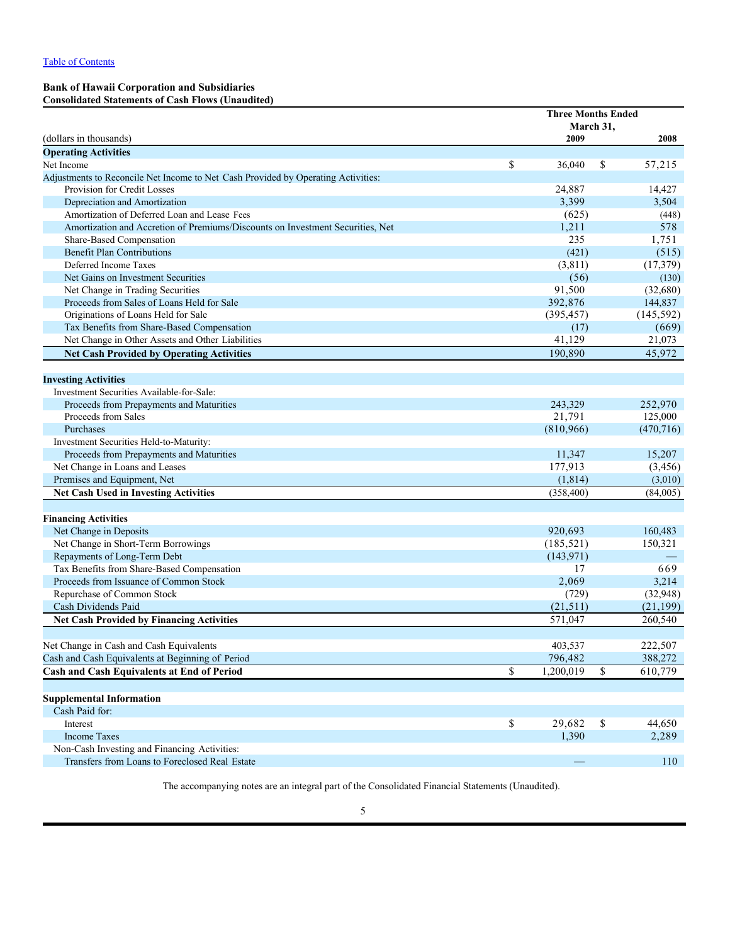# <span id="page-5-0"></span>**Bank of Hawaii Corporation and Subsidiaries Consolidated Statements of Cash Flows (Unaudited)**

|                                                                                   |    | <b>Three Months Ended</b> |    |            |  |  |  |  |  |
|-----------------------------------------------------------------------------------|----|---------------------------|----|------------|--|--|--|--|--|
|                                                                                   |    | March 31,                 |    |            |  |  |  |  |  |
| (dollars in thousands)                                                            |    | 2009                      |    | 2008       |  |  |  |  |  |
| <b>Operating Activities</b>                                                       |    |                           |    |            |  |  |  |  |  |
| Net Income                                                                        | \$ | 36,040                    | \$ | 57,215     |  |  |  |  |  |
| Adjustments to Reconcile Net Income to Net Cash Provided by Operating Activities: |    |                           |    |            |  |  |  |  |  |
| Provision for Credit Losses                                                       |    | 24,887                    |    | 14,427     |  |  |  |  |  |
| Depreciation and Amortization                                                     |    | 3,399                     |    | 3,504      |  |  |  |  |  |
| Amortization of Deferred Loan and Lease Fees                                      |    | (625)                     |    | (448)      |  |  |  |  |  |
| Amortization and Accretion of Premiums/Discounts on Investment Securities, Net    |    | 1,211                     |    | 578        |  |  |  |  |  |
| Share-Based Compensation                                                          |    | 235                       |    | 1,751      |  |  |  |  |  |
| <b>Benefit Plan Contributions</b>                                                 |    | (421)                     |    | (515)      |  |  |  |  |  |
| Deferred Income Taxes                                                             |    | (3,811)                   |    | (17,379)   |  |  |  |  |  |
| Net Gains on Investment Securities                                                |    | (56)                      |    | (130)      |  |  |  |  |  |
| Net Change in Trading Securities                                                  |    | 91,500                    |    | (32,680)   |  |  |  |  |  |
| Proceeds from Sales of Loans Held for Sale                                        |    | 392,876                   |    | 144,837    |  |  |  |  |  |
| Originations of Loans Held for Sale                                               |    | (395, 457)                |    | (145, 592) |  |  |  |  |  |
| Tax Benefits from Share-Based Compensation                                        |    | (17)                      |    | (669)      |  |  |  |  |  |
| Net Change in Other Assets and Other Liabilities                                  |    | 41,129                    |    | 21,073     |  |  |  |  |  |
| <b>Net Cash Provided by Operating Activities</b>                                  |    | 190.890                   |    | 45,972     |  |  |  |  |  |
|                                                                                   |    |                           |    |            |  |  |  |  |  |
| <b>Investing Activities</b>                                                       |    |                           |    |            |  |  |  |  |  |
| Investment Securities Available-for-Sale:                                         |    |                           |    |            |  |  |  |  |  |
| Proceeds from Prepayments and Maturities                                          |    | 243,329                   |    | 252,970    |  |  |  |  |  |
| Proceeds from Sales                                                               |    | 21,791                    |    | 125,000    |  |  |  |  |  |
| Purchases                                                                         |    | (810,966)                 |    | (470, 716) |  |  |  |  |  |
| Investment Securities Held-to-Maturity:                                           |    |                           |    |            |  |  |  |  |  |
| Proceeds from Prepayments and Maturities                                          |    | 11,347                    |    | 15,207     |  |  |  |  |  |
| Net Change in Loans and Leases                                                    |    | 177,913                   |    | (3, 456)   |  |  |  |  |  |
| Premises and Equipment, Net                                                       |    | (1, 814)                  |    | (3,010)    |  |  |  |  |  |
| <b>Net Cash Used in Investing Activities</b>                                      |    | (358, 400)                |    | (84,005)   |  |  |  |  |  |
|                                                                                   |    |                           |    |            |  |  |  |  |  |
| <b>Financing Activities</b>                                                       |    |                           |    |            |  |  |  |  |  |
| Net Change in Deposits                                                            |    | 920,693                   |    | 160,483    |  |  |  |  |  |
| Net Change in Short-Term Borrowings                                               |    | (185, 521)                |    | 150,321    |  |  |  |  |  |
| Repayments of Long-Term Debt                                                      |    | (143, 971)                |    |            |  |  |  |  |  |
| Tax Benefits from Share-Based Compensation                                        |    | 17                        |    | 669        |  |  |  |  |  |
| Proceeds from Issuance of Common Stock                                            |    | 2,069                     |    | 3,214      |  |  |  |  |  |
| Repurchase of Common Stock                                                        |    | (729)                     |    | (32, 948)  |  |  |  |  |  |
| Cash Dividends Paid                                                               |    | (21,511)                  |    | (21, 199)  |  |  |  |  |  |
| <b>Net Cash Provided by Financing Activities</b>                                  |    | 571,047                   |    | 260,540    |  |  |  |  |  |
|                                                                                   |    |                           |    |            |  |  |  |  |  |
| Net Change in Cash and Cash Equivalents                                           |    | 403,537                   |    | 222,507    |  |  |  |  |  |
| Cash and Cash Equivalents at Beginning of Period                                  |    | 796,482                   |    | 388,272    |  |  |  |  |  |
| Cash and Cash Equivalents at End of Period                                        | S  | 1,200,019                 | \$ | 610,779    |  |  |  |  |  |
|                                                                                   |    |                           |    |            |  |  |  |  |  |
| <b>Supplemental Information</b>                                                   |    |                           |    |            |  |  |  |  |  |
| Cash Paid for:                                                                    |    |                           |    |            |  |  |  |  |  |
| Interest                                                                          | \$ | 29,682                    | \$ | 44,650     |  |  |  |  |  |
| <b>Income Taxes</b>                                                               |    | 1,390                     |    | 2,289      |  |  |  |  |  |
| Non-Cash Investing and Financing Activities:                                      |    |                           |    |            |  |  |  |  |  |
| Transfers from Loans to Foreclosed Real Estate                                    |    |                           |    | 110        |  |  |  |  |  |
|                                                                                   |    |                           |    |            |  |  |  |  |  |

The accompanying notes are an integral part of the Consolidated Financial Statements (Unaudited).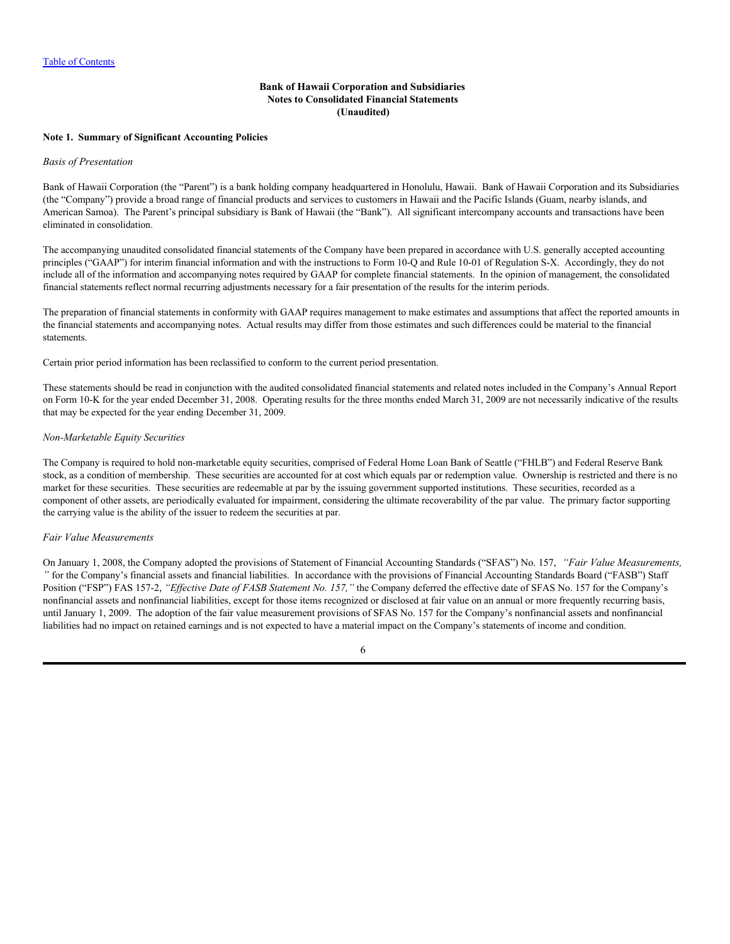# **Bank of Hawaii Corporation and Subsidiaries Notes to Consolidated Financial Statements (Unaudited)**

### <span id="page-6-0"></span>**Note 1. Summary of Significant Accounting Policies**

### *Basis of Presentation*

Bank of Hawaii Corporation (the "Parent") is a bank holding company headquartered in Honolulu, Hawaii. Bank of Hawaii Corporation and its Subsidiaries (the "Company") provide a broad range of financial products and services to customers in Hawaii and the Pacific Islands (Guam, nearby islands, and American Samoa). The Parent's principal subsidiary is Bank of Hawaii (the "Bank"). All significant intercompany accounts and transactions have been eliminated in consolidation.

The accompanying unaudited consolidated financial statements of the Company have been prepared in accordance with U.S. generally accepted accounting principles ("GAAP") for interim financial information and with the instructions to Form 10-Q and Rule 10-01 of Regulation S-X. Accordingly, they do not include all of the information and accompanying notes required by GAAP for complete financial statements. In the opinion of management, the consolidated financial statements reflect normal recurring adjustments necessary for a fair presentation of the results for the interim periods.

The preparation of financial statements in conformity with GAAP requires management to make estimates and assumptions that affect the reported amounts in the financial statements and accompanying notes. Actual results may differ from those estimates and such differences could be material to the financial statements.

Certain prior period information has been reclassified to conform to the current period presentation.

These statements should be read in conjunction with the audited consolidated financial statements and related notes included in the Company's Annual Report on Form 10-K for the year ended December 31, 2008. Operating results for the three months ended March 31, 2009 are not necessarily indicative of the results that may be expected for the year ending December 31, 2009.

### *Non-Marketable Equity Securities*

The Company is required to hold non-marketable equity securities, comprised of Federal Home Loan Bank of Seattle ("FHLB") and Federal Reserve Bank stock, as a condition of membership. These securities are accounted for at cost which equals par or redemption value. Ownership is restricted and there is no market for these securities. These securities are redeemable at par by the issuing government supported institutions. These securities, recorded as a component of other assets, are periodically evaluated for impairment, considering the ultimate recoverability of the par value. The primary factor supporting the carrying value is the ability of the issuer to redeem the securities at par.

### *Fair Value Measurements*

On January 1, 2008, the Company adopted the provisions of Statement of Financial Accounting Standards ("SFAS") No. 157, *"Fair Value Measurements, "* for the Company's financial assets and financial liabilities. In accordance with the provisions of Financial Accounting Standards Board ("FASB") Staff Position ("FSP") FAS 157-2, *"Effective Date of FASB Statement No. 157,"* the Company deferred the effective date of SFAS No. 157 for the Company's nonfinancial assets and nonfinancial liabilities, except for those items recognized or disclosed at fair value on an annual or more frequently recurring basis, until January 1, 2009. The adoption of the fair value measurement provisions of SFAS No. 157 for the Company's nonfinancial assets and nonfinancial liabilities had no impact on retained earnings and is not expected to have a material impact on the Company's statements of income and condition.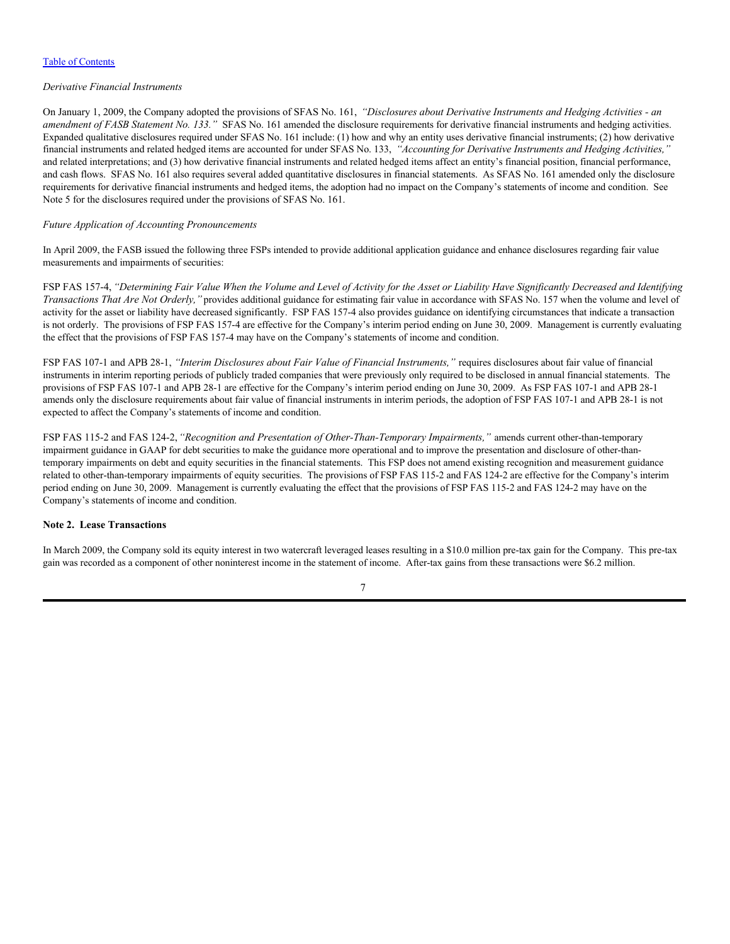## *Derivative Financial Instruments*

On January 1, 2009, the Company adopted the provisions of SFAS No. 161, *"Disclosures about Derivative Instruments and Hedging Activities - an amendment of FASB Statement No. 133."* SFAS No. 161 amended the disclosure requirements for derivative financial instruments and hedging activities. Expanded qualitative disclosures required under SFAS No. 161 include: (1) how and why an entity uses derivative financial instruments; (2) how derivative financial instruments and related hedged items are accounted for under SFAS No. 133, *"Accounting for Derivative Instruments and Hedging Activities,"* and related interpretations; and (3) how derivative financial instruments and related hedged items affect an entity's financial position, financial performance, and cash flows. SFAS No. 161 also requires several added quantitative disclosures in financial statements. As SFAS No. 161 amended only the disclosure requirements for derivative financial instruments and hedged items, the adoption had no impact on the Company's statements of income and condition. See Note 5 for the disclosures required under the provisions of SFAS No. 161.

## *Future Application of Accounting Pronouncements*

In April 2009, the FASB issued the following three FSPs intended to provide additional application guidance and enhance disclosures regarding fair value measurements and impairments of securities:

FSP FAS 157-4, *"Determining Fair Value When the Volume and Level of Activity for the Asset or Liability Have Significantly Decreased and Identifying Transactions That Are Not Orderly,"* provides additional guidance for estimating fair value in accordance with SFAS No. 157 when the volume and level of activity for the asset or liability have decreased significantly. FSP FAS 157-4 also provides guidance on identifying circumstances that indicate a transaction is not orderly. The provisions of FSP FAS 157-4 are effective for the Company's interim period ending on June 30, 2009. Management is currently evaluating the effect that the provisions of FSP FAS 157-4 may have on the Company's statements of income and condition.

FSP FAS 107-1 and APB 28-1, *"Interim Disclosures about Fair Value of Financial Instruments,"* requires disclosures about fair value of financial instruments in interim reporting periods of publicly traded companies that were previously only required to be disclosed in annual financial statements. The provisions of FSP FAS 107-1 and APB 28-1 are effective for the Company's interim period ending on June 30, 2009. As FSP FAS 107-1 and APB 28-1 amends only the disclosure requirements about fair value of financial instruments in interim periods, the adoption of FSP FAS 107-1 and APB 28-1 is not expected to affect the Company's statements of income and condition.

FSP FAS 115-2 and FAS 124-2, *"Recognition and Presentation of Other-Than-Temporary Impairments,"* amends current other-than-temporary impairment guidance in GAAP for debt securities to make the guidance more operational and to improve the presentation and disclosure of other-thantemporary impairments on debt and equity securities in the financial statements. This FSP does not amend existing recognition and measurement guidance related to other-than-temporary impairments of equity securities. The provisions of FSP FAS 115-2 and FAS 124-2 are effective for the Company's interim period ending on June 30, 2009. Management is currently evaluating the effect that the provisions of FSP FAS 115-2 and FAS 124-2 may have on the Company's statements of income and condition.

### **Note 2. Lease Transactions**

In March 2009, the Company sold its equity interest in two watercraft leveraged leases resulting in a \$10.0 million pre-tax gain for the Company. This pre-tax gain was recorded as a component of other noninterest income in the statement of income. After-tax gains from these transactions were \$6.2 million.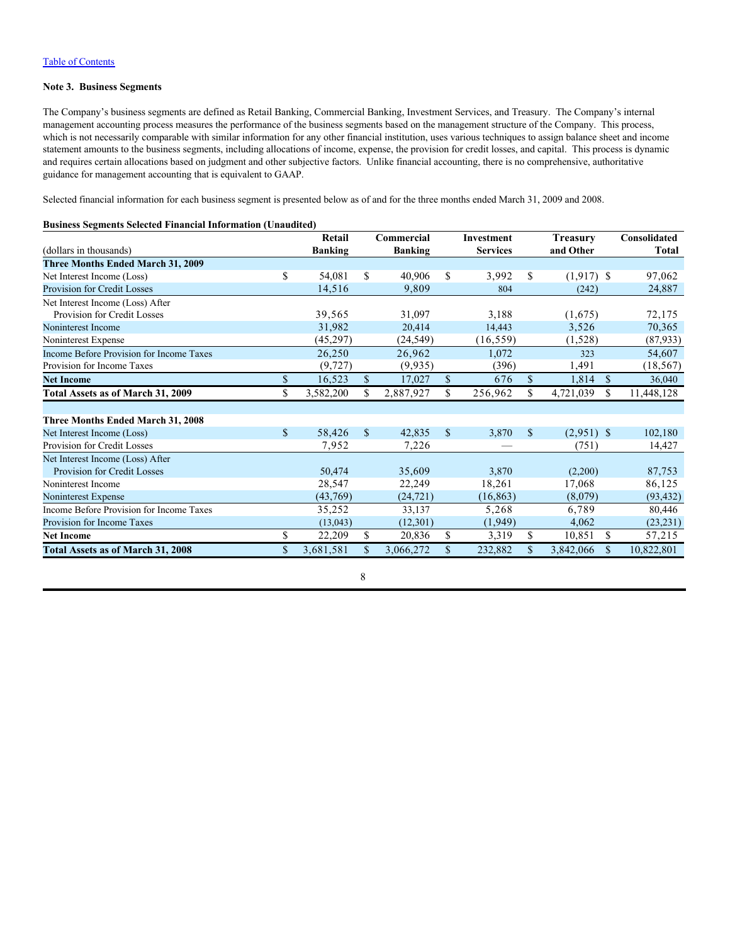# **Note 3. Business Segments**

The Company's business segments are defined as Retail Banking, Commercial Banking, Investment Services, and Treasury. The Company's internal management accounting process measures the performance of the business segments based on the management structure of the Company. This process, which is not necessarily comparable with similar information for any other financial institution, uses various techniques to assign balance sheet and income statement amounts to the business segments, including allocations of income, expense, the provision for credit losses, and capital. This process is dynamic and requires certain allocations based on judgment and other subjective factors. Unlike financial accounting, there is no comprehensive, authoritative guidance for management accounting that is equivalent to GAAP.

Selected financial information for each business segment is presented below as of and for the three months ended March 31, 2009 and 2008.

### **Business Segments Selected Financial Information (Unaudited)**

|                                          |             | Retail         |               | Commercial     |              | <b>Investment</b> |               | <b>Treasury</b>            | Consolidated |
|------------------------------------------|-------------|----------------|---------------|----------------|--------------|-------------------|---------------|----------------------------|--------------|
| (dollars in thousands)                   |             | <b>Banking</b> |               | <b>Banking</b> |              | <b>Services</b>   |               | and Other                  | <b>Total</b> |
| Three Months Ended March 31, 2009        |             |                |               |                |              |                   |               |                            |              |
| Net Interest Income (Loss)               | \$          | 54,081         | \$            | 40,906         | \$           | 3,992             | S             | $(1,917)$ \$               | 97,062       |
| Provision for Credit Losses              |             | 14,516         |               | 9,809          |              | 804               |               | (242)                      | 24,887       |
| Net Interest Income (Loss) After         |             |                |               |                |              |                   |               |                            |              |
| Provision for Credit Losses              |             | 39,565         |               | 31,097         |              | 3,188             |               | (1,675)                    | 72,175       |
| Noninterest Income                       |             | 31,982         |               | 20,414         |              | 14.443            |               | 3,526                      | 70,365       |
| Noninterest Expense                      |             | (45, 297)      |               | (24, 549)      |              | (16, 559)         |               | (1,528)                    | (87, 933)    |
| Income Before Provision for Income Taxes |             | 26,250         |               | 26,962         |              | 1,072             |               | 323                        | 54,607       |
| Provision for Income Taxes               |             | (9, 727)       |               | (9,935)        |              | (396)             |               | 1,491                      | (18, 567)    |
| <b>Net Income</b>                        | \$          | 16,523         | $\mathbb{S}$  | 17,027         | \$           | 676               | S             | $\mathbf S$<br>1,814       | 36,040       |
| Total Assets as of March 31, 2009        | \$          | 3,582,200      | S.            | 2,887,927      | \$           | 256,962           | \$.           | 4,721,039<br>S.            | 11,448,128   |
|                                          |             |                |               |                |              |                   |               |                            |              |
| Three Months Ended March 31, 2008        |             |                |               |                |              |                   |               |                            |              |
| Net Interest Income (Loss)               | $\mathbf S$ | 58,426         | <sup>\$</sup> | 42,835         | $\mathbb{S}$ | 3,870             | $\mathcal{S}$ | $(2,951)$ \$               | 102,180      |
| Provision for Credit Losses              |             | 7,952          |               | 7,226          |              |                   |               | (751)                      | 14,427       |
| Net Interest Income (Loss) After         |             |                |               |                |              |                   |               |                            |              |
| Provision for Credit Losses              |             | 50,474         |               | 35,609         |              | 3,870             |               | (2,200)                    | 87,753       |
| Noninterest Income                       |             | 28,547         |               | 22,249         |              | 18,261            |               | 17,068                     | 86,125       |
| Noninterest Expense                      |             | (43,769)       |               | (24, 721)      |              | (16, 863)         |               | (8,079)                    | (93, 432)    |
| Income Before Provision for Income Taxes |             | 35,252         |               | 33,137         |              | 5,268             |               | 6,789                      | 80,446       |
| Provision for Income Taxes               |             | (13,043)       |               | (12,301)       |              | (1,949)           |               | 4,062                      | (23, 231)    |
| <b>Net Income</b>                        | \$          | 22,209         | \$            | 20,836         | S            | 3,319             | S             | <sup>\$</sup><br>10,851    | 57,215       |
| <b>Total Assets as of March 31, 2008</b> | \$          | 3,681,581      | \$.           | 3,066,272      | \$           | 232,882           | <b>S</b>      | 3,842,066<br><sup>\$</sup> | 10,822,801   |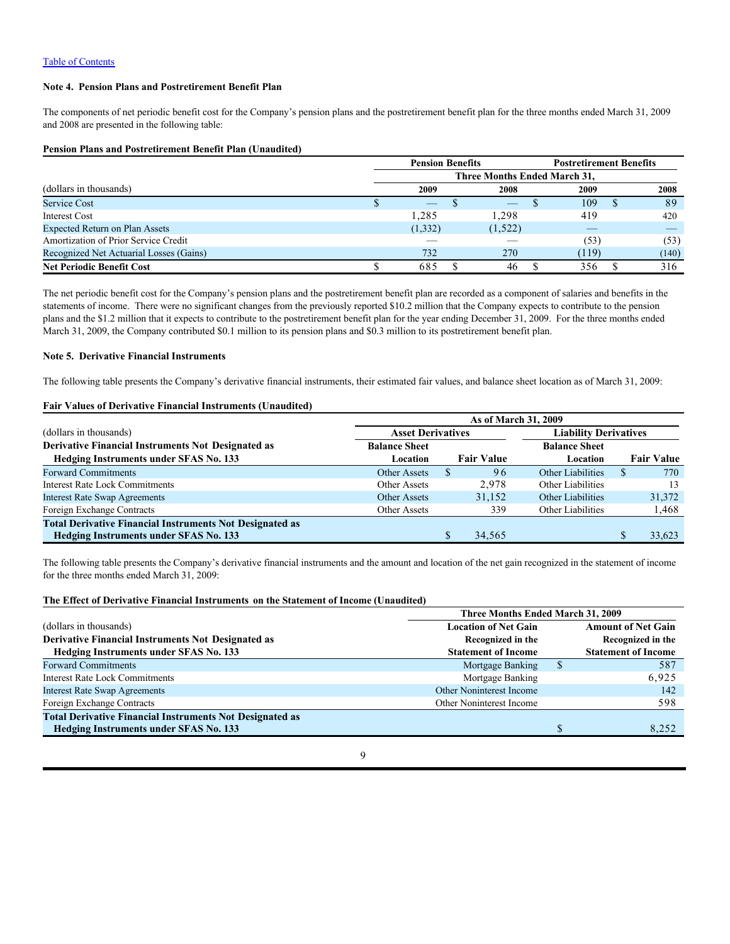# **Note 4. Pension Plans and Postretirement Benefit Plan**

The components of net periodic benefit cost for the Company's pension plans and the postretirement benefit plan for the three months ended March 31, 2009 and 2008 are presented in the following table:

# **Pension Plans and Postretirement Benefit Plan (Unaudited)**

|                                         | <b>Pension Benefits</b> |  | <b>Postretirement Benefits</b> |  |       |  |       |  |
|-----------------------------------------|-------------------------|--|--------------------------------|--|-------|--|-------|--|
|                                         |                         |  | Three Months Ended March 31.   |  |       |  |       |  |
| (dollars in thousands)                  | 2009                    |  | 2008                           |  | 2009  |  | 2008  |  |
| Service Cost                            |                         |  | $\overbrace{\hspace{25mm}}^{}$ |  | 109   |  | 89    |  |
| Interest Cost                           | 1.285                   |  | 1.298                          |  | 419   |  | 420   |  |
| <b>Expected Return on Plan Assets</b>   | (1, 332)                |  | (1, 522)                       |  |       |  |       |  |
| Amortization of Prior Service Credit    |                         |  |                                |  | (53)  |  | (53)  |  |
| Recognized Net Actuarial Losses (Gains) | 732                     |  | 270                            |  | (119) |  | (140) |  |
| <b>Net Periodic Benefit Cost</b>        | 685                     |  | 46                             |  | 356   |  | 316   |  |

The net periodic benefit cost for the Company's pension plans and the postretirement benefit plan are recorded as a component of salaries and benefits in the statements of income. There were no significant changes from the previously reported \$10.2 million that the Company expects to contribute to the pension plans and the \$1.2 million that it expects to contribute to the postretirement benefit plan for the year ending December 31, 2009. For the three months ended March 31, 2009, the Company contributed \$0.1 million to its pension plans and \$0.3 million to its postretirement benefit plan.

# **Note 5. Derivative Financial Instruments**

The following table presents the Company's derivative financial instruments, their estimated fair values, and balance sheet location as of March 31, 2009:

# **Fair Values of Derivative Financial Instruments (Unaudited)**

|                                                                 |                          | As of March 31, 2009 |                              |                      |          |                   |  |  |  |  |  |
|-----------------------------------------------------------------|--------------------------|----------------------|------------------------------|----------------------|----------|-------------------|--|--|--|--|--|
| (dollars in thousands)                                          | <b>Asset Derivatives</b> |                      | <b>Liability Derivatives</b> |                      |          |                   |  |  |  |  |  |
| <b>Derivative Financial Instruments Not Designated as</b>       | <b>Balance Sheet</b>     |                      |                              | <b>Balance Sheet</b> |          |                   |  |  |  |  |  |
| Hedging Instruments under SFAS No. 133                          | Location                 |                      | <b>Fair Value</b>            | Location             |          | <b>Fair Value</b> |  |  |  |  |  |
| <b>Forward Commitments</b>                                      | <b>Other Assets</b>      |                      | 96                           | Other Liabilities    | <b>S</b> | 770               |  |  |  |  |  |
| <b>Interest Rate Lock Commitments</b>                           | Other Assets             |                      | 2.978                        | Other Liabilities    |          | 13                |  |  |  |  |  |
| <b>Interest Rate Swap Agreements</b>                            | <b>Other Assets</b>      |                      | 31.152                       | Other Liabilities    |          | 31,372            |  |  |  |  |  |
| Foreign Exchange Contracts                                      | Other Assets             |                      | 339                          | Other Liabilities    |          | 1,468             |  |  |  |  |  |
| <b>Total Derivative Financial Instruments Not Designated as</b> |                          |                      |                              |                      |          |                   |  |  |  |  |  |
| Hedging Instruments under SFAS No. 133                          |                          |                      | 34,565                       |                      |          | 33.623            |  |  |  |  |  |

The following table presents the Company's derivative financial instruments and the amount and location of the net gain recognized in the statement of income for the three months ended March 31, 2009:

### **The Effect of Derivative Financial Instruments on the Statement of Income (Unaudited)**

| Three Months Ended March 31, 2009      |   |                            |  |  |  |  |  |
|----------------------------------------|---|----------------------------|--|--|--|--|--|
| <b>Location of Net Gain</b>            |   | <b>Amount of Net Gain</b>  |  |  |  |  |  |
| Recognized in the<br>Recognized in the |   |                            |  |  |  |  |  |
| <b>Statement of Income</b>             |   | <b>Statement of Income</b> |  |  |  |  |  |
| Mortgage Banking                       | S | 587                        |  |  |  |  |  |
| Mortgage Banking                       |   | 6,925                      |  |  |  |  |  |
| Other Noninterest Income               |   | 142                        |  |  |  |  |  |
| Other Noninterest Income               |   | 598                        |  |  |  |  |  |
|                                        |   |                            |  |  |  |  |  |
|                                        |   | 8.252                      |  |  |  |  |  |
|                                        |   |                            |  |  |  |  |  |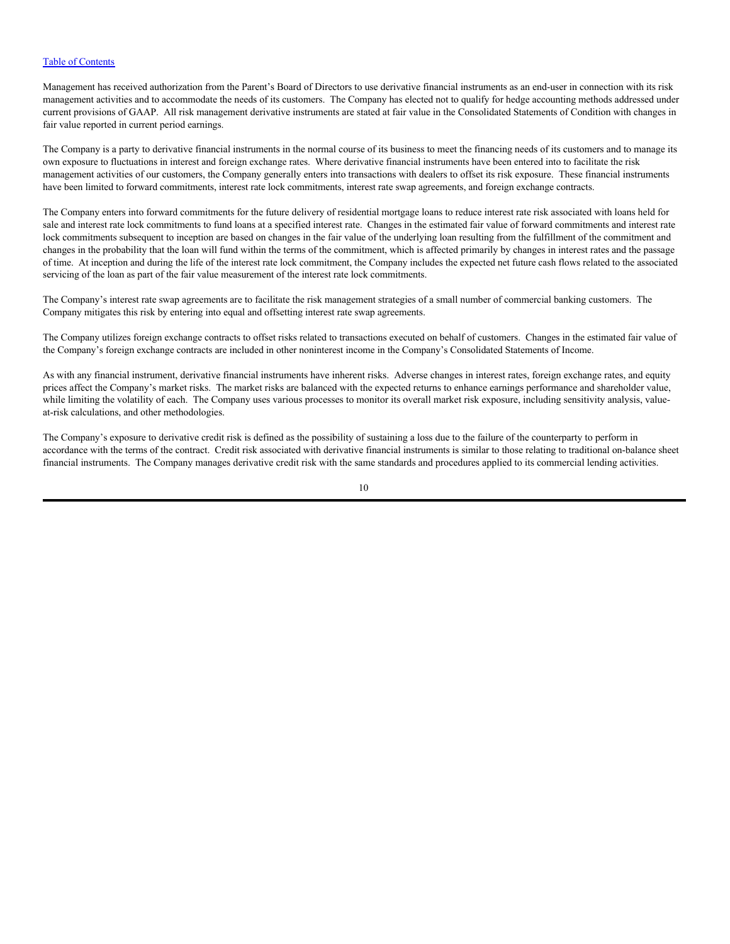Management has received authorization from the Parent's Board of Directors to use derivative financial instruments as an end-user in connection with its risk management activities and to accommodate the needs of its customers. The Company has elected not to qualify for hedge accounting methods addressed under current provisions of GAAP. All risk management derivative instruments are stated at fair value in the Consolidated Statements of Condition with changes in fair value reported in current period earnings.

The Company is a party to derivative financial instruments in the normal course of its business to meet the financing needs of its customers and to manage its own exposure to fluctuations in interest and foreign exchange rates. Where derivative financial instruments have been entered into to facilitate the risk management activities of our customers, the Company generally enters into transactions with dealers to offset its risk exposure. These financial instruments have been limited to forward commitments, interest rate lock commitments, interest rate swap agreements, and foreign exchange contracts.

The Company enters into forward commitments for the future delivery of residential mortgage loans to reduce interest rate risk associated with loans held for sale and interest rate lock commitments to fund loans at a specified interest rate. Changes in the estimated fair value of forward commitments and interest rate lock commitments subsequent to inception are based on changes in the fair value of the underlying loan resulting from the fulfillment of the commitment and changes in the probability that the loan will fund within the terms of the commitment, which is affected primarily by changes in interest rates and the passage of time. At inception and during the life of the interest rate lock commitment, the Company includes the expected net future cash flows related to the associated servicing of the loan as part of the fair value measurement of the interest rate lock commitments.

The Company's interest rate swap agreements are to facilitate the risk management strategies of a small number of commercial banking customers. The Company mitigates this risk by entering into equal and offsetting interest rate swap agreements.

The Company utilizes foreign exchange contracts to offset risks related to transactions executed on behalf of customers. Changes in the estimated fair value of the Company's foreign exchange contracts are included in other noninterest income in the Company's Consolidated Statements of Income.

As with any financial instrument, derivative financial instruments have inherent risks. Adverse changes in interest rates, foreign exchange rates, and equity prices affect the Company's market risks. The market risks are balanced with the expected returns to enhance earnings performance and shareholder value, while limiting the volatility of each. The Company uses various processes to monitor its overall market risk exposure, including sensitivity analysis, valueat-risk calculations, and other methodologies.

The Company's exposure to derivative credit risk is defined as the possibility of sustaining a loss due to the failure of the counterparty to perform in accordance with the terms of the contract. Credit risk associated with derivative financial instruments is similar to those relating to traditional on-balance sheet financial instruments. The Company manages derivative credit risk with the same standards and procedures applied to its commercial lending activities.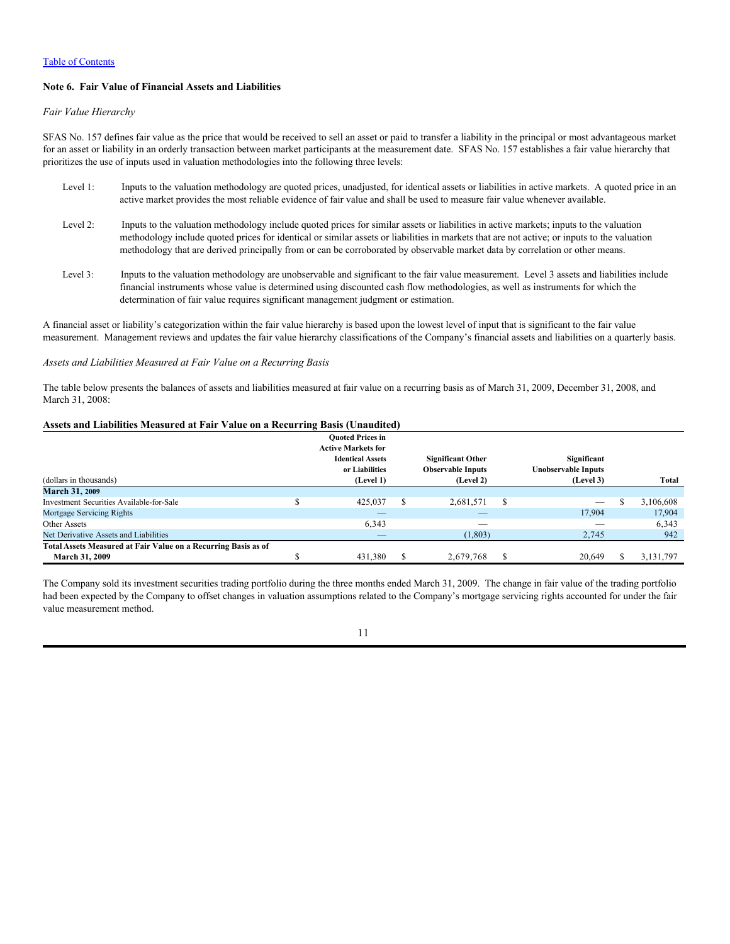# **Note 6. Fair Value of Financial Assets and Liabilities**

## *Fair Value Hierarchy*

SFAS No. 157 defines fair value as the price that would be received to sell an asset or paid to transfer a liability in the principal or most advantageous market for an asset or liability in an orderly transaction between market participants at the measurement date. SFAS No. 157 establishes a fair value hierarchy that prioritizes the use of inputs used in valuation methodologies into the following three levels:

- Level 1: Inputs to the valuation methodology are quoted prices, unadjusted, for identical assets or liabilities in active markets. A quoted price in an active market provides the most reliable evidence of fair value and shall be used to measure fair value whenever available.
- Level 2: Inputs to the valuation methodology include quoted prices for similar assets or liabilities in active markets; inputs to the valuation methodology include quoted prices for identical or similar assets or liabilities in markets that are not active; or inputs to the valuation methodology that are derived principally from or can be corroborated by observable market data by correlation or other means.
- Level 3: Inputs to the valuation methodology are unobservable and significant to the fair value measurement. Level 3 assets and liabilities include financial instruments whose value is determined using discounted cash flow methodologies, as well as instruments for which the determination of fair value requires significant management judgment or estimation.

A financial asset or liability's categorization within the fair value hierarchy is based upon the lowest level of input that is significant to the fair value measurement. Management reviews and updates the fair value hierarchy classifications of the Company's financial assets and liabilities on a quarterly basis.

# *Assets and Liabilities Measured at Fair Value on a Recurring Basis*

The table below presents the balances of assets and liabilities measured at fair value on a recurring basis as of March 31, 2009, December 31, 2008, and March 31, 2008:

# **Assets and Liabilities Measured at Fair Value on a Recurring Basis (Unaudited)**

|                                                                |   | <b>Ouoted Prices in</b>   |   |                          |    |                     |           |
|----------------------------------------------------------------|---|---------------------------|---|--------------------------|----|---------------------|-----------|
|                                                                |   | <b>Active Markets for</b> |   |                          |    |                     |           |
|                                                                |   | <b>Identical Assets</b>   |   | <b>Significant Other</b> |    | Significant         |           |
|                                                                |   | or Liabilities            |   | <b>Observable Inputs</b> |    | Unobservable Inputs |           |
| (dollars in thousands)                                         |   | (Level 1)                 |   | (Level 2)                |    | (Level 3)           | Total     |
| <b>March 31, 2009</b>                                          |   |                           |   |                          |    |                     |           |
| Investment Securities Available-for-Sale                       | c | 425,037                   | S | 2,681,571                | -S |                     | 3,106,608 |
| Mortgage Servicing Rights                                      |   |                           |   |                          |    | 17.904              | 17.904    |
| Other Assets                                                   |   | 6,343                     |   |                          |    |                     | 6,343     |
| Net Derivative Assets and Liabilities                          |   |                           |   | (1,803)                  |    | 2,745               | 942       |
| Total Assets Measured at Fair Value on a Recurring Basis as of |   |                           |   |                          |    |                     |           |
| <b>March 31, 2009</b>                                          |   | 431.380                   |   | 2.679.768                |    | 20,649              | 3.131.797 |

The Company sold its investment securities trading portfolio during the three months ended March 31, 2009. The change in fair value of the trading portfolio had been expected by the Company to offset changes in valuation assumptions related to the Company's mortgage servicing rights accounted for under the fair value measurement method.

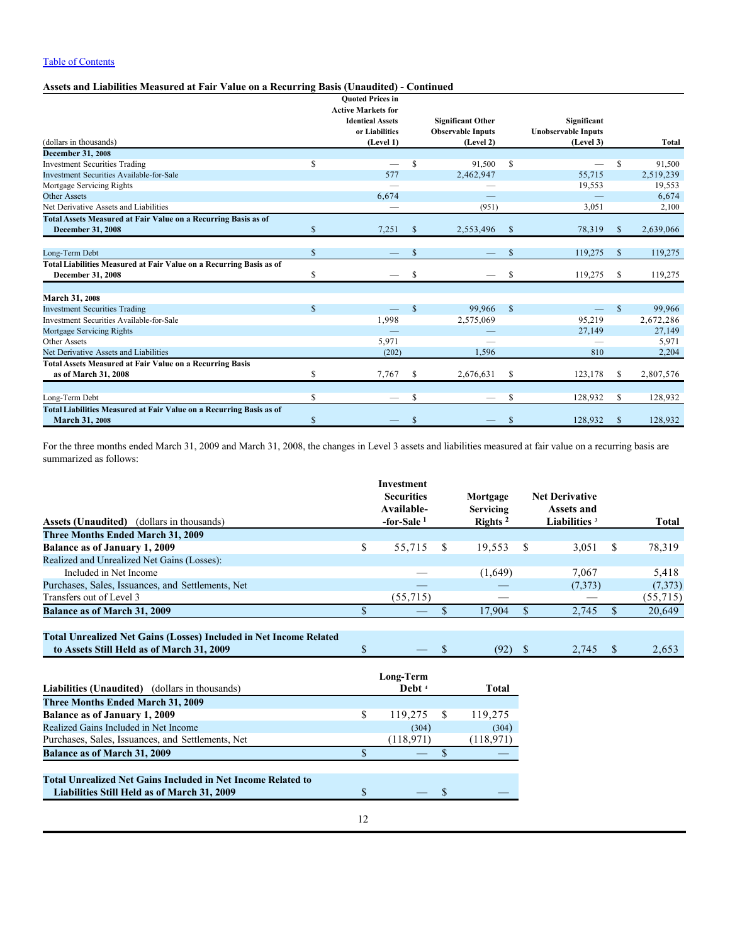# **Assets and Liabilities Measured at Fair Value on a Recurring Basis (Unaudited) - Continued**

|                                                                     |               | <b>Ouoted Prices in</b>                              |               |                          |              |                            |              |           |
|---------------------------------------------------------------------|---------------|------------------------------------------------------|---------------|--------------------------|--------------|----------------------------|--------------|-----------|
|                                                                     |               | <b>Active Markets for</b><br><b>Identical Assets</b> |               | <b>Significant Other</b> |              | Significant                |              |           |
|                                                                     |               | or Liabilities                                       |               | <b>Observable Inputs</b> |              | <b>Unobservable Inputs</b> |              |           |
| (dollars in thousands)                                              |               | (Level 1)                                            |               | (Level 2)                |              | (Level 3)                  |              | Total     |
| <b>December 31, 2008</b>                                            |               |                                                      |               |                          |              |                            |              |           |
| <b>Investment Securities Trading</b>                                | \$            |                                                      | S             | 91.500                   | S            |                            | \$           | 91,500    |
| Investment Securities Available-for-Sale                            |               | 577                                                  |               | 2,462,947                |              | 55,715                     |              | 2,519,239 |
| Mortgage Servicing Rights                                           |               |                                                      |               |                          |              | 19,553                     |              | 19,553    |
| <b>Other Assets</b>                                                 |               | 6,674                                                |               |                          |              |                            |              | 6,674     |
| Net Derivative Assets and Liabilities                               |               |                                                      |               | (951)                    |              | 3,051                      |              | 2,100     |
| Total Assets Measured at Fair Value on a Recurring Basis as of      |               |                                                      |               |                          |              |                            |              |           |
| <b>December 31, 2008</b>                                            | $\mathcal{S}$ | 7,251                                                | $\mathbb{S}$  | 2,553,496                | $\mathbb{S}$ | 78,319                     | \$           | 2,639,066 |
|                                                                     |               |                                                      |               |                          |              |                            |              |           |
| Long-Term Debt                                                      | \$            |                                                      | <sup>\$</sup> |                          | \$           | 119,275                    | \$           | 119,275   |
| Total Liabilities Measured at Fair Value on a Recurring Basis as of |               |                                                      |               |                          |              |                            |              |           |
| December 31, 2008                                                   | \$            |                                                      | ٩             |                          | S            | 119,275                    | S            | 119,275   |
| March 31, 2008                                                      |               |                                                      |               |                          |              |                            |              |           |
| <b>Investment Securities Trading</b>                                | $\mathsf{\$}$ |                                                      | $\mathcal{S}$ | 99,966                   | $\mathbb{S}$ |                            | $\mathbb{S}$ | 99,966    |
| Investment Securities Available-for-Sale                            |               | 1,998                                                |               | 2,575,069                |              | 95,219                     |              | 2,672,286 |
| Mortgage Servicing Rights                                           |               |                                                      |               |                          |              | 27,149                     |              | 27,149    |
| Other Assets                                                        |               | 5,971                                                |               |                          |              |                            |              | 5,971     |
| Net Derivative Assets and Liabilities                               |               | (202)                                                |               | 1,596                    |              | 810                        |              | 2,204     |
| <b>Total Assets Measured at Fair Value on a Recurring Basis</b>     |               |                                                      |               |                          |              |                            |              |           |
| as of March 31, 2008                                                | \$            | 7,767                                                | S             | 2,676,631                | S            | 123,178                    | S            | 2,807,576 |
|                                                                     |               |                                                      |               |                          |              |                            |              |           |
| Long-Term Debt                                                      | \$            |                                                      | \$            |                          | \$           | 128,932                    | S            | 128,932   |
| Total Liabilities Measured at Fair Value on a Recurring Basis as of |               |                                                      |               |                          |              |                            |              |           |
| March 31, 2008                                                      | \$            |                                                      | <sup>\$</sup> |                          | $\mathbb{S}$ | 128.932                    | S            | 128,932   |

For the three months ended March 31, 2009 and March 31, 2008, the changes in Level 3 assets and liabilities measured at fair value on a recurring basis are summarized as follows:

| (dollars in thousands)<br><b>Assets (Unaudited)</b>                                                                    | Investment<br><b>Securities</b><br>Available-<br>-for-Sale <sup>1</sup> | Mortgage<br>Servicing<br>Rights <sup>2</sup> |     | <b>Net Derivative</b><br>Assets and<br>Liabilities <sup>3</sup> |   | <b>Total</b> |
|------------------------------------------------------------------------------------------------------------------------|-------------------------------------------------------------------------|----------------------------------------------|-----|-----------------------------------------------------------------|---|--------------|
| Three Months Ended March 31, 2009                                                                                      |                                                                         |                                              |     |                                                                 |   |              |
| Balance as of January 1, 2009                                                                                          | \$<br>55,715                                                            | 19,553                                       | S   | 3,051                                                           | S | 78,319       |
| Realized and Unrealized Net Gains (Losses):                                                                            |                                                                         |                                              |     |                                                                 |   |              |
| Included in Net Income                                                                                                 |                                                                         | (1,649)                                      |     | 7.067                                                           |   | 5,418        |
| Purchases, Sales, Issuances, and Settlements, Net                                                                      |                                                                         |                                              |     | (7,373)                                                         |   | (7,373)      |
| Transfers out of Level 3                                                                                               | (55, 715)                                                               |                                              |     |                                                                 |   | (55, 715)    |
| Balance as of March 31, 2009                                                                                           |                                                                         | 17.904                                       | \$. | 2,745                                                           |   | 20,649       |
| <b>Total Unrealized Net Gains (Losses) Included in Net Income Related</b><br>to Assets Still Held as of March 31, 2009 |                                                                         | (92)                                         | -S  | 2.745                                                           |   | 2,653        |

|                                                                     |   | Long-Term         |            |
|---------------------------------------------------------------------|---|-------------------|------------|
| <b>Liabilities (Unaudited)</b> (dollars in thousands)               |   | Debt <sup>4</sup> | Total      |
| Three Months Ended March 31, 2009                                   |   |                   |            |
| Balance as of January 1, 2009                                       | S | 119,275           | 119,275    |
| Realized Gains Included in Net Income                               |   | (304)             | (304)      |
| Purchases, Sales, Issuances, and Settlements, Net                   |   | (118, 971)        | (118, 971) |
| Balance as of March 31, 2009                                        |   |                   |            |
|                                                                     |   |                   |            |
| <b>Total Unrealized Net Gains Included in Net Income Related to</b> |   |                   |            |
| Liabilities Still Held as of March 31, 2009                         |   |                   |            |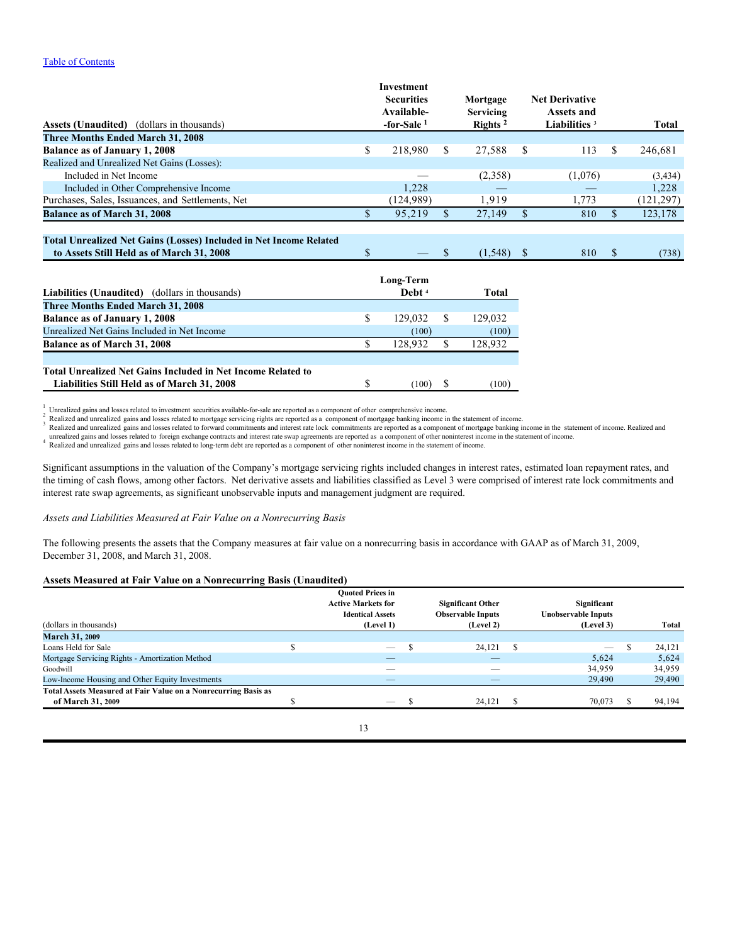|                                                                           | <b>Investment</b> |               |                     |             |                          |               |            |
|---------------------------------------------------------------------------|-------------------|---------------|---------------------|-------------|--------------------------|---------------|------------|
|                                                                           | <b>Securities</b> |               | Mortgage            |             | <b>Net Derivative</b>    |               |            |
|                                                                           | Available-        |               | <b>Servicing</b>    |             | Assets and               |               |            |
| <b>Assets (Unaudited)</b> (dollars in thousands)                          | -for-Sale $1$     |               | Rights <sup>2</sup> |             | Liabilities <sup>3</sup> |               | Total      |
| <b>Three Months Ended March 31, 2008</b>                                  |                   |               |                     |             |                          |               |            |
| <b>Balance as of January 1, 2008</b>                                      | \$<br>218,980     | S.            | 27,588              | S           | 113                      | -S            | 246,681    |
| Realized and Unrealized Net Gains (Losses):                               |                   |               |                     |             |                          |               |            |
| Included in Net Income                                                    |                   |               | (2,358)             |             | (1,076)                  |               | (3, 434)   |
| Included in Other Comprehensive Income                                    | 1,228             |               |                     |             |                          |               | 1,228      |
| Purchases, Sales, Issuances, and Settlements, Net                         | (124, 989)        |               | 1,919               |             | 1,773                    |               | (121, 297) |
| Balance as of March 31, 2008                                              | \$<br>95,219      | \$            | 27,149              | $\mathbf S$ | 810                      | <sup>\$</sup> | 123,178    |
| <b>Total Unrealized Net Gains (Losses) Included in Net Income Related</b> |                   |               |                     |             |                          |               |            |
| to Assets Still Held as of March 31, 2008                                 | \$                | <sup>\$</sup> | $(1,548)$ \$        |             | 810                      | - S           | (738)      |
|                                                                           |                   |               |                     |             |                          |               |            |
|                                                                           | Long-Term         |               |                     |             |                          |               |            |
| <b>Liabilities (Unaudited)</b> (dollars in thousands)                     | Debt <sup>4</sup> |               | <b>Total</b>        |             |                          |               |            |
| <b>Three Months Ended March 31, 2008</b>                                  |                   |               |                     |             |                          |               |            |
| <b>Balance as of January 1, 2008</b>                                      | \$<br>129,032     | S             | 129,032             |             |                          |               |            |
| Unrealized Net Gains Included in Net Income                               | (100)             |               | (100)               |             |                          |               |            |
| Balance as of March 31, 2008                                              | \$<br>128,932     |               | 128,932             |             |                          |               |            |
|                                                                           |                   |               |                     |             |                          |               |            |

Unrealized gains and losses related to investment securities available-for-sale are reported as a component of other comprehensive income.

Realized and unrealized gains and losses related to mortgage servicing rights are reported as a component of mortgage banking income in the statement of income.

**Liabilities Still Held as of March 31, 2008** \$ (100) \$ (100)

<sup>3</sup> Realized and unrealized gains and losses related to forward commitments and interest rate lock commitments are reported as a component of mortgage banking income in the statement of income. Realized and

unrealized gains and losses related to foreign exchange contracts and interest rate swap agreements are reported as a component of other noninterest income in the statement of income.<br><sup>4</sup> Realized and unrealized gains and

Significant assumptions in the valuation of the Company's mortgage servicing rights included changes in interest rates, estimated loan repayment rates, and the timing of cash flows, among other factors. Net derivative assets and liabilities classified as Level 3 were comprised of interest rate lock commitments and interest rate swap agreements, as significant unobservable inputs and management judgment are required.

*Assets and Liabilities Measured at Fair Value on a Nonrecurring Basis*

**Total Unrealized Net Gains Included in Net Income Related to**

The following presents the assets that the Company measures at fair value on a nonrecurring basis in accordance with GAAP as of March 31, 2009, December 31, 2008, and March 31, 2008.

### **Assets Measured at Fair Value on a Nonrecurring Basis (Unaudited)**

| (dollars in thousands)                                         | <b>Ouoted Prices in</b><br><b>Active Markets for</b><br><b>Identical Assets</b><br>(Level 1) | <b>Significant Other</b><br><b>Observable Inputs</b><br>(Level 2) | Significant<br><b>Unobservable Inputs</b><br>(Level 3) | Total  |
|----------------------------------------------------------------|----------------------------------------------------------------------------------------------|-------------------------------------------------------------------|--------------------------------------------------------|--------|
| <b>March 31, 2009</b>                                          |                                                                                              |                                                                   |                                                        |        |
| Loans Held for Sale                                            |                                                                                              | 24,121                                                            |                                                        | 24,121 |
| Mortgage Servicing Rights - Amortization Method                |                                                                                              | $\overline{\phantom{a}}$                                          | 5,624                                                  | 5,624  |
| Goodwill                                                       |                                                                                              |                                                                   | 34,959                                                 | 34,959 |
| Low-Income Housing and Other Equity Investments                |                                                                                              |                                                                   | 29,490                                                 | 29,490 |
| Total Assets Measured at Fair Value on a Nonrecurring Basis as |                                                                                              |                                                                   |                                                        |        |
| of March 31, 2009                                              |                                                                                              | 24,121                                                            | 70.073                                                 | 94,194 |

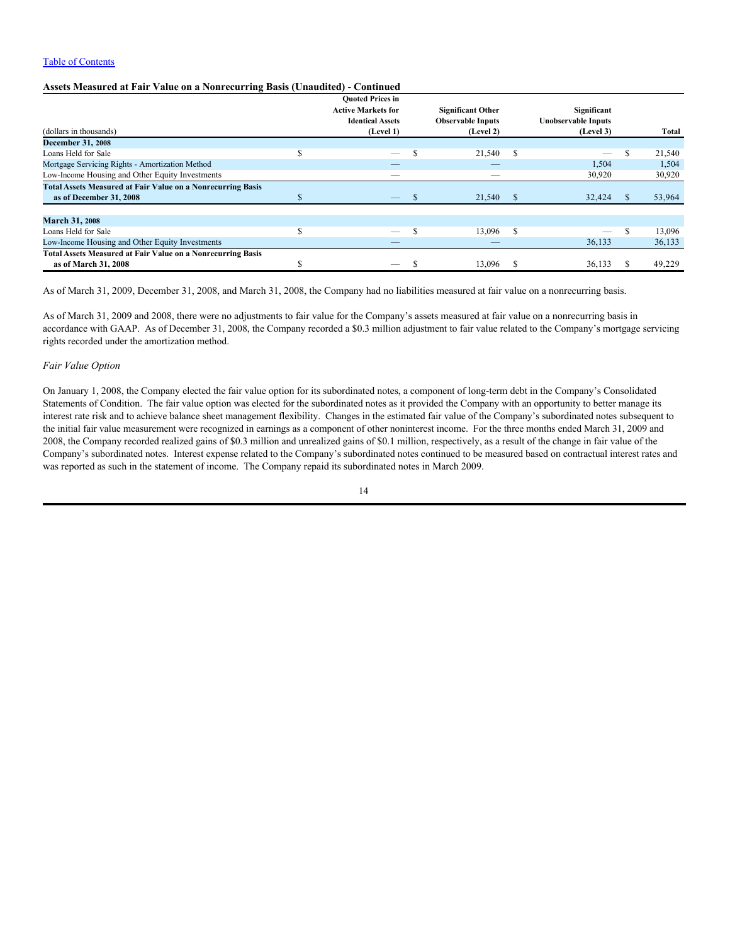### **Assets Measured at Fair Value on a Nonrecurring Basis (Unaudited) - Continued**

|                                                                    | <b>Ouoted Prices in</b>   |                                |    |                            |   |        |
|--------------------------------------------------------------------|---------------------------|--------------------------------|----|----------------------------|---|--------|
|                                                                    | <b>Active Markets for</b> | <b>Significant Other</b>       |    | Significant                |   |        |
|                                                                    | <b>Identical Assets</b>   | <b>Observable Inputs</b>       |    | <b>Unobservable Inputs</b> |   |        |
| (dollars in thousands)                                             | (Level 1)                 | (Level 2)                      |    | (Level 3)                  |   | Total  |
| <b>December 31, 2008</b>                                           |                           |                                |    |                            |   |        |
| Loans Held for Sale                                                |                           | 21,540                         |    |                            |   | 21,540 |
| Mortgage Servicing Rights - Amortization Method                    |                           |                                |    | 1,504                      |   | 1,504  |
| Low-Income Housing and Other Equity Investments                    |                           | $\overbrace{\hspace{25mm}}^{}$ |    | 30,920                     |   | 30,920 |
| <b>Total Assets Measured at Fair Value on a Nonrecurring Basis</b> |                           |                                |    |                            |   |        |
| as of December 31, 2008                                            |                           | 21,540                         |    | 32,424                     |   | 53,964 |
| <b>March 31, 2008</b>                                              |                           |                                |    |                            |   |        |
| Loans Held for Sale                                                |                           | 13,096                         | -S |                            | ъ | 13,096 |
| Low-Income Housing and Other Equity Investments                    |                           |                                |    | 36,133                     |   | 36,133 |
| <b>Total Assets Measured at Fair Value on a Nonrecurring Basis</b> |                           |                                |    |                            |   |        |
| as of March 31, 2008                                               |                           | 13.096                         |    | 36,133                     |   | 49,229 |

As of March 31, 2009, December 31, 2008, and March 31, 2008, the Company had no liabilities measured at fair value on a nonrecurring basis.

As of March 31, 2009 and 2008, there were no adjustments to fair value for the Company's assets measured at fair value on a nonrecurring basis in accordance with GAAP. As of December 31, 2008, the Company recorded a \$0.3 million adjustment to fair value related to the Company's mortgage servicing rights recorded under the amortization method.

# *Fair Value Option*

On January 1, 2008, the Company elected the fair value option for its subordinated notes, a component of long-term debt in the Company's Consolidated Statements of Condition. The fair value option was elected for the subordinated notes as it provided the Company with an opportunity to better manage its interest rate risk and to achieve balance sheet management flexibility. Changes in the estimated fair value of the Company's subordinated notes subsequent to the initial fair value measurement were recognized in earnings as a component of other noninterest income. For the three months ended March 31, 2009 and 2008, the Company recorded realized gains of \$0.3 million and unrealized gains of \$0.1 million, respectively, as a result of the change in fair value of the Company's subordinated notes. Interest expense related to the Company's subordinated notes continued to be measured based on contractual interest rates and was reported as such in the statement of income. The Company repaid its subordinated notes in March 2009.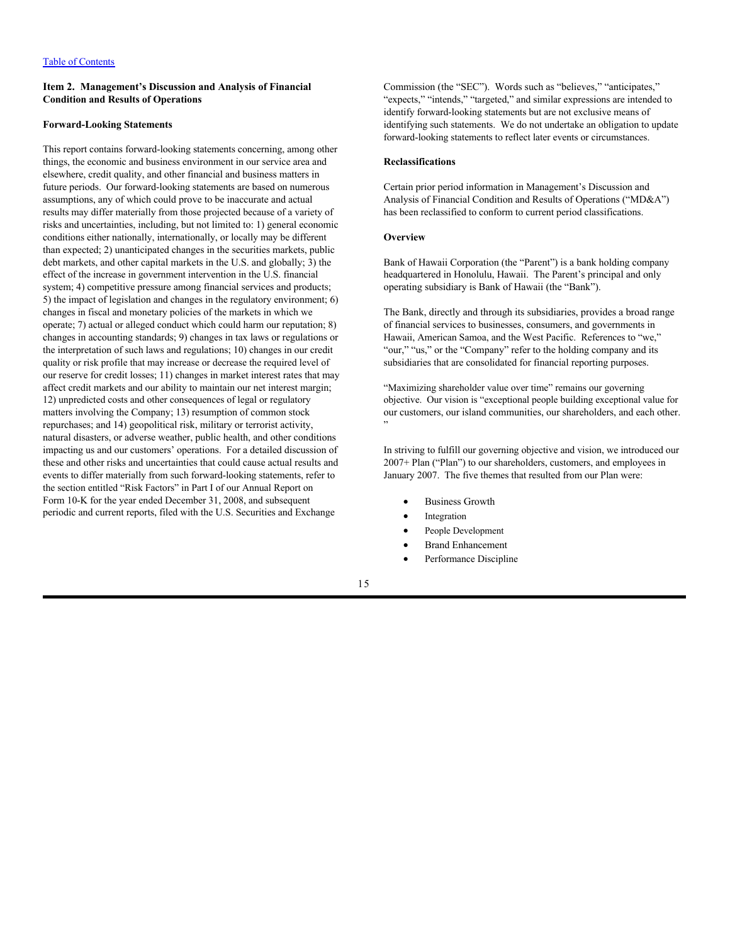# <span id="page-15-0"></span>**Item 2. Management's Discussion and Analysis of Financial Condition and Results of Operations**

# **Forward-Looking Statements**

This report contains forward-looking statements concerning, among other things, the economic and business environment in our service area and elsewhere, credit quality, and other financial and business matters in future periods. Our forward-looking statements are based on numerous assumptions, any of which could prove to be inaccurate and actual results may differ materially from those projected because of a variety of risks and uncertainties, including, but not limited to: 1) general economic conditions either nationally, internationally, or locally may be different than expected; 2) unanticipated changes in the securities markets, public debt markets, and other capital markets in the U.S. and globally; 3) the effect of the increase in government intervention in the U.S. financial system; 4) competitive pressure among financial services and products; 5) the impact of legislation and changes in the regulatory environment; 6) changes in fiscal and monetary policies of the markets in which we operate; 7) actual or alleged conduct which could harm our reputation; 8) changes in accounting standards; 9) changes in tax laws or regulations or the interpretation of such laws and regulations; 10) changes in our credit quality or risk profile that may increase or decrease the required level of our reserve for credit losses; 11) changes in market interest rates that may affect credit markets and our ability to maintain our net interest margin; 12) unpredicted costs and other consequences of legal or regulatory matters involving the Company; 13) resumption of common stock repurchases; and 14) geopolitical risk, military or terrorist activity, natural disasters, or adverse weather, public health, and other conditions impacting us and our customers' operations. For a detailed discussion of these and other risks and uncertainties that could cause actual results and events to differ materially from such forward-looking statements, refer to the section entitled "Risk Factors" in Part I of our Annual Report on Form 10-K for the year ended December 31, 2008, and subsequent periodic and current reports, filed with the U.S. Securities and Exchange

Commission (the "SEC"). Words such as "believes," "anticipates," "expects," "intends," "targeted," and similar expressions are intended to identify forward-looking statements but are not exclusive means of identifying such statements. We do not undertake an obligation to update forward-looking statements to reflect later events or circumstances.

# **Reclassifications**

Certain prior period information in Management's Discussion and Analysis of Financial Condition and Results of Operations ("MD&A") has been reclassified to conform to current period classifications.

# **Overview**

Bank of Hawaii Corporation (the "Parent") is a bank holding company headquartered in Honolulu, Hawaii. The Parent's principal and only operating subsidiary is Bank of Hawaii (the "Bank").

The Bank, directly and through its subsidiaries, provides a broad range of financial services to businesses, consumers, and governments in Hawaii, American Samoa, and the West Pacific. References to "we," "our," "us," or the "Company" refer to the holding company and its subsidiaries that are consolidated for financial reporting purposes.

"Maximizing shareholder value over time" remains our governing objective. Our vision is "exceptional people building exceptional value for our customers, our island communities, our shareholders, and each other. "

In striving to fulfill our governing objective and vision, we introduced our 2007+ Plan ("Plan") to our shareholders, customers, and employees in January 2007. The five themes that resulted from our Plan were:

- **Business Growth**
- **Integration**
- People Development
- **Brand Enhancement**
- Performance Discipline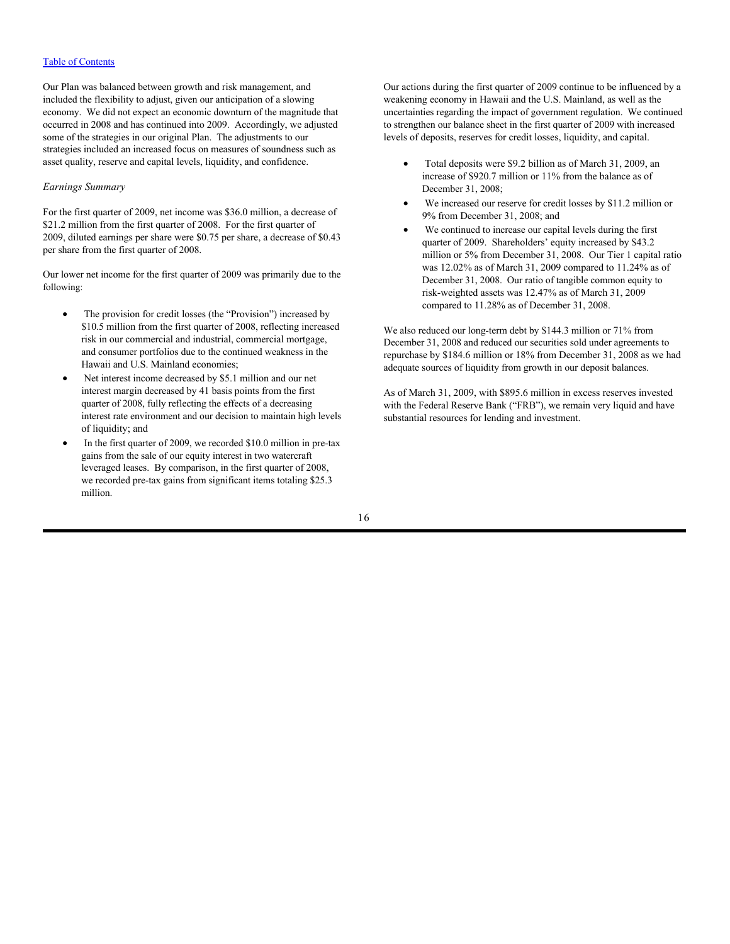Our Plan was balanced between growth and risk management, and included the flexibility to adjust, given our anticipation of a slowing economy. We did not expect an economic downturn of the magnitude that occurred in 2008 and has continued into 2009. Accordingly, we adjusted some of the strategies in our original Plan. The adjustments to our strategies included an increased focus on measures of soundness such as asset quality, reserve and capital levels, liquidity, and confidence.

### *Earnings Summary*

For the first quarter of 2009, net income was \$36.0 million, a decrease of \$21.2 million from the first quarter of 2008. For the first quarter of 2009, diluted earnings per share were \$0.75 per share, a decrease of \$0.43 per share from the first quarter of 2008.

Our lower net income for the first quarter of 2009 was primarily due to the following:

- The provision for credit losses (the "Provision") increased by \$10.5 million from the first quarter of 2008, reflecting increased risk in our commercial and industrial, commercial mortgage, and consumer portfolios due to the continued weakness in the Hawaii and U.S. Mainland economies;
- Net interest income decreased by \$5.1 million and our net interest margin decreased by 41 basis points from the first quarter of 2008, fully reflecting the effects of a decreasing interest rate environment and our decision to maintain high levels of liquidity; and
- In the first quarter of 2009, we recorded \$10.0 million in pre-tax gains from the sale of our equity interest in two watercraft leveraged leases. By comparison, in the first quarter of 2008, we recorded pre-tax gains from significant items totaling \$25.3 million.

Our actions during the first quarter of 2009 continue to be influenced by a weakening economy in Hawaii and the U.S. Mainland, as well as the uncertainties regarding the impact of government regulation. We continued to strengthen our balance sheet in the first quarter of 2009 with increased levels of deposits, reserves for credit losses, liquidity, and capital.

- · Total deposits were \$9.2 billion as of March 31, 2009, an increase of \$920.7 million or 11% from the balance as of December 31, 2008;
- We increased our reserve for credit losses by \$11.2 million or 9% from December 31, 2008; and
- We continued to increase our capital levels during the first quarter of 2009. Shareholders' equity increased by \$43.2 million or 5% from December 31, 2008. Our Tier 1 capital ratio was 12.02% as of March 31, 2009 compared to 11.24% as of December 31, 2008. Our ratio of tangible common equity to risk-weighted assets was 12.47% as of March 31, 2009 compared to 11.28% as of December 31, 2008.

We also reduced our long-term debt by \$144.3 million or 71% from December 31, 2008 and reduced our securities sold under agreements to repurchase by \$184.6 million or 18% from December 31, 2008 as we had adequate sources of liquidity from growth in our deposit balances.

As of March 31, 2009, with \$895.6 million in excess reserves invested with the Federal Reserve Bank ("FRB"), we remain very liquid and have substantial resources for lending and investment.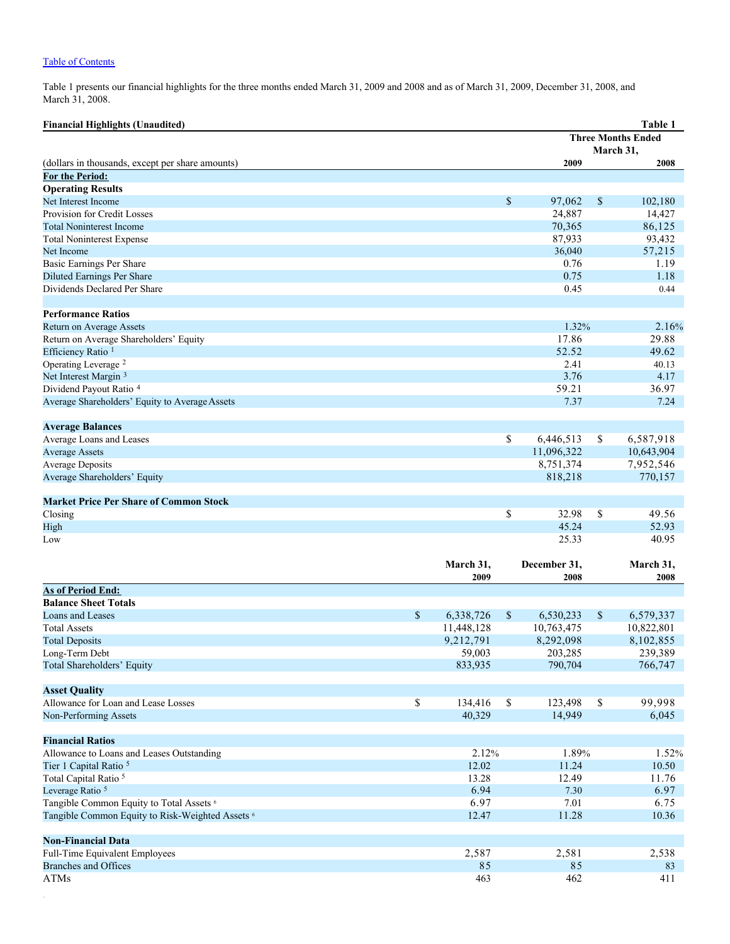1

Table 1 presents our financial highlights for the three months ended March 31, 2009 and 2008 and as of March 31, 2009, December 31, 2008, and March 31, 2008.

| <b>Financial Highlights (Unaudited)</b>          |                   |             |                      |               | Table 1<br><b>Three Months Ended</b> |
|--------------------------------------------------|-------------------|-------------|----------------------|---------------|--------------------------------------|
|                                                  |                   |             |                      |               | March 31,                            |
| (dollars in thousands, except per share amounts) |                   |             | 2009                 |               | 2008                                 |
| <b>For the Period:</b>                           |                   |             |                      |               |                                      |
| <b>Operating Results</b><br>Net Interest Income  |                   | \$          | 97,062               | $\mathbb{S}$  | 102,180                              |
| Provision for Credit Losses                      |                   |             | 24,887               |               | 14,427                               |
| <b>Total Noninterest Income</b>                  |                   |             | 70,365               |               | 86,125                               |
| <b>Total Noninterest Expense</b>                 |                   |             | 87,933               |               | 93,432                               |
| Net Income                                       |                   |             | 36,040               |               | 57,215                               |
| Basic Earnings Per Share                         |                   |             | 0.76                 |               | 1.19                                 |
| <b>Diluted Earnings Per Share</b>                |                   |             | 0.75                 |               | 1.18                                 |
| Dividends Declared Per Share                     |                   |             | 0.45                 |               | 0.44                                 |
| <b>Performance Ratios</b>                        |                   |             |                      |               |                                      |
| <b>Return on Average Assets</b>                  |                   |             | 1.32%                |               | 2.16%                                |
| Return on Average Shareholders' Equity           |                   |             | 17.86                |               | 29.88                                |
| Efficiency Ratio <sup>1</sup>                    |                   |             | 52.52                |               | 49.62                                |
| Operating Leverage <sup>2</sup>                  |                   |             | 2.41                 |               | 40.13                                |
| Net Interest Margin <sup>3</sup>                 |                   |             | 3.76                 |               | 4.17                                 |
| Dividend Payout Ratio <sup>4</sup>               |                   |             | 59.21                |               | 36.97                                |
| Average Shareholders' Equity to Average Assets   |                   |             | 7.37                 |               | 7.24                                 |
| <b>Average Balances</b>                          |                   |             |                      |               |                                      |
| Average Loans and Leases                         |                   | \$          | 6,446,513            | \$            | 6,587,918                            |
| <b>Average Assets</b>                            |                   |             | 11,096,322           |               | 10,643,904                           |
| <b>Average Deposits</b>                          |                   |             | 8,751,374            |               | 7,952,546                            |
| Average Shareholders' Equity                     |                   |             | 818,218              |               | 770,157                              |
| <b>Market Price Per Share of Common Stock</b>    |                   |             |                      |               |                                      |
| Closing                                          |                   | \$          | 32.98                | \$            | 49.56                                |
| High                                             |                   |             | 45.24                |               | 52.93                                |
| Low                                              |                   |             | 25.33                |               | 40.95                                |
|                                                  | March 31,<br>2009 |             | December 31,<br>2008 |               | March 31,<br>2008                    |
| <b>As of Period End:</b>                         |                   |             |                      |               |                                      |
| <b>Balance Sheet Totals</b>                      |                   |             |                      |               |                                      |
| Loans and Leases                                 | \$<br>6,338,726   | \$          | 6,530,233            | <sup>\$</sup> | 6,579,337                            |
| <b>Total Assets</b>                              | 11,448,128        |             | 10,763,475           |               | 10,822,801                           |
| <b>Total Deposits</b>                            | 9,212,791         |             | 8,292,098            |               | 8,102,855                            |
| Long-Term Debt                                   | 59,003            |             | 203,285              |               | 239,389                              |
| <b>Total Shareholders' Equity</b>                | 833,935           |             | 790,704              |               | 766,747                              |
| <b>Asset Quality</b>                             |                   |             |                      |               |                                      |
| Allowance for Loan and Lease Losses              | \$<br>134,416     | $\mathbb S$ | 123,498              | \$            | 99,998                               |
| Non-Performing Assets                            | 40,329            |             | 14,949               |               | 6,045                                |
| <b>Financial Ratios</b>                          |                   |             |                      |               |                                      |
| Allowance to Loans and Leases Outstanding        | 2.12%             |             | 1.89%                |               | 1.52%                                |
| Tier 1 Capital Ratio <sup>5</sup>                | 12.02             |             | 11.24                |               | 10.50                                |
| Total Capital Ratio <sup>5</sup>                 | 13.28             |             | 12.49                |               | 11.76                                |
| Leverage Ratio <sup>5</sup>                      | 6.94              |             | 7.30                 |               | 6.97                                 |
| Tangible Common Equity to Total Assets 6         | 6.97              |             | 7.01                 |               | 6.75                                 |
| Tangible Common Equity to Risk-Weighted Assets 6 | 12.47             |             | 11.28                |               | 10.36                                |
| <b>Non-Financial Data</b>                        |                   |             |                      |               |                                      |
| Full-Time Equivalent Employees                   | 2,587             |             | 2,581                |               | 2,538                                |
| <b>Branches and Offices</b>                      | 85                |             | 85                   |               | 83                                   |
| ATMs                                             | 463               |             | 462                  |               | 411                                  |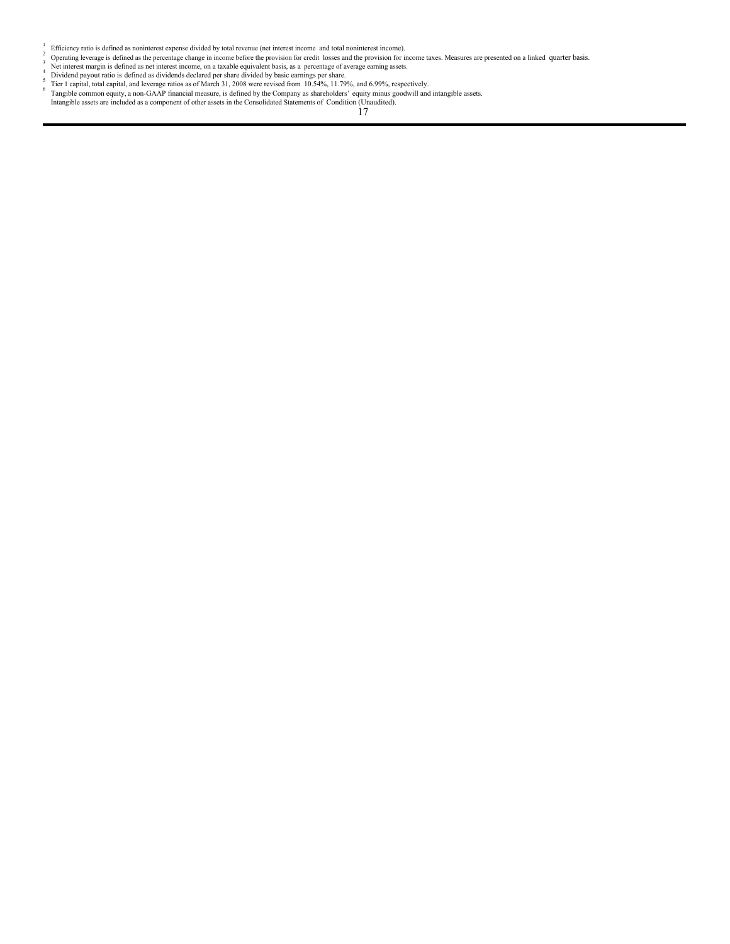Efficiency ratio is defined as noninterest expense divided by total revenue (net interest income and total noninterest income).<br>Operating leverage is defined as the percentage change in income before the provision for cred 

Dividend payout ratio is defined as dividends declared per share divided by basic earnings per share.

6

Tier 1 capital, total capital, and leverage ratios as of March 31, 2008 were revised from 10.54%, 11.79%, and 6.99%, respectively.<br>Tangible common equity, a non-GAAP financial measure, is defined by the Company as sharehol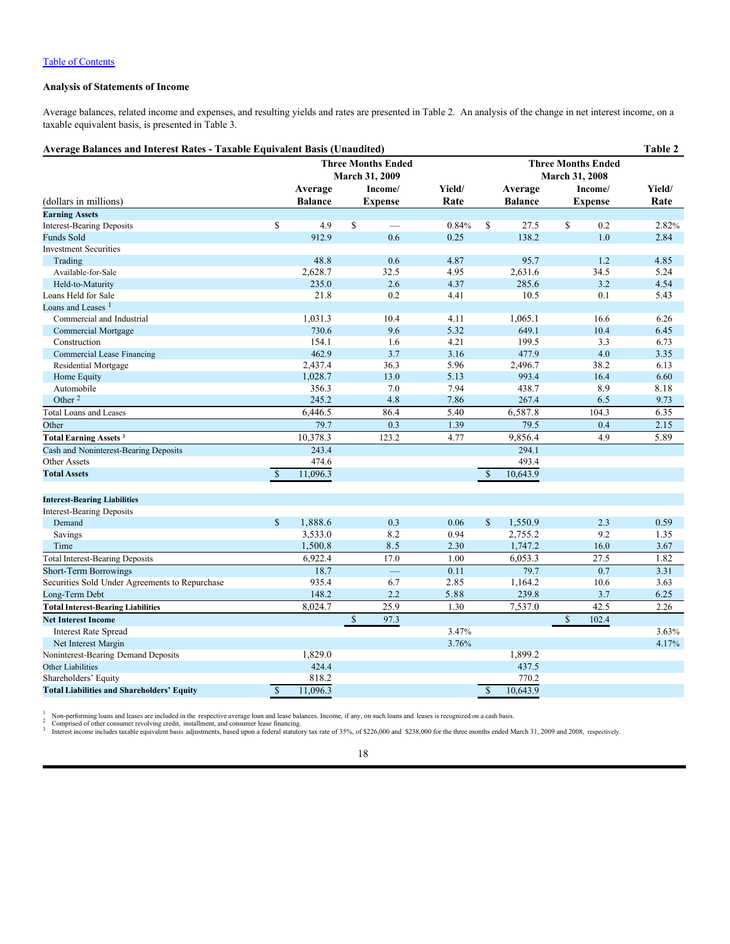# **Analysis of Statements of Income**

Average balances, related income and expenses, and resulting yields and rates are presented in Table 2. An analysis of the change in net interest income, on a taxable equivalent basis, is presented in Table 3.

| Average Balances and Interest Rates - Taxable Equivalent Basis (Unaudited) |                          |                |                                                    |          |        |                    |                |                                                    |                | Table 2 |
|----------------------------------------------------------------------------|--------------------------|----------------|----------------------------------------------------|----------|--------|--------------------|----------------|----------------------------------------------------|----------------|---------|
|                                                                            |                          |                | <b>Three Months Ended</b><br><b>March 31, 2009</b> |          |        |                    |                | <b>Three Months Ended</b><br><b>March 31, 2008</b> |                |         |
|                                                                            |                          | Average        | Income/                                            |          | Yield/ |                    | Average        |                                                    | Income/        | Yield/  |
| (dollars in millions)                                                      |                          | <b>Balance</b> | <b>Expense</b>                                     |          | Rate   |                    | <b>Balance</b> |                                                    | <b>Expense</b> | Rate    |
| <b>Earning Assets</b>                                                      |                          |                |                                                    |          |        |                    |                |                                                    |                |         |
| <b>Interest-Bearing Deposits</b>                                           | \$                       | 4.9            | \$                                                 |          | 0.84%  | \$                 | 27.5           | \$                                                 | 0.2            | 2.82%   |
| Funds Sold                                                                 |                          | 912.9          |                                                    | 0.6      | 0.25   |                    | 138.2          |                                                    | 1.0            | 2.84    |
| <b>Investment Securities</b>                                               |                          |                |                                                    |          |        |                    |                |                                                    |                |         |
| Trading                                                                    |                          | 48.8           |                                                    | 0.6      | 4.87   |                    | 95.7           |                                                    | 1.2            | 4.85    |
| Available-for-Sale                                                         |                          | 2,628.7        |                                                    | 32.5     | 4.95   |                    | 2,631.6        |                                                    | 34.5           | 5.24    |
| Held-to-Maturity                                                           |                          | 235.0          |                                                    | 2.6      | 4.37   |                    | 285.6          |                                                    | 3.2            | 4.54    |
| Loans Held for Sale                                                        |                          | 21.8           |                                                    | 0.2      | 4.41   |                    | 10.5           |                                                    | 0.1            | 5.43    |
| Loans and Leases <sup>1</sup>                                              |                          |                |                                                    |          |        |                    |                |                                                    |                |         |
| Commercial and Industrial                                                  |                          | 1,031.3        |                                                    | 10.4     | 4.11   |                    | 1,065.1        |                                                    | 16.6           | 6.26    |
| <b>Commercial Mortgage</b>                                                 |                          | 730.6          |                                                    | 9.6      | 5.32   |                    | 649.1          |                                                    | 10.4           | 6.45    |
| Construction                                                               |                          | 154.1          |                                                    | 1.6      | 4.21   |                    | 199.5          |                                                    | 3.3            | 6.73    |
| Commercial Lease Financing                                                 |                          | 462.9          |                                                    | 3.7      | 3.16   |                    | 477.9          |                                                    | 4.0            | 3.35    |
| Residential Mortgage                                                       |                          | 2,437.4        |                                                    | 36.3     | 5.96   |                    | 2,496.7        |                                                    | 38.2           | 6.13    |
| Home Equity                                                                |                          | 1,028.7        |                                                    | 13.0     | 5.13   |                    | 993.4          |                                                    | 16.4           | 6.60    |
| Automobile                                                                 |                          | 356.3          |                                                    | 7.0      | 7.94   |                    | 438.7          |                                                    | 8.9            | 8.18    |
| Other <sup>2</sup>                                                         |                          | 245.2          |                                                    | 4.8      | 7.86   |                    | 267.4          |                                                    | 6.5            | 9.73    |
| <b>Total Loans and Leases</b>                                              |                          | 6,446.5        |                                                    | 86.4     | 5.40   |                    | 6,587.8        |                                                    | 104.3          | 6.35    |
| Other                                                                      |                          | 79.7           |                                                    | 0.3      | 1.39   |                    | 79.5           |                                                    | 0.4            | 2.15    |
| <b>Total Earning Assets<sup>3</sup></b>                                    |                          | 10,378.3       | 123.2                                              |          | 4.77   |                    | 9,856.4        |                                                    | 4.9            | 5.89    |
| Cash and Noninterest-Bearing Deposits                                      |                          | 243.4          |                                                    |          |        |                    | 294.1          |                                                    |                |         |
| Other Assets                                                               |                          | 474.6          |                                                    |          |        |                    | 493.4          |                                                    |                |         |
| <b>Total Assets</b>                                                        | $\overline{\mathcal{S}}$ | 11,096.3       |                                                    |          |        | $\mathcal{S}$      | 10,643.9       |                                                    |                |         |
| <b>Interest-Bearing Liabilities</b>                                        |                          |                |                                                    |          |        |                    |                |                                                    |                |         |
| <b>Interest-Bearing Deposits</b>                                           |                          |                |                                                    |          |        |                    |                |                                                    |                |         |
| Demand                                                                     | $\mathbb{S}$             | 1,888.6        |                                                    | 0.3      | 0.06   | $\mathbb{S}$       | 1,550.9        |                                                    | 2.3            | 0.59    |
| Savings                                                                    |                          | 3,533.0        |                                                    | 8.2      | 0.94   |                    | 2,755.2        |                                                    | 9.2            | 1.35    |
| Time                                                                       |                          | 1,500.8        |                                                    | 8.5      | 2.30   |                    | 1,747.2        |                                                    | 16.0           | 3.67    |
| <b>Total Interest-Bearing Deposits</b>                                     |                          | 6,922.4        |                                                    | 17.0     | 1.00   |                    | 6,053.3        |                                                    | 27.5           | 1.82    |
| <b>Short-Term Borrowings</b>                                               |                          | 18.7           |                                                    | $\equiv$ | 0.11   |                    | 79.7           |                                                    | 0.7            | 3.31    |
| Securities Sold Under Agreements to Repurchase                             |                          | 935.4          |                                                    | 6.7      | 2.85   |                    | 1,164.2        |                                                    | 10.6           | 3.63    |
| Long-Term Debt                                                             |                          | 148.2          |                                                    | 2.2      | 5.88   |                    | 239.8          |                                                    | 3.7            | 6.25    |
| <b>Total Interest-Bearing Liabilities</b>                                  |                          | 8,024.7        |                                                    | 25.9     | 1.30   |                    | 7,537.0        |                                                    | 42.5           | 2.26    |
| <b>Net Interest Income</b>                                                 |                          |                | $\mathbb{S}$                                       | 97.3     |        |                    |                | $\mathcal{S}$                                      | 102.4          |         |
| <b>Interest Rate Spread</b>                                                |                          |                |                                                    |          | 3.47%  |                    |                |                                                    |                | 3.63%   |
| Net Interest Margin                                                        |                          |                |                                                    |          | 3.76%  |                    |                |                                                    |                | 4.17%   |
| Noninterest-Bearing Demand Deposits                                        |                          | 1,829.0        |                                                    |          |        |                    | 1,899.2        |                                                    |                |         |
| <b>Other Liabilities</b>                                                   |                          | 424.4          |                                                    |          |        |                    | 437.5          |                                                    |                |         |
| Shareholders' Equity                                                       |                          | 818.2          |                                                    |          |        |                    | 770.2          |                                                    |                |         |
| <b>Total Liabilities and Shareholders' Equity</b>                          | $\sqrt{S}$               | 11,096.3       |                                                    |          |        | $\mathbf{\hat{s}}$ | 10,643.9       |                                                    |                |         |

1  $\frac{1}{2}$ 

3

Non-performing loans and leases are included in the respective average loan and lease balances. Income, if any, on such loans and leases is recognized on a cash basis.<br>Comprised of other consumer revolving credit, installm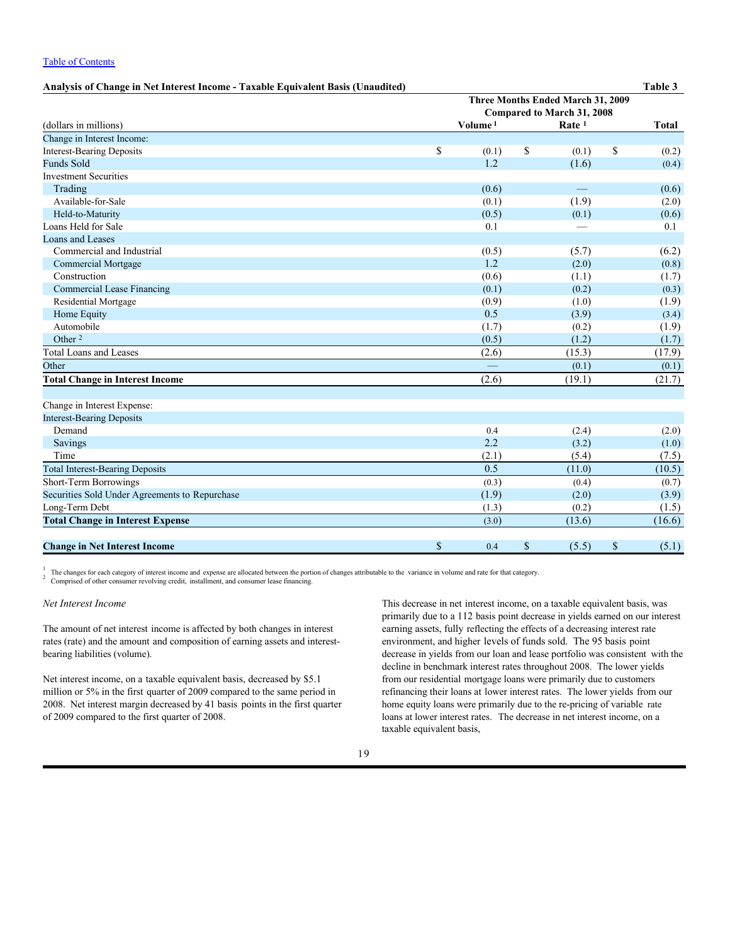| Analysis of Change in Net Interest Income - Taxable Equivalent Basis (Unaudited) |              |                     |                                                                 | Table 3      |
|----------------------------------------------------------------------------------|--------------|---------------------|-----------------------------------------------------------------|--------------|
|                                                                                  |              |                     | Three Months Ended March 31, 2009<br>Compared to March 31, 2008 |              |
| (dollars in millions)                                                            |              | Volume <sup>1</sup> | Rate <sup>1</sup>                                               | <b>Total</b> |
| Change in Interest Income:                                                       |              |                     |                                                                 |              |
| <b>Interest-Bearing Deposits</b>                                                 | \$           | (0.1)               | \$<br>(0.1)                                                     | \$<br>(0.2)  |
| <b>Funds Sold</b>                                                                |              | 1.2                 | (1.6)                                                           | (0.4)        |
| <b>Investment Securities</b>                                                     |              |                     |                                                                 |              |
| Trading                                                                          |              | (0.6)               |                                                                 | (0.6)        |
| Available-for-Sale                                                               |              | (0.1)               | (1.9)                                                           | (2.0)        |
| Held-to-Maturity                                                                 |              | (0.5)               | (0.1)                                                           | (0.6)        |
| Loans Held for Sale                                                              |              | 0.1                 |                                                                 | 0.1          |
| <b>Loans and Leases</b>                                                          |              |                     |                                                                 |              |
| Commercial and Industrial                                                        |              | (0.5)               | (5.7)                                                           | (6.2)        |
| <b>Commercial Mortgage</b>                                                       |              | 1.2                 | (2.0)                                                           | (0.8)        |
| Construction                                                                     |              | (0.6)               | (1.1)                                                           | (1.7)        |
| <b>Commercial Lease Financing</b>                                                |              | (0.1)               | (0.2)                                                           | (0.3)        |
| Residential Mortgage                                                             |              | (0.9)               | (1.0)                                                           | (1.9)        |
| Home Equity                                                                      |              | 0.5                 | (3.9)                                                           | (3.4)        |
| Automobile                                                                       |              | (1.7)               | (0.2)                                                           | (1.9)        |
| Other <sup>2</sup>                                                               |              | (0.5)               | (1.2)                                                           | (1.7)        |
| <b>Total Loans and Leases</b>                                                    |              | (2.6)               | (15.3)                                                          | (17.9)       |
| Other                                                                            |              |                     | (0.1)                                                           | (0.1)        |
| <b>Total Change in Interest Income</b>                                           |              | (2.6)               | (19.1)                                                          | (21.7)       |
| Change in Interest Expense:                                                      |              |                     |                                                                 |              |
| <b>Interest-Bearing Deposits</b>                                                 |              |                     |                                                                 |              |
| Demand                                                                           |              | 0.4                 | (2.4)                                                           | (2.0)        |
| Savings                                                                          |              | 2.2                 | (3.2)                                                           | (1.0)        |
| Time                                                                             |              | (2.1)               | (5.4)                                                           | (7.5)        |
| <b>Total Interest-Bearing Deposits</b>                                           |              | 0.5                 | (11.0)                                                          | (10.5)       |
| Short-Term Borrowings                                                            |              | (0.3)               | (0.4)                                                           | (0.7)        |
| Securities Sold Under Agreements to Repurchase                                   |              | (1.9)               | (2.0)                                                           | (3.9)        |
| Long-Term Debt                                                                   |              | (1.3)               | (0.2)                                                           | (1.5)        |
| <b>Total Change in Interest Expense</b>                                          |              | (3.0)               | (13.6)                                                          | (16.6)       |
| <b>Change in Net Interest Income</b>                                             | $\mathbb{S}$ | 0.4                 | \$<br>(5.5)                                                     | \$<br>(5.1)  |

The changes for each category of interest income and expense are allocated between the portion of changes attributable to the variance in volume and rate for that category.<br>Comprised of other consumer revolving credit, ins 1 2

# *Net Interest Income*

The amount of net interest income is affected by both changes in interest rates (rate) and the amount and composition of earning assets and interestbearing liabilities (volume).

Net interest income, on a taxable equivalent basis, decreased by \$5.1 million or 5% in the first quarter of 2009 compared to the same period in 2008. Net interest margin decreased by 41 basis points in the first quarter of 2009 compared to the first quarter of 2008.

This decrease in net interest income, on a taxable equivalent basis, was primarily due to a 112 basis point decrease in yields earned on our interest earning assets, fully reflecting the effects of a decreasing interest rate environment, and higher levels of funds sold. The 95 basis point decrease in yields from our loan and lease portfolio was consistent with the decline in benchmark interest rates throughout 2008. The lower yields from our residential mortgage loans were primarily due to customers refinancing their loans at lower interest rates. The lower yields from our home equity loans were primarily due to the re-pricing of variable rate loans at lower interest rates. The decrease in net interest income, on a taxable equivalent basis,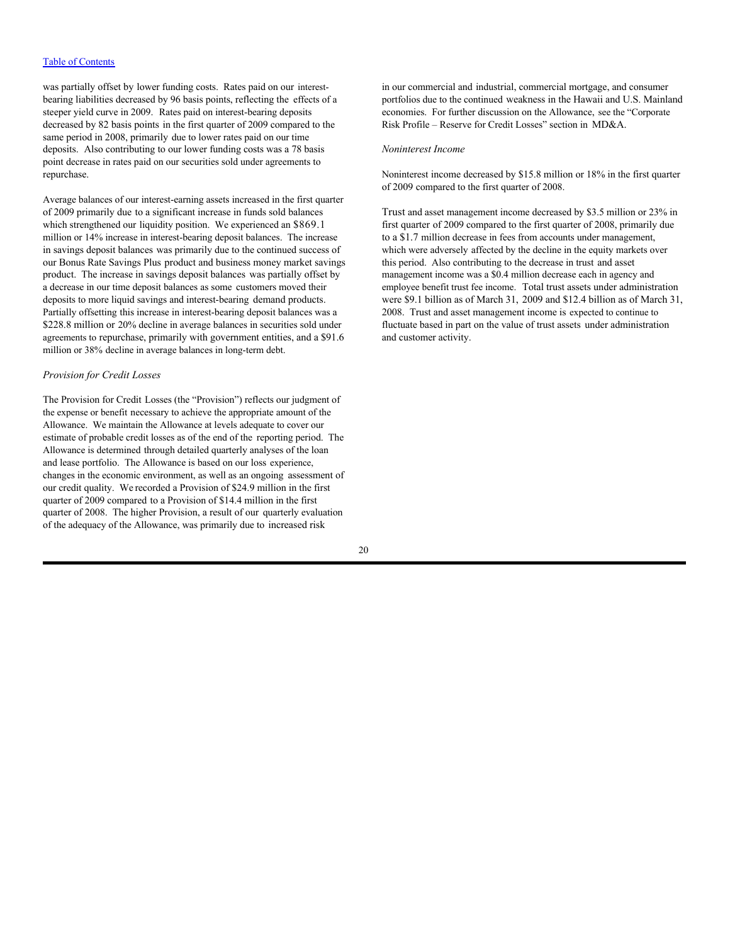was partially offset by lower funding costs. Rates paid on our interestbearing liabilities decreased by 96 basis points, reflecting the effects of a steeper yield curve in 2009. Rates paid on interest-bearing deposits decreased by 82 basis points in the first quarter of 2009 compared to the same period in 2008, primarily due to lower rates paid on our time deposits. Also contributing to our lower funding costs was a 78 basis point decrease in rates paid on our securities sold under agreements to repurchase.

Average balances of our interest-earning assets increased in the first quarter of 2009 primarily due to a significant increase in funds sold balances which strengthened our liquidity position. We experienced an \$869.1 million or 14% increase in interest-bearing deposit balances. The increase in savings deposit balances was primarily due to the continued success of our Bonus Rate Savings Plus product and business money market savings product. The increase in savings deposit balances was partially offset by a decrease in our time deposit balances as some customers moved their deposits to more liquid savings and interest-bearing demand products. Partially offsetting this increase in interest-bearing deposit balances was a \$228.8 million or 20% decline in average balances in securities sold under agreements to repurchase, primarily with government entities, and a \$91.6 million or 38% decline in average balances in long-term debt.

# *Provision for Credit Losses*

The Provision for Credit Losses (the "Provision") reflects our judgment of the expense or benefit necessary to achieve the appropriate amount of the Allowance. We maintain the Allowance at levels adequate to cover our estimate of probable credit losses as of the end of the reporting period. The Allowance is determined through detailed quarterly analyses of the loan and lease portfolio. The Allowance is based on our loss experience, changes in the economic environment, as well as an ongoing assessment of our credit quality. We recorded a Provision of \$24.9 million in the first quarter of 2009 compared to a Provision of \$14.4 million in the first quarter of 2008. The higher Provision, a result of our quarterly evaluation of the adequacy of the Allowance, was primarily due to increased risk

in our commercial and industrial, commercial mortgage, and consumer portfolios due to the continued weakness in the Hawaii and U.S. Mainland economies. For further discussion on the Allowance, see the "Corporate Risk Profile – Reserve for Credit Losses" section in MD&A.

# *Noninterest Income*

Noninterest income decreased by \$15.8 million or 18% in the first quarter of 2009 compared to the first quarter of 2008.

Trust and asset management income decreased by \$3.5 million or 23% in first quarter of 2009 compared to the first quarter of 2008, primarily due to a \$1.7 million decrease in fees from accounts under management, which were adversely affected by the decline in the equity markets over this period. Also contributing to the decrease in trust and asset management income was a \$0.4 million decrease each in agency and employee benefit trust fee income. Total trust assets under administration were \$9.1 billion as of March 31, 2009 and \$12.4 billion as of March 31, 2008. Trust and asset management income is expected to continue to fluctuate based in part on the value of trust assets under administration and customer activity.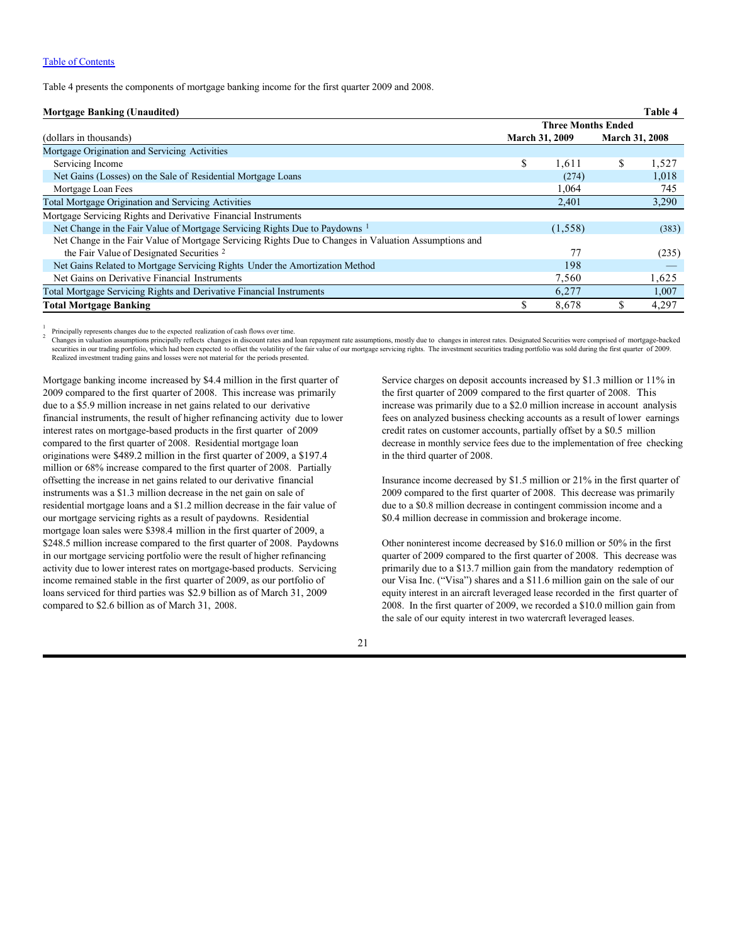Table 4 presents the components of mortgage banking income for the first quarter 2009 and 2008.

# **Mortgage Banking (Unaudited) Table 4**

| $1001$ teach banning (chauditure)                                                                     |                       |                           |                       | 1891 V |
|-------------------------------------------------------------------------------------------------------|-----------------------|---------------------------|-----------------------|--------|
|                                                                                                       |                       | <b>Three Months Ended</b> |                       |        |
| (dollars in thousands)                                                                                | <b>March 31, 2009</b> |                           | <b>March 31, 2008</b> |        |
| Mortgage Origination and Servicing Activities                                                         |                       |                           |                       |        |
| Servicing Income                                                                                      | S                     | 1,611                     | S                     | 1,527  |
| Net Gains (Losses) on the Sale of Residential Mortgage Loans                                          |                       | (274)                     |                       | 1,018  |
| Mortgage Loan Fees                                                                                    |                       | 1,064                     |                       | 745    |
| Total Mortgage Origination and Servicing Activities                                                   |                       | 2,401                     |                       | 3,290  |
| Mortgage Servicing Rights and Derivative Financial Instruments                                        |                       |                           |                       |        |
| Net Change in the Fair Value of Mortgage Servicing Rights Due to Paydowns <sup>1</sup>                |                       | (1, 558)                  |                       | (383)  |
| Net Change in the Fair Value of Mortgage Servicing Rights Due to Changes in Valuation Assumptions and |                       |                           |                       |        |
| the Fair Value of Designated Securities <sup>2</sup>                                                  |                       | 77                        |                       | (235)  |
| Net Gains Related to Mortgage Servicing Rights Under the Amortization Method                          |                       | 198                       |                       |        |
| Net Gains on Derivative Financial Instruments                                                         |                       | 7,560                     |                       | 1,625  |
| Total Mortgage Servicing Rights and Derivative Financial Instruments                                  |                       | 6,277                     |                       | 1.007  |
| Total Mortgage Banking                                                                                |                       | 8,678                     |                       | 4,297  |

Principally represents changes due to the expected realization of cash flows over time. 1

Changes in valuation assumptions principally reflects changes in discount rates and loan repayment rate assumptions, mostly due to changes in interest rates. Designated Securities were comprised of mortgage-backed securities in our trading portfolio, which had been expected to offset the volatility of the fair value of our mortgage servicing rights. The investment securities trading portfolio was sold during the first quarter of 200 Realized investment trading gains and losses were not material for the periods presented.

Mortgage banking income increased by \$4.4 million in the first quarter of 2009 compared to the first quarter of 2008. This increase was primarily due to a \$5.9 million increase in net gains related to our derivative financial instruments, the result of higher refinancing activity due to lower interest rates on mortgage-based products in the first quarter of 2009 compared to the first quarter of 2008. Residential mortgage loan originations were \$489.2 million in the first quarter of 2009, a \$197.4 million or 68% increase compared to the first quarter of 2008. Partially offsetting the increase in net gains related to our derivative financial instruments was a \$1.3 million decrease in the net gain on sale of residential mortgage loans and a \$1.2 million decrease in the fair value of our mortgage servicing rights as a result of paydowns. Residential mortgage loan sales were \$398.4 million in the first quarter of 2009, a \$248.5 million increase compared to the first quarter of 2008. Paydowns in our mortgage servicing portfolio were the result of higher refinancing activity due to lower interest rates on mortgage-based products. Servicing income remained stable in the first quarter of 2009, as our portfolio of loans serviced for third parties was \$2.9 billion as of March 31, 2009 compared to \$2.6 billion as of March 31, 2008.

Service charges on deposit accounts increased by \$1.3 million or 11% in the first quarter of 2009 compared to the first quarter of 2008. This increase was primarily due to a \$2.0 million increase in account analysis fees on analyzed business checking accounts as a result of lower earnings credit rates on customer accounts, partially offset by a \$0.5 million decrease in monthly service fees due to the implementation of free checking in the third quarter of 2008.

Insurance income decreased by \$1.5 million or 21% in the first quarter of 2009 compared to the first quarter of 2008. This decrease was primarily due to a \$0.8 million decrease in contingent commission income and a \$0.4 million decrease in commission and brokerage income.

Other noninterest income decreased by \$16.0 million or 50% in the first quarter of 2009 compared to the first quarter of 2008. This decrease was primarily due to a \$13.7 million gain from the mandatory redemption of our Visa Inc. ("Visa") shares and a \$11.6 million gain on the sale of our equity interest in an aircraft leveraged lease recorded in the first quarter of 2008. In the first quarter of 2009, we recorded a \$10.0 million gain from the sale of our equity interest in two watercraft leveraged leases.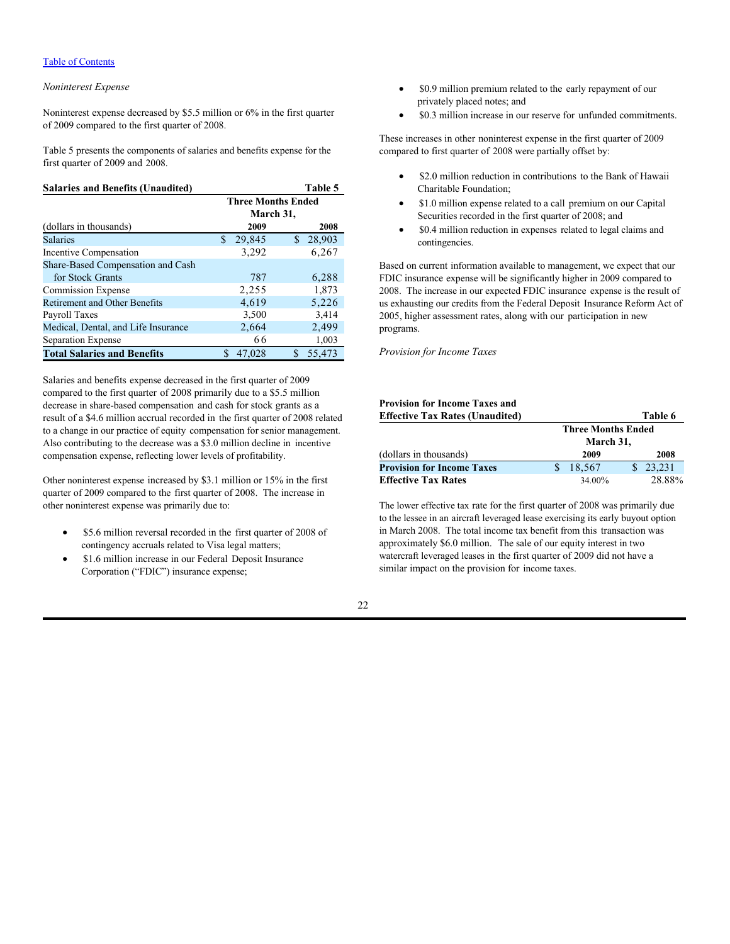# *Noninterest Expense*

Noninterest expense decreased by \$5.5 million or 6% in the first quarter of 2009 compared to the first quarter of 2008.

Table 5 presents the components of salaries and benefits expense for the first quarter of 2009 and 2008.

| <b>Salaries and Benefits (Unaudited)</b> |           |                           |    | Table 5 |  |  |
|------------------------------------------|-----------|---------------------------|----|---------|--|--|
|                                          |           | <b>Three Months Ended</b> |    |         |  |  |
|                                          | March 31, |                           |    |         |  |  |
| (dollars in thousands)                   |           | 2009                      |    | 2008    |  |  |
| <b>Salaries</b>                          | S.        | 29,845                    | \$ | 28,903  |  |  |
| Incentive Compensation                   |           | 3,292                     |    | 6,267   |  |  |
| Share-Based Compensation and Cash        |           |                           |    |         |  |  |
| for Stock Grants                         |           | 787                       |    | 6,288   |  |  |
| <b>Commission Expense</b>                |           | 2,255                     |    | 1,873   |  |  |
| Retirement and Other Benefits            |           | 4,619                     |    | 5,226   |  |  |
| Payroll Taxes                            |           | 3,500                     |    | 3,414   |  |  |
| Medical, Dental, and Life Insurance      |           | 2,664                     |    | 2,499   |  |  |
| Separation Expense                       |           | 66                        |    | 1,003   |  |  |
| <b>Total Salaries and Benefits</b>       | S.        | 47,028                    | S  | 55.473  |  |  |

Salaries and benefits expense decreased in the first quarter of 2009 compared to the first quarter of 2008 primarily due to a \$5.5 million decrease in share-based compensation and cash for stock grants as a result of a \$4.6 million accrual recorded in the first quarter of 2008 related to a change in our practice of equity compensation for senior management. Also contributing to the decrease was a \$3.0 million decline in incentive compensation expense, reflecting lower levels of profitability.

Other noninterest expense increased by \$3.1 million or 15% in the first quarter of 2009 compared to the first quarter of 2008. The increase in other noninterest expense was primarily due to:

- · \$5.6 million reversal recorded in the first quarter of 2008 of contingency accruals related to Visa legal matters;
- \$1.6 million increase in our Federal Deposit Insurance Corporation ("FDIC") insurance expense;
- \$0.9 million premium related to the early repayment of our privately placed notes; and
- · \$0.3 million increase in our reserve for unfunded commitments.

These increases in other noninterest expense in the first quarter of 2009 compared to first quarter of 2008 were partially offset by:

- \$2.0 million reduction in contributions to the Bank of Hawaii Charitable Foundation;
- · \$1.0 million expense related to a call premium on our Capital Securities recorded in the first quarter of 2008; and
- · \$0.4 million reduction in expenses related to legal claims and contingencies.

Based on current information available to management, we expect that our FDIC insurance expense will be significantly higher in 2009 compared to 2008. The increase in our expected FDIC insurance expense is the result of us exhausting our credits from the Federal Deposit Insurance Reform Act of 2005, higher assessment rates, along with our participation in new programs.

*Provision for Income Taxes*

# **Provision for Income Taxes and Effective Tax Rates (Unaudited) Table 6**

|                                   | <b>Three Months Ended</b> |           |  |           |  |  |  |  |
|-----------------------------------|---------------------------|-----------|--|-----------|--|--|--|--|
| (dollars in thousands)            |                           | March 31, |  |           |  |  |  |  |
|                                   |                           | 2009      |  | 2008      |  |  |  |  |
| <b>Provision for Income Taxes</b> |                           | 18.567    |  | \$ 23,231 |  |  |  |  |
| <b>Effective Tax Rates</b>        |                           | 34.00%    |  | 28.88%    |  |  |  |  |

The lower effective tax rate for the first quarter of 2008 was primarily due to the lessee in an aircraft leveraged lease exercising its early buyout option in March 2008. The total income tax benefit from this transaction was approximately \$6.0 million. The sale of our equity interest in two watercraft leveraged leases in the first quarter of 2009 did not have a similar impact on the provision for income taxes.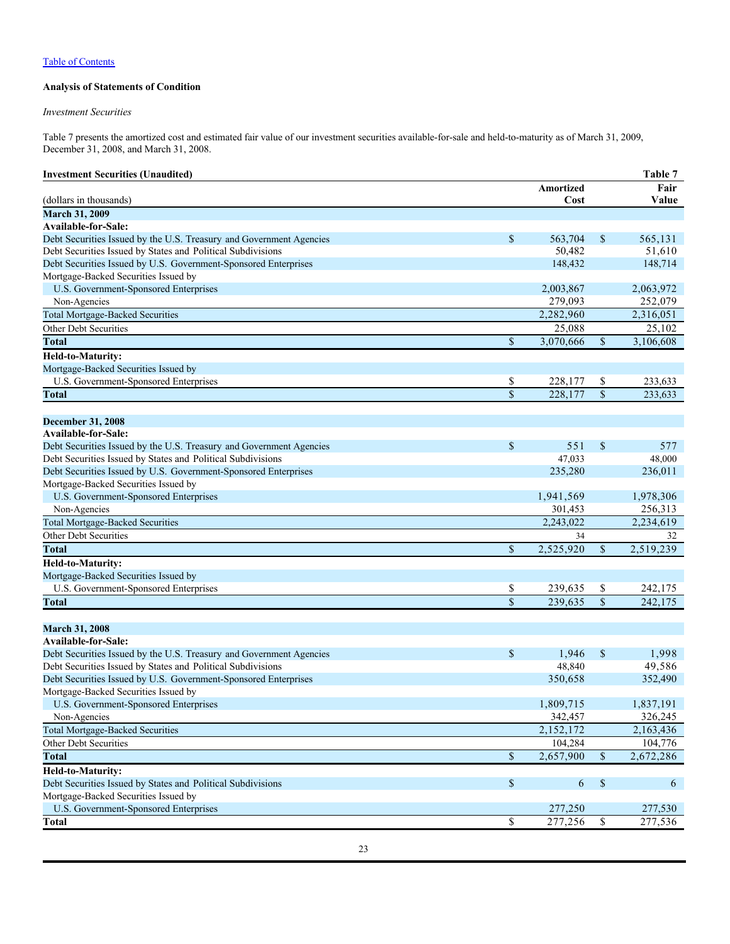# **Analysis of Statements of Condition**

# *Investment Securities*

Table 7 presents the amortized cost and estimated fair value of our investment securities available-for-sale and held-to-maturity as of March 31, 2009, December 31, 2008, and March 31, 2008.

# **Investment Securities (Unaudited) Table 7**

| Value<br>Cost<br>Available-for-Sale:<br>\$<br>563,704<br>\$<br>565,131<br>50,482<br>51,610<br>148,714<br>148,432<br>U.S. Government-Sponsored Enterprises<br>2,003,867<br>2,063,972<br>279,093<br>Non-Agencies<br>252,079<br>2,282,960<br>2,316,051<br>25,088<br>25,102<br>\$<br>3,070,666<br>$\mathbb{S}$<br>3,106,608<br><b>Held-to-Maturity:</b><br>Mortgage-Backed Securities Issued by<br>\$<br>228,177<br>U.S. Government-Sponsored Enterprises<br>\$<br>233,633<br>$\overline{\$}$<br>$\mathcal{S}$<br>228,177<br>233,633<br><b>Available-for-Sale:</b><br>\$<br>551<br>\$<br>577<br>47,033<br>48,000<br>235,280<br>236,011<br>1,941,569<br>1,978,306<br>U.S. Government-Sponsored Enterprises<br>Non-Agencies<br>256,313<br>301,453<br>2,243,022<br>2,234,619<br><b>Other Debt Securities</b><br>34<br>32<br>\$<br>2,525,920<br>$\mathbb{S}$<br>2,519,239<br>Held-to-Maturity:<br>\$<br>239,635<br>\$<br>242,175<br>U.S. Government-Sponsored Enterprises<br>\$<br>$\mathcal{S}$<br>239,635<br>242,175<br>Total<br><b>Available-for-Sale:</b><br>\$<br>\$<br>1,998<br>1,946<br>49,586<br>48,840<br>350,658<br>352,490<br>U.S. Government-Sponsored Enterprises<br>1,809,715<br>1,837,191<br>Non-Agencies<br>342,457<br>326,245<br>2,152,172<br>2,163,436<br><b>Total Mortgage-Backed Securities</b><br>104,284<br>104,776<br>\$<br>2,657,900<br>$\mathbb{S}$<br>2,672,286<br>$\mathbb{S}$<br>\$<br>6<br>6<br>U.S. Government-Sponsored Enterprises<br>277,250<br>277,530<br>\$<br>$\mathbb{S}$<br>277,256<br>277,536 |                                                                     | Amortized | Fair |
|------------------------------------------------------------------------------------------------------------------------------------------------------------------------------------------------------------------------------------------------------------------------------------------------------------------------------------------------------------------------------------------------------------------------------------------------------------------------------------------------------------------------------------------------------------------------------------------------------------------------------------------------------------------------------------------------------------------------------------------------------------------------------------------------------------------------------------------------------------------------------------------------------------------------------------------------------------------------------------------------------------------------------------------------------------------------------------------------------------------------------------------------------------------------------------------------------------------------------------------------------------------------------------------------------------------------------------------------------------------------------------------------------------------------------------------------------------------------------------------------------------------------------|---------------------------------------------------------------------|-----------|------|
|                                                                                                                                                                                                                                                                                                                                                                                                                                                                                                                                                                                                                                                                                                                                                                                                                                                                                                                                                                                                                                                                                                                                                                                                                                                                                                                                                                                                                                                                                                                              | (dollars in thousands)                                              |           |      |
|                                                                                                                                                                                                                                                                                                                                                                                                                                                                                                                                                                                                                                                                                                                                                                                                                                                                                                                                                                                                                                                                                                                                                                                                                                                                                                                                                                                                                                                                                                                              | <b>March 31, 2009</b>                                               |           |      |
|                                                                                                                                                                                                                                                                                                                                                                                                                                                                                                                                                                                                                                                                                                                                                                                                                                                                                                                                                                                                                                                                                                                                                                                                                                                                                                                                                                                                                                                                                                                              |                                                                     |           |      |
|                                                                                                                                                                                                                                                                                                                                                                                                                                                                                                                                                                                                                                                                                                                                                                                                                                                                                                                                                                                                                                                                                                                                                                                                                                                                                                                                                                                                                                                                                                                              | Debt Securities Issued by the U.S. Treasury and Government Agencies |           |      |
|                                                                                                                                                                                                                                                                                                                                                                                                                                                                                                                                                                                                                                                                                                                                                                                                                                                                                                                                                                                                                                                                                                                                                                                                                                                                                                                                                                                                                                                                                                                              | Debt Securities Issued by States and Political Subdivisions         |           |      |
|                                                                                                                                                                                                                                                                                                                                                                                                                                                                                                                                                                                                                                                                                                                                                                                                                                                                                                                                                                                                                                                                                                                                                                                                                                                                                                                                                                                                                                                                                                                              | Debt Securities Issued by U.S. Government-Sponsored Enterprises     |           |      |
|                                                                                                                                                                                                                                                                                                                                                                                                                                                                                                                                                                                                                                                                                                                                                                                                                                                                                                                                                                                                                                                                                                                                                                                                                                                                                                                                                                                                                                                                                                                              | Mortgage-Backed Securities Issued by                                |           |      |
|                                                                                                                                                                                                                                                                                                                                                                                                                                                                                                                                                                                                                                                                                                                                                                                                                                                                                                                                                                                                                                                                                                                                                                                                                                                                                                                                                                                                                                                                                                                              |                                                                     |           |      |
|                                                                                                                                                                                                                                                                                                                                                                                                                                                                                                                                                                                                                                                                                                                                                                                                                                                                                                                                                                                                                                                                                                                                                                                                                                                                                                                                                                                                                                                                                                                              |                                                                     |           |      |
|                                                                                                                                                                                                                                                                                                                                                                                                                                                                                                                                                                                                                                                                                                                                                                                                                                                                                                                                                                                                                                                                                                                                                                                                                                                                                                                                                                                                                                                                                                                              | <b>Total Mortgage-Backed Securities</b>                             |           |      |
|                                                                                                                                                                                                                                                                                                                                                                                                                                                                                                                                                                                                                                                                                                                                                                                                                                                                                                                                                                                                                                                                                                                                                                                                                                                                                                                                                                                                                                                                                                                              | Other Debt Securities                                               |           |      |
|                                                                                                                                                                                                                                                                                                                                                                                                                                                                                                                                                                                                                                                                                                                                                                                                                                                                                                                                                                                                                                                                                                                                                                                                                                                                                                                                                                                                                                                                                                                              | <b>Total</b>                                                        |           |      |
|                                                                                                                                                                                                                                                                                                                                                                                                                                                                                                                                                                                                                                                                                                                                                                                                                                                                                                                                                                                                                                                                                                                                                                                                                                                                                                                                                                                                                                                                                                                              |                                                                     |           |      |
|                                                                                                                                                                                                                                                                                                                                                                                                                                                                                                                                                                                                                                                                                                                                                                                                                                                                                                                                                                                                                                                                                                                                                                                                                                                                                                                                                                                                                                                                                                                              |                                                                     |           |      |
|                                                                                                                                                                                                                                                                                                                                                                                                                                                                                                                                                                                                                                                                                                                                                                                                                                                                                                                                                                                                                                                                                                                                                                                                                                                                                                                                                                                                                                                                                                                              |                                                                     |           |      |
|                                                                                                                                                                                                                                                                                                                                                                                                                                                                                                                                                                                                                                                                                                                                                                                                                                                                                                                                                                                                                                                                                                                                                                                                                                                                                                                                                                                                                                                                                                                              | <b>Total</b>                                                        |           |      |
|                                                                                                                                                                                                                                                                                                                                                                                                                                                                                                                                                                                                                                                                                                                                                                                                                                                                                                                                                                                                                                                                                                                                                                                                                                                                                                                                                                                                                                                                                                                              |                                                                     |           |      |
|                                                                                                                                                                                                                                                                                                                                                                                                                                                                                                                                                                                                                                                                                                                                                                                                                                                                                                                                                                                                                                                                                                                                                                                                                                                                                                                                                                                                                                                                                                                              | <b>December 31, 2008</b>                                            |           |      |
|                                                                                                                                                                                                                                                                                                                                                                                                                                                                                                                                                                                                                                                                                                                                                                                                                                                                                                                                                                                                                                                                                                                                                                                                                                                                                                                                                                                                                                                                                                                              |                                                                     |           |      |
|                                                                                                                                                                                                                                                                                                                                                                                                                                                                                                                                                                                                                                                                                                                                                                                                                                                                                                                                                                                                                                                                                                                                                                                                                                                                                                                                                                                                                                                                                                                              | Debt Securities Issued by the U.S. Treasury and Government Agencies |           |      |
|                                                                                                                                                                                                                                                                                                                                                                                                                                                                                                                                                                                                                                                                                                                                                                                                                                                                                                                                                                                                                                                                                                                                                                                                                                                                                                                                                                                                                                                                                                                              | Debt Securities Issued by States and Political Subdivisions         |           |      |
|                                                                                                                                                                                                                                                                                                                                                                                                                                                                                                                                                                                                                                                                                                                                                                                                                                                                                                                                                                                                                                                                                                                                                                                                                                                                                                                                                                                                                                                                                                                              | Debt Securities Issued by U.S. Government-Sponsored Enterprises     |           |      |
|                                                                                                                                                                                                                                                                                                                                                                                                                                                                                                                                                                                                                                                                                                                                                                                                                                                                                                                                                                                                                                                                                                                                                                                                                                                                                                                                                                                                                                                                                                                              | Mortgage-Backed Securities Issued by                                |           |      |
|                                                                                                                                                                                                                                                                                                                                                                                                                                                                                                                                                                                                                                                                                                                                                                                                                                                                                                                                                                                                                                                                                                                                                                                                                                                                                                                                                                                                                                                                                                                              |                                                                     |           |      |
|                                                                                                                                                                                                                                                                                                                                                                                                                                                                                                                                                                                                                                                                                                                                                                                                                                                                                                                                                                                                                                                                                                                                                                                                                                                                                                                                                                                                                                                                                                                              |                                                                     |           |      |
|                                                                                                                                                                                                                                                                                                                                                                                                                                                                                                                                                                                                                                                                                                                                                                                                                                                                                                                                                                                                                                                                                                                                                                                                                                                                                                                                                                                                                                                                                                                              | <b>Total Mortgage-Backed Securities</b>                             |           |      |
|                                                                                                                                                                                                                                                                                                                                                                                                                                                                                                                                                                                                                                                                                                                                                                                                                                                                                                                                                                                                                                                                                                                                                                                                                                                                                                                                                                                                                                                                                                                              |                                                                     |           |      |
|                                                                                                                                                                                                                                                                                                                                                                                                                                                                                                                                                                                                                                                                                                                                                                                                                                                                                                                                                                                                                                                                                                                                                                                                                                                                                                                                                                                                                                                                                                                              | Total                                                               |           |      |
|                                                                                                                                                                                                                                                                                                                                                                                                                                                                                                                                                                                                                                                                                                                                                                                                                                                                                                                                                                                                                                                                                                                                                                                                                                                                                                                                                                                                                                                                                                                              |                                                                     |           |      |
|                                                                                                                                                                                                                                                                                                                                                                                                                                                                                                                                                                                                                                                                                                                                                                                                                                                                                                                                                                                                                                                                                                                                                                                                                                                                                                                                                                                                                                                                                                                              | Mortgage-Backed Securities Issued by                                |           |      |
|                                                                                                                                                                                                                                                                                                                                                                                                                                                                                                                                                                                                                                                                                                                                                                                                                                                                                                                                                                                                                                                                                                                                                                                                                                                                                                                                                                                                                                                                                                                              |                                                                     |           |      |
|                                                                                                                                                                                                                                                                                                                                                                                                                                                                                                                                                                                                                                                                                                                                                                                                                                                                                                                                                                                                                                                                                                                                                                                                                                                                                                                                                                                                                                                                                                                              |                                                                     |           |      |
|                                                                                                                                                                                                                                                                                                                                                                                                                                                                                                                                                                                                                                                                                                                                                                                                                                                                                                                                                                                                                                                                                                                                                                                                                                                                                                                                                                                                                                                                                                                              |                                                                     |           |      |
|                                                                                                                                                                                                                                                                                                                                                                                                                                                                                                                                                                                                                                                                                                                                                                                                                                                                                                                                                                                                                                                                                                                                                                                                                                                                                                                                                                                                                                                                                                                              | <b>March 31, 2008</b>                                               |           |      |
|                                                                                                                                                                                                                                                                                                                                                                                                                                                                                                                                                                                                                                                                                                                                                                                                                                                                                                                                                                                                                                                                                                                                                                                                                                                                                                                                                                                                                                                                                                                              |                                                                     |           |      |
|                                                                                                                                                                                                                                                                                                                                                                                                                                                                                                                                                                                                                                                                                                                                                                                                                                                                                                                                                                                                                                                                                                                                                                                                                                                                                                                                                                                                                                                                                                                              | Debt Securities Issued by the U.S. Treasury and Government Agencies |           |      |
|                                                                                                                                                                                                                                                                                                                                                                                                                                                                                                                                                                                                                                                                                                                                                                                                                                                                                                                                                                                                                                                                                                                                                                                                                                                                                                                                                                                                                                                                                                                              | Debt Securities Issued by States and Political Subdivisions         |           |      |
|                                                                                                                                                                                                                                                                                                                                                                                                                                                                                                                                                                                                                                                                                                                                                                                                                                                                                                                                                                                                                                                                                                                                                                                                                                                                                                                                                                                                                                                                                                                              | Debt Securities Issued by U.S. Government-Sponsored Enterprises     |           |      |
|                                                                                                                                                                                                                                                                                                                                                                                                                                                                                                                                                                                                                                                                                                                                                                                                                                                                                                                                                                                                                                                                                                                                                                                                                                                                                                                                                                                                                                                                                                                              | Mortgage-Backed Securities Issued by                                |           |      |
|                                                                                                                                                                                                                                                                                                                                                                                                                                                                                                                                                                                                                                                                                                                                                                                                                                                                                                                                                                                                                                                                                                                                                                                                                                                                                                                                                                                                                                                                                                                              |                                                                     |           |      |
|                                                                                                                                                                                                                                                                                                                                                                                                                                                                                                                                                                                                                                                                                                                                                                                                                                                                                                                                                                                                                                                                                                                                                                                                                                                                                                                                                                                                                                                                                                                              |                                                                     |           |      |
|                                                                                                                                                                                                                                                                                                                                                                                                                                                                                                                                                                                                                                                                                                                                                                                                                                                                                                                                                                                                                                                                                                                                                                                                                                                                                                                                                                                                                                                                                                                              |                                                                     |           |      |
|                                                                                                                                                                                                                                                                                                                                                                                                                                                                                                                                                                                                                                                                                                                                                                                                                                                                                                                                                                                                                                                                                                                                                                                                                                                                                                                                                                                                                                                                                                                              | Other Debt Securities                                               |           |      |
|                                                                                                                                                                                                                                                                                                                                                                                                                                                                                                                                                                                                                                                                                                                                                                                                                                                                                                                                                                                                                                                                                                                                                                                                                                                                                                                                                                                                                                                                                                                              | <b>Total</b>                                                        |           |      |
|                                                                                                                                                                                                                                                                                                                                                                                                                                                                                                                                                                                                                                                                                                                                                                                                                                                                                                                                                                                                                                                                                                                                                                                                                                                                                                                                                                                                                                                                                                                              | Held-to-Maturity:                                                   |           |      |
|                                                                                                                                                                                                                                                                                                                                                                                                                                                                                                                                                                                                                                                                                                                                                                                                                                                                                                                                                                                                                                                                                                                                                                                                                                                                                                                                                                                                                                                                                                                              | Debt Securities Issued by States and Political Subdivisions         |           |      |
|                                                                                                                                                                                                                                                                                                                                                                                                                                                                                                                                                                                                                                                                                                                                                                                                                                                                                                                                                                                                                                                                                                                                                                                                                                                                                                                                                                                                                                                                                                                              | Mortgage-Backed Securities Issued by                                |           |      |
|                                                                                                                                                                                                                                                                                                                                                                                                                                                                                                                                                                                                                                                                                                                                                                                                                                                                                                                                                                                                                                                                                                                                                                                                                                                                                                                                                                                                                                                                                                                              |                                                                     |           |      |
|                                                                                                                                                                                                                                                                                                                                                                                                                                                                                                                                                                                                                                                                                                                                                                                                                                                                                                                                                                                                                                                                                                                                                                                                                                                                                                                                                                                                                                                                                                                              | Total                                                               |           |      |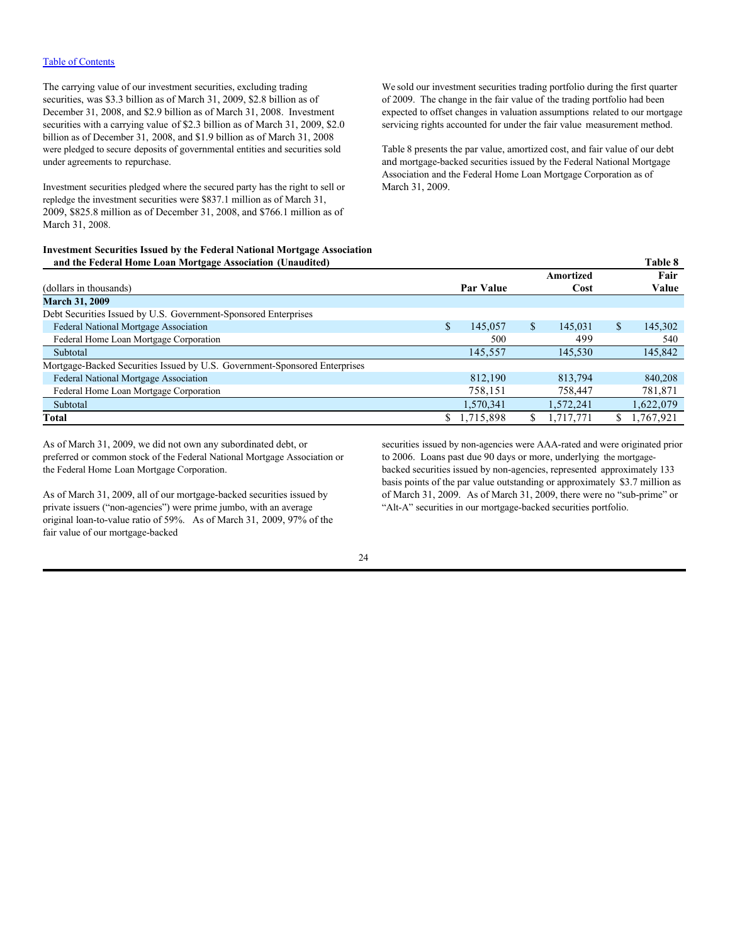The carrying value of our investment securities, excluding trading securities, was \$3.3 billion as of March 31, 2009, \$2.8 billion as of December 31, 2008, and \$2.9 billion as of March 31, 2008. Investment securities with a carrying value of \$2.3 billion as of March 31, 2009, \$2.0 billion as of December 31, 2008, and \$1.9 billion as of March 31, 2008 were pledged to secure deposits of governmental entities and securities sold under agreements to repurchase.

Investment securities pledged where the secured party has the right to sell or repledge the investment securities were \$837.1 million as of March 31, 2009, \$825.8 million as of December 31, 2008, and \$766.1 million as of March 31, 2008.

# **Investment Securities Issued by the Federal National Mortgage Association and the Federal Home Loan Mortgage Association (Unaudited) Table 8**

We sold our investment securities trading portfolio during the first quarter of 2009. The change in the fair value of the trading portfolio had been expected to offset changes in valuation assumptions related to our mortgage servicing rights accounted for under the fair value measurement method.

Table 8 presents the par value, amortized cost, and fair value of our debt and mortgage-backed securities issued by the Federal National Mortgage Association and the Federal Home Loan Mortgage Corporation as of March 31, 2009.

|                                                                            |     |           | Amortized     |     | Fair      |
|----------------------------------------------------------------------------|-----|-----------|---------------|-----|-----------|
| (dollars in thousands)                                                     |     | Par Value | Cost          |     | Value     |
| <b>March 31, 2009</b>                                                      |     |           |               |     |           |
| Debt Securities Issued by U.S. Government-Sponsored Enterprises            |     |           |               |     |           |
| Federal National Mortgage Association                                      | \$. | 145,057   | \$<br>145,031 | аĐ. | 145,302   |
| Federal Home Loan Mortgage Corporation                                     |     | 500       | 499           |     | 540       |
| Subtotal                                                                   |     | 145,557   | 145,530       |     | 145,842   |
| Mortgage-Backed Securities Issued by U.S. Government-Sponsored Enterprises |     |           |               |     |           |
| Federal National Mortgage Association                                      |     | 812,190   | 813,794       |     | 840,208   |
| Federal Home Loan Mortgage Corporation                                     |     | 758,151   | 758,447       |     | 781,871   |
| Subtotal                                                                   |     | 1,570,341 | 1,572,241     |     | 1,622,079 |
| Total                                                                      |     | 1,715,898 | 1.717.771     |     | 1,767,921 |

As of March 31, 2009, we did not own any subordinated debt, or preferred or common stock of the Federal National Mortgage Association or the Federal Home Loan Mortgage Corporation.

As of March 31, 2009, all of our mortgage-backed securities issued by private issuers ("non-agencies") were prime jumbo, with an average original loan-to-value ratio of 59%. As of March 31, 2009, 97% of the fair value of our mortgage-backed

securities issued by non-agencies were AAA-rated and were originated prior to 2006. Loans past due 90 days or more, underlying the mortgagebacked securities issued by non-agencies, represented approximately 133 basis points of the par value outstanding or approximately \$3.7 million as of March 31, 2009. As of March 31, 2009, there were no "sub-prime" or "Alt-A" securities in our mortgage-backed securities portfolio.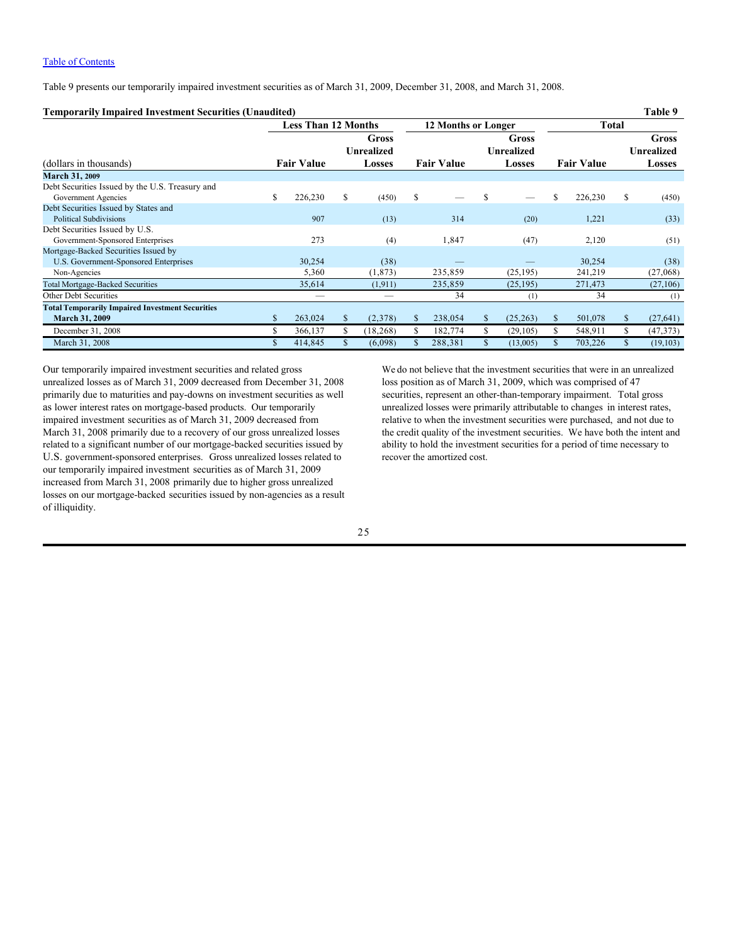Table 9 presents our temporarily impaired investment securities as of March 31, 2009, December 31, 2008, and March 31, 2008.

| <b>Temporarily Impaired Investment Securities (Unaudited)</b> |    |                            |    |                                   |                     |                   |              |                            |       |                   |    | Table 9                           |
|---------------------------------------------------------------|----|----------------------------|----|-----------------------------------|---------------------|-------------------|--------------|----------------------------|-------|-------------------|----|-----------------------------------|
|                                                               |    | <b>Less Than 12 Months</b> |    |                                   | 12 Months or Longer |                   |              |                            | Total |                   |    |                                   |
|                                                               |    |                            |    | <b>Gross</b><br><b>Unrealized</b> |                     |                   |              | Gross<br><b>Unrealized</b> |       |                   |    | <b>Gross</b><br><b>Unrealized</b> |
| (dollars in thousands)                                        |    | <b>Fair Value</b>          |    | <b>Losses</b>                     |                     | <b>Fair Value</b> |              | <b>Losses</b>              |       | <b>Fair Value</b> |    | <b>Losses</b>                     |
| March 31, 2009                                                |    |                            |    |                                   |                     |                   |              |                            |       |                   |    |                                   |
| Debt Securities Issued by the U.S. Treasury and               |    |                            |    |                                   |                     |                   |              |                            |       |                   |    |                                   |
| Government Agencies                                           | S  | 226,230                    | S  | (450)                             | \$                  |                   | \$.          |                            | S     | 226,230           | \$ | (450)                             |
| Debt Securities Issued by States and                          |    |                            |    |                                   |                     |                   |              |                            |       |                   |    |                                   |
| <b>Political Subdivisions</b>                                 |    | 907                        |    | (13)                              |                     | 314               |              | (20)                       |       | 1,221             |    | (33)                              |
| Debt Securities Issued by U.S.                                |    |                            |    |                                   |                     |                   |              |                            |       |                   |    |                                   |
| Government-Sponsored Enterprises                              |    | 273                        |    | (4)                               |                     | 1,847             |              | (47)                       |       | 2,120             |    | (51)                              |
| Mortgage-Backed Securities Issued by                          |    |                            |    |                                   |                     |                   |              |                            |       |                   |    |                                   |
| U.S. Government-Sponsored Enterprises                         |    | 30,254                     |    | (38)                              |                     |                   |              |                            |       | 30,254            |    | (38)                              |
| Non-Agencies                                                  |    | 5,360                      |    | (1, 873)                          |                     | 235,859           |              | (25, 195)                  |       | 241,219           |    | (27,068)                          |
| <b>Total Mortgage-Backed Securities</b>                       |    | 35,614                     |    | (1, 911)                          |                     | 235,859           |              | (25, 195)                  |       | 271,473           |    | (27,106)                          |
| Other Debt Securities                                         |    |                            |    | $\overbrace{\hspace{25mm}}^{}$    |                     | 34                |              | (1)                        |       | 34                |    | (1)                               |
| <b>Total Temporarily Impaired Investment Securities</b>       |    |                            |    |                                   |                     |                   |              |                            |       |                   |    |                                   |
| <b>March 31, 2009</b>                                         | \$ | 263,024                    | \$ | (2,378)                           | \$                  | 238,054           | $\mathbb{S}$ | (25, 263)                  | \$    | 501,078           | \$ | (27, 641)                         |
| December 31, 2008                                             |    | 366,137                    | \$ | (18, 268)                         |                     | 182,774           | S.           | (29, 105)                  | \$    | 548,911           | \$ | (47, 373)                         |
| March 31, 2008                                                |    | 414,845                    |    | (6,098)                           |                     | 288,381           |              | (13,005)                   |       | 703,226           |    | (19, 103)                         |

Our temporarily impaired investment securities and related gross unrealized losses as of March 31, 2009 decreased from December 31, 2008 primarily due to maturities and pay-downs on investment securities as well as lower interest rates on mortgage-based products. Our temporarily impaired investment securities as of March 31, 2009 decreased from March 31, 2008 primarily due to a recovery of our gross unrealized losses related to a significant number of our mortgage-backed securities issued by U.S. government-sponsored enterprises. Gross unrealized losses related to our temporarily impaired investment securities as of March 31, 2009 increased from March 31, 2008 primarily due to higher gross unrealized losses on our mortgage-backed securities issued by non-agencies as a result of illiquidity.

We do not believe that the investment securities that were in an unrealized loss position as of March 31, 2009, which was comprised of 47 securities, represent an other-than-temporary impairment. Total gross unrealized losses were primarily attributable to changes in interest rates, relative to when the investment securities were purchased, and not due to the credit quality of the investment securities. We have both the intent and ability to hold the investment securities for a period of time necessary to recover the amortized cost.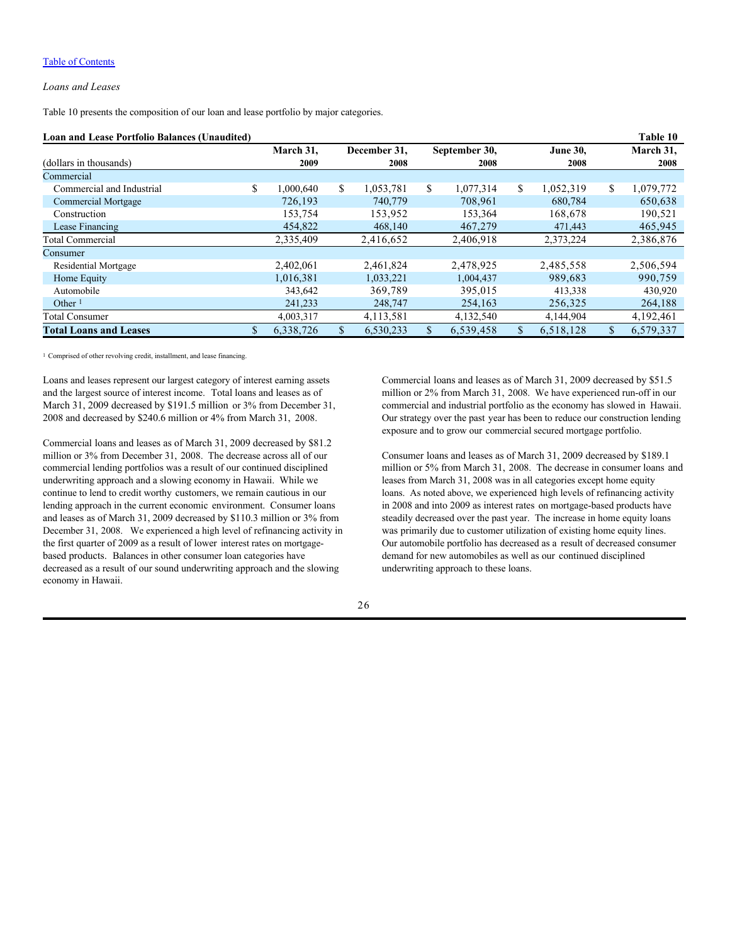# *Loans and Leases*

Table 10 presents the composition of our loan and lease portfolio by major categories.

| Loan and Lease Portfolio Balances (Unaudited) |                 |    |              |    |               |                 | Table 10        |
|-----------------------------------------------|-----------------|----|--------------|----|---------------|-----------------|-----------------|
|                                               | March 31,       |    | December 31. |    | September 30, | <b>June 30,</b> | March 31,       |
| (dollars in thousands)                        | 2009            |    | 2008         |    | 2008          | 2008            | 2008            |
| Commercial                                    |                 |    |              |    |               |                 |                 |
| Commercial and Industrial                     | \$<br>1,000,640 | S. | 1,053,781    | \$ | 1,077,314     | \$<br>1,052,319 | \$<br>1,079,772 |
| <b>Commercial Mortgage</b>                    | 726,193         |    | 740,779      |    | 708.961       | 680,784         | 650,638         |
| Construction                                  | 153,754         |    | 153,952      |    | 153,364       | 168,678         | 190,521         |
| Lease Financing                               | 454,822         |    | 468,140      |    | 467,279       | 471,443         | 465,945         |
| <b>Total Commercial</b>                       | 2,335,409       |    | 2,416,652    |    | 2,406,918     | 2,373,224       | 2,386,876       |
| Consumer                                      |                 |    |              |    |               |                 |                 |
| Residential Mortgage                          | 2,402,061       |    | 2,461,824    |    | 2,478,925     | 2,485,558       | 2,506,594       |
| Home Equity                                   | 1,016,381       |    | 1,033,221    |    | 1,004,437     | 989,683         | 990,759         |
| Automobile                                    | 343,642         |    | 369,789      |    | 395,015       | 413,338         | 430,920         |
| Other $1$                                     | 241,233         |    | 248,747      |    | 254,163       | 256,325         | 264,188         |
| <b>Total Consumer</b>                         | 4,003,317       |    | 4,113,581    |    | 4,132,540     | 4,144,904       | 4,192,461       |
| <b>Total Loans and Leases</b>                 | \$<br>6.338.726 |    | 6.530.233    | S. | 6.539.458     | \$<br>6.518.128 | \$<br>6.579.337 |

<sup>1</sup> Comprised of other revolving credit, installment, and lease financing.

Loans and leases represent our largest category of interest earning assets and the largest source of interest income. Total loans and leases as of March 31, 2009 decreased by \$191.5 million or 3% from December 31, 2008 and decreased by \$240.6 million or 4% from March 31, 2008.

Commercial loans and leases as of March 31, 2009 decreased by \$81.2 million or 3% from December 31, 2008. The decrease across all of our commercial lending portfolios was a result of our continued disciplined underwriting approach and a slowing economy in Hawaii. While we continue to lend to credit worthy customers, we remain cautious in our lending approach in the current economic environment. Consumer loans and leases as of March 31, 2009 decreased by \$110.3 million or 3% from December 31, 2008. We experienced a high level of refinancing activity in the first quarter of 2009 as a result of lower interest rates on mortgagebased products. Balances in other consumer loan categories have decreased as a result of our sound underwriting approach and the slowing economy in Hawaii.

Commercial loans and leases as of March 31, 2009 decreased by \$51.5 million or 2% from March 31, 2008. We have experienced run-off in our commercial and industrial portfolio as the economy has slowed in Hawaii. Our strategy over the past year has been to reduce our construction lending exposure and to grow our commercial secured mortgage portfolio.

Consumer loans and leases as of March 31, 2009 decreased by \$189.1 million or 5% from March 31, 2008. The decrease in consumer loans and leases from March 31, 2008 was in all categories except home equity loans. As noted above, we experienced high levels of refinancing activity in 2008 and into 2009 as interest rates on mortgage-based products have steadily decreased over the past year. The increase in home equity loans was primarily due to customer utilization of existing home equity lines. Our automobile portfolio has decreased as a result of decreased consumer demand for new automobiles as well as our continued disciplined underwriting approach to these loans.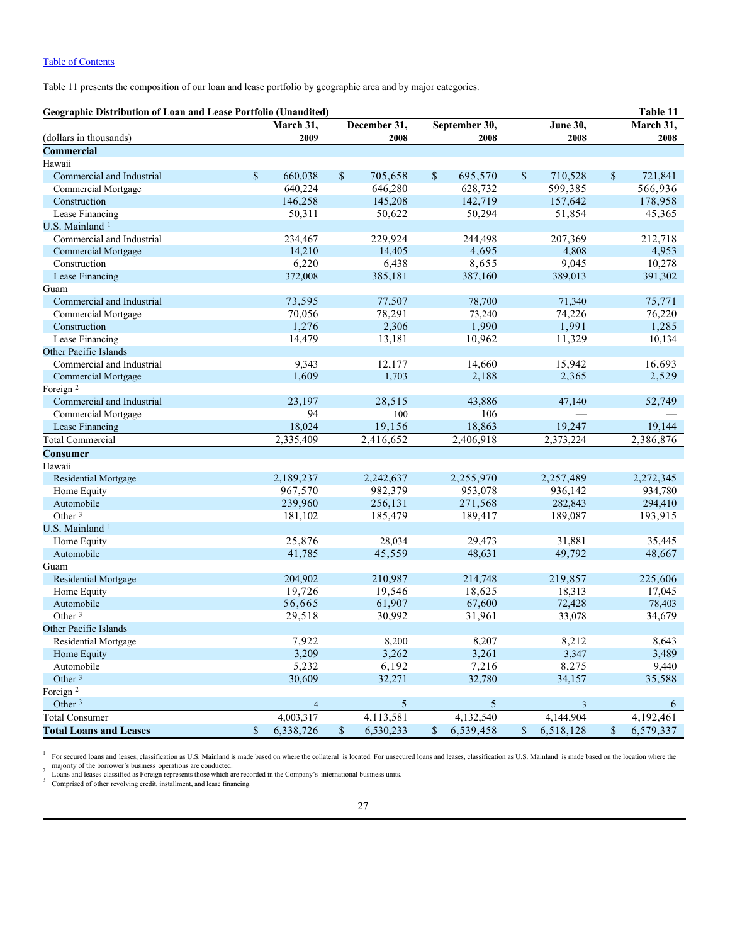Table 11 presents the composition of our loan and lease portfolio by geographic area and by major categories.

| Geographic Distribution of Loan and Lease Portfolio (Unaudited) |              |                |              |              |              |               |                         |                 |              | Table 11  |
|-----------------------------------------------------------------|--------------|----------------|--------------|--------------|--------------|---------------|-------------------------|-----------------|--------------|-----------|
|                                                                 |              | March 31,      |              | December 31, |              | September 30, |                         | <b>June 30,</b> |              | March 31, |
| (dollars in thousands)                                          |              | 2009           |              | 2008         |              | 2008          |                         | 2008            |              | 2008      |
| <b>Commercial</b>                                               |              |                |              |              |              |               |                         |                 |              |           |
| Hawaii                                                          |              |                |              |              |              |               |                         |                 |              |           |
| Commercial and Industrial                                       | \$           | 660,038        | \$           | 705,658      | $\mathbb{S}$ | 695,570       | \$                      | 710,528         | $\mathbb{S}$ | 721,841   |
| Commercial Mortgage                                             |              | 640,224        |              | 646,280      |              | 628,732       |                         | 599,385         |              | 566,936   |
| Construction                                                    |              | 146,258        |              | 145,208      |              | 142,719       |                         | 157,642         |              | 178,958   |
| Lease Financing                                                 |              | 50,311         |              | 50,622       |              | 50,294        |                         | 51,854          |              | 45,365    |
| U.S. Mainland <sup>1</sup>                                      |              |                |              |              |              |               |                         |                 |              |           |
| Commercial and Industrial                                       |              | 234,467        |              | 229,924      |              | 244,498       |                         | 207,369         |              | 212,718   |
| <b>Commercial Mortgage</b>                                      |              | 14,210         |              | 14,405       |              | 4,695         |                         | 4,808           |              | 4,953     |
| Construction                                                    |              | 6,220          |              | 6,438        |              | 8,655         |                         | 9,045           |              | 10,278    |
| Lease Financing                                                 |              | 372,008        |              | 385,181      |              | 387,160       |                         | 389,013         |              | 391,302   |
| Guam                                                            |              |                |              |              |              |               |                         |                 |              |           |
| Commercial and Industrial                                       |              | 73,595         |              | 77,507       |              | 78,700        |                         | 71,340          |              | 75,771    |
| <b>Commercial Mortgage</b>                                      |              | 70,056         |              | 78,291       |              | 73,240        |                         | 74,226          |              | 76,220    |
| Construction                                                    |              | 1,276          |              | 2,306        |              | 1,990         |                         | 1,991           |              | 1,285     |
| Lease Financing                                                 |              | 14,479         |              | 13,181       |              | 10,962        |                         | 11,329          |              | 10,134    |
| Other Pacific Islands                                           |              |                |              |              |              |               |                         |                 |              |           |
| Commercial and Industrial                                       |              | 9,343          |              | 12,177       |              | 14,660        |                         | 15,942          |              | 16,693    |
| <b>Commercial Mortgage</b>                                      |              | 1,609          |              | 1,703        |              | 2,188         |                         | 2,365           |              | 2,529     |
| Foreign <sup>2</sup>                                            |              |                |              |              |              |               |                         |                 |              |           |
| Commercial and Industrial                                       |              | 23,197         |              | 28,515       |              | 43,886        |                         | 47,140          |              | 52,749    |
| Commercial Mortgage                                             |              | 94             |              | 100          |              | 106           |                         |                 |              |           |
| Lease Financing                                                 |              | 18,024         |              | 19,156       |              | 18,863        |                         | 19,247          |              | 19,144    |
| <b>Total Commercial</b>                                         |              | 2,335,409      |              | 2,416,652    |              | 2,406,918     |                         | 2,373,224       |              | 2,386,876 |
| <b>Consumer</b>                                                 |              |                |              |              |              |               |                         |                 |              |           |
| Hawaii                                                          |              |                |              |              |              |               |                         |                 |              |           |
| Residential Mortgage                                            |              | 2,189,237      |              | 2,242,637    |              | 2,255,970     |                         | 2,257,489       |              | 2,272,345 |
| Home Equity                                                     |              | 967,570        |              | 982,379      |              | 953,078       |                         | 936,142         |              | 934,780   |
| Automobile                                                      |              | 239,960        |              | 256,131      |              | 271,568       |                         | 282,843         |              | 294,410   |
| Other <sup>3</sup>                                              |              | 181,102        |              | 185,479      |              | 189,417       |                         | 189,087         |              | 193,915   |
| U.S. Mainland <sup>1</sup>                                      |              |                |              |              |              |               |                         |                 |              |           |
| Home Equity                                                     |              | 25,876         |              | 28,034       |              | 29,473        |                         | 31,881          |              | 35,445    |
| Automobile                                                      |              | 41,785         |              | 45,559       |              | 48,631        |                         | 49,792          |              | 48,667    |
| Guam                                                            |              |                |              |              |              |               |                         |                 |              |           |
| Residential Mortgage                                            |              | 204,902        |              | 210.987      |              | 214,748       |                         | 219,857         |              | 225,606   |
| Home Equity                                                     |              | 19,726         |              | 19,546       |              | 18,625        |                         | 18,313          |              | 17,045    |
| Automobile                                                      |              | 56,665         |              | 61,907       |              | 67,600        |                         | 72,428          |              | 78,403    |
| Other $3$                                                       |              | 29,518         |              | 30,992       |              | 31,961        |                         | 33,078          |              | 34,679    |
| Other Pacific Islands                                           |              |                |              |              |              |               |                         |                 |              |           |
| Residential Mortgage                                            |              | 7,922          |              | 8,200        |              | 8,207         |                         | 8,212           |              | 8,643     |
| Home Equity                                                     |              | 3,209          |              | 3,262        |              | 3,261         |                         | 3,347           |              | 3,489     |
| Automobile                                                      |              | 5,232          |              | 6,192        |              | 7,216         |                         | 8,275           |              | 9,440     |
| Other <sup>3</sup>                                              |              | 30,609         |              | 32,271       |              | 32,780        |                         | 34,157          |              | 35,588    |
| Foreign <sup>2</sup>                                            |              |                |              |              |              |               |                         |                 |              |           |
| Other <sup>3</sup>                                              |              | $\overline{4}$ |              | $\sqrt{5}$   |              | 5             |                         | $\mathbf{3}$    |              | 6         |
| <b>Total Consumer</b>                                           |              | 4,003,317      |              | 4,113,581    |              | 4,132,540     |                         | 4,144,904       |              | 4,192,461 |
| <b>Total Loans and Leases</b>                                   | $\mathbb{S}$ | 6,338,726      | $\mathbb{S}$ | 6,530,233    | $\mathbb S$  | 6,539,458     | $\overline{\mathbb{S}}$ | 6,518,128       | $\sqrt{\ }$  | 6,579,337 |

For secured loans and leases, classification as U.S. Mainland is made based on where the collateral is located. For unsecured loans and leases, classification as U.S. Mainland is made based on the location where the majori 1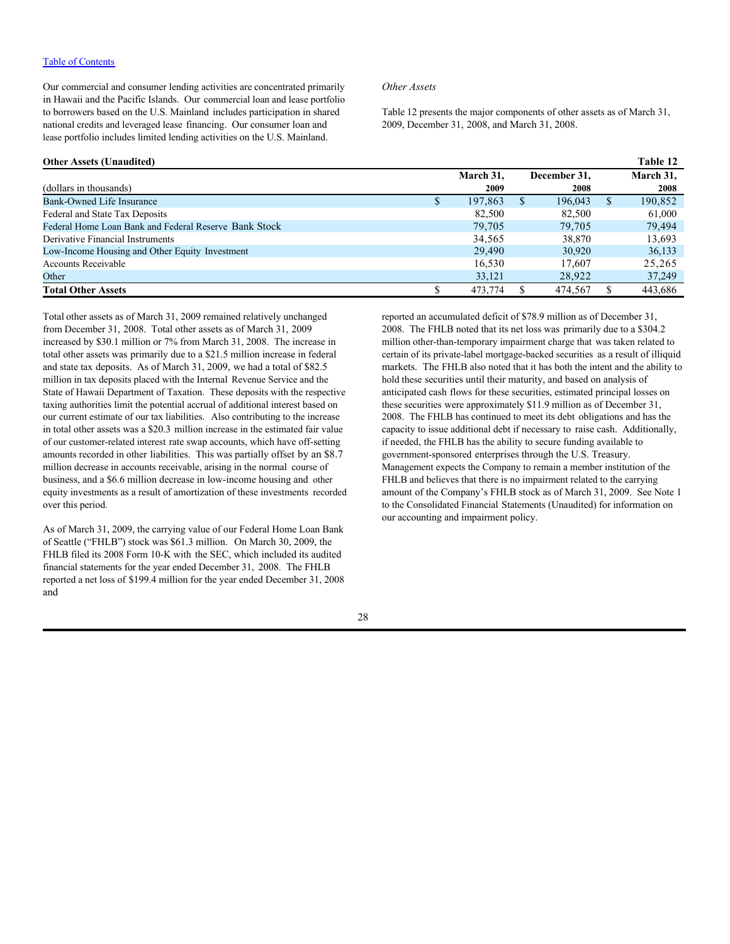Our commercial and consumer lending activities are concentrated primarily in Hawaii and the Pacific Islands. Our commercial loan and lease portfolio to borrowers based on the U.S. Mainland includes participation in shared national credits and leveraged lease financing. Our consumer loan and lease portfolio includes limited lending activities on the U.S. Mainland.

### *Other Assets*

Table 12 presents the major components of other assets as of March 31, 2009, December 31, 2008, and March 31, 2008.

| <b>Other Assets (Unaudited)</b>                       |           |              |   | Table 12  |
|-------------------------------------------------------|-----------|--------------|---|-----------|
|                                                       | March 31. | December 31, |   | March 31, |
| (dollars in thousands)                                | 2009      | 2008         |   | 2008      |
| Bank-Owned Life Insurance                             | 197.863   | 196,043      | S | 190,852   |
| Federal and State Tax Deposits                        | 82,500    | 82,500       |   | 61,000    |
| Federal Home Loan Bank and Federal Reserve Bank Stock | 79,705    | 79,705       |   | 79.494    |
| Derivative Financial Instruments                      | 34,565    | 38,870       |   | 13,693    |
| Low-Income Housing and Other Equity Investment        | 29,490    | 30,920       |   | 36,133    |
| <b>Accounts Receivable</b>                            | 16.530    | 17.607       |   | 25,265    |
| Other                                                 | 33,121    | 28,922       |   | 37,249    |
| <b>Total Other Assets</b>                             | 473,774   | 474.567      |   | 443,686   |

Total other assets as of March 31, 2009 remained relatively unchanged from December 31, 2008. Total other assets as of March 31, 2009 increased by \$30.1 million or 7% from March 31, 2008. The increase in total other assets was primarily due to a \$21.5 million increase in federal and state tax deposits. As of March 31, 2009, we had a total of \$82.5 million in tax deposits placed with the Internal Revenue Service and the State of Hawaii Department of Taxation. These deposits with the respective taxing authorities limit the potential accrual of additional interest based on our current estimate of our tax liabilities. Also contributing to the increase in total other assets was a \$20.3 million increase in the estimated fair value of our customer-related interest rate swap accounts, which have off-setting amounts recorded in other liabilities. This was partially offset by an \$8.7 million decrease in accounts receivable, arising in the normal course of business, and a \$6.6 million decrease in low-income housing and other equity investments as a result of amortization of these investments recorded over this period.

As of March 31, 2009, the carrying value of our Federal Home Loan Bank of Seattle ("FHLB") stock was \$61.3 million. On March 30, 2009, the FHLB filed its 2008 Form 10-K with the SEC, which included its audited financial statements for the year ended December 31, 2008. The FHLB reported a net loss of \$199.4 million for the year ended December 31, 2008 and

reported an accumulated deficit of \$78.9 million as of December 31, 2008. The FHLB noted that its net loss was primarily due to a \$304.2 million other-than-temporary impairment charge that was taken related to certain of its private-label mortgage-backed securities as a result of illiquid markets. The FHLB also noted that it has both the intent and the ability to hold these securities until their maturity, and based on analysis of anticipated cash flows for these securities, estimated principal losses on these securities were approximately \$11.9 million as of December 31, 2008. The FHLB has continued to meet its debt obligations and has the capacity to issue additional debt if necessary to raise cash. Additionally, if needed, the FHLB has the ability to secure funding available to government-sponsored enterprises through the U.S. Treasury. Management expects the Company to remain a member institution of the FHLB and believes that there is no impairment related to the carrying amount of the Company's FHLB stock as of March 31, 2009. See Note 1 to the Consolidated Financial Statements (Unaudited) for information on our accounting and impairment policy.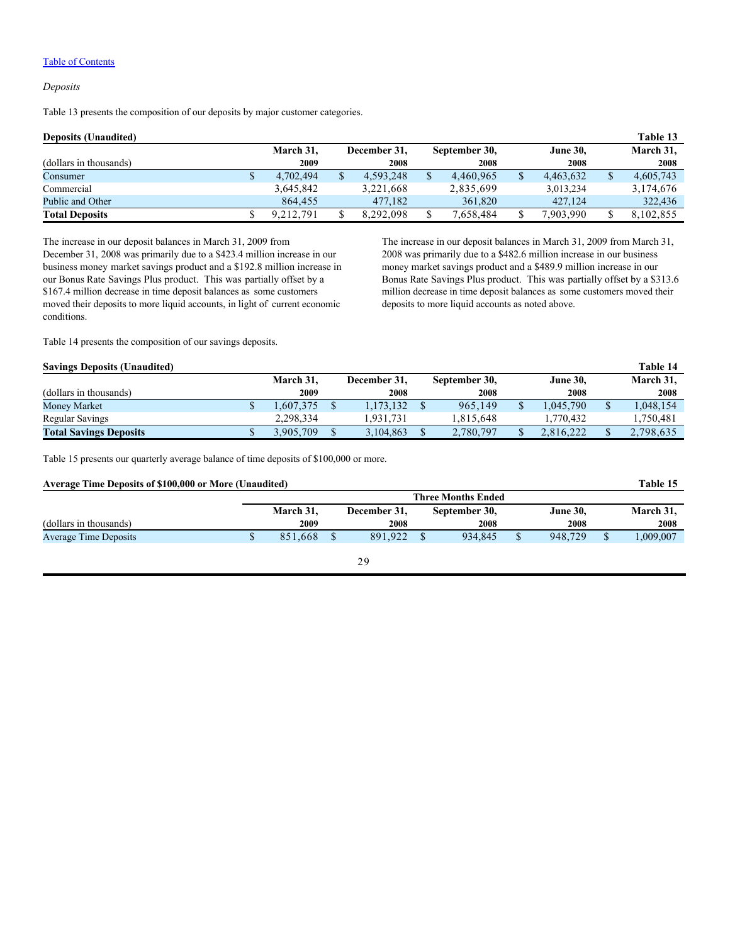# *Deposits*

Table 13 presents the composition of our deposits by major customer categories.

| <b>Deposits (Unaudited)</b> |   |           |              |               |                 | Table 13  |
|-----------------------------|---|-----------|--------------|---------------|-----------------|-----------|
|                             |   | March 31, | December 31. | September 30, | <b>June 30,</b> | March 31, |
| (dollars in thousands)      |   | 2009      | 2008         | 2008          | 2008            | 2008      |
| Consumer                    | Φ | 4.702.494 | 4.593.248    | 4.460.965     | 4.463.632       | 4,605,743 |
| Commercial                  |   | 3.645.842 | 3,221,668    | 2,835,699     | 3.013.234       | 3,174,676 |
| Public and Other            |   | 864.455   | 477.182      | 361,820       | 427,124         | 322,436   |
| <b>Total Deposits</b>       |   | 9.212.791 | 8.292.098    | 7.658.484     | .903.990        | 8.102.855 |

The increase in our deposit balances in March 31, 2009 from December 31, 2008 was primarily due to a \$423.4 million increase in our business money market savings product and a \$192.8 million increase in our Bonus Rate Savings Plus product. This was partially offset by a \$167.4 million decrease in time deposit balances as some customers moved their deposits to more liquid accounts, in light of current economic conditions.

The increase in our deposit balances in March 31, 2009 from March 31, 2008 was primarily due to a \$482.6 million increase in our business money market savings product and a \$489.9 million increase in our Bonus Rate Savings Plus product. This was partially offset by a \$313.6 million decrease in time deposit balances as some customers moved their deposits to more liquid accounts as noted above.

Table 14 presents the composition of our savings deposits.

| <b>Savings Deposits (Unaudited)</b> |    |           |              |               |                 | Table 14  |
|-------------------------------------|----|-----------|--------------|---------------|-----------------|-----------|
|                                     |    | March 31. | December 31. | September 30, | <b>June 30,</b> | March 31, |
| (dollars in thousands)              |    | 2009      | 2008         | 2008          | 2008            | 2008      |
| <b>Money Market</b>                 | د⊔ | .607.375  | 1,173,132    | 965,149       | 1.045.790       | 1,048,154 |
| Regular Savings                     |    | 2.298.334 | 1.931.731    | 1.815.648     | 1.770.432       | 1.750.481 |
| <b>Total Savings Deposits</b>       |    | 3.905.709 | 3.104.863    | 2,780,797     | 2.816.222       | 2,798,635 |

Table 15 presents our quarterly average balance of time deposits of \$100,000 or more.

| Table 15                     |
|------------------------------|
|                              |
| March 31,<br><b>June 30.</b> |
| 2008<br>2008                 |
| 948,729<br>.009.007          |
|                              |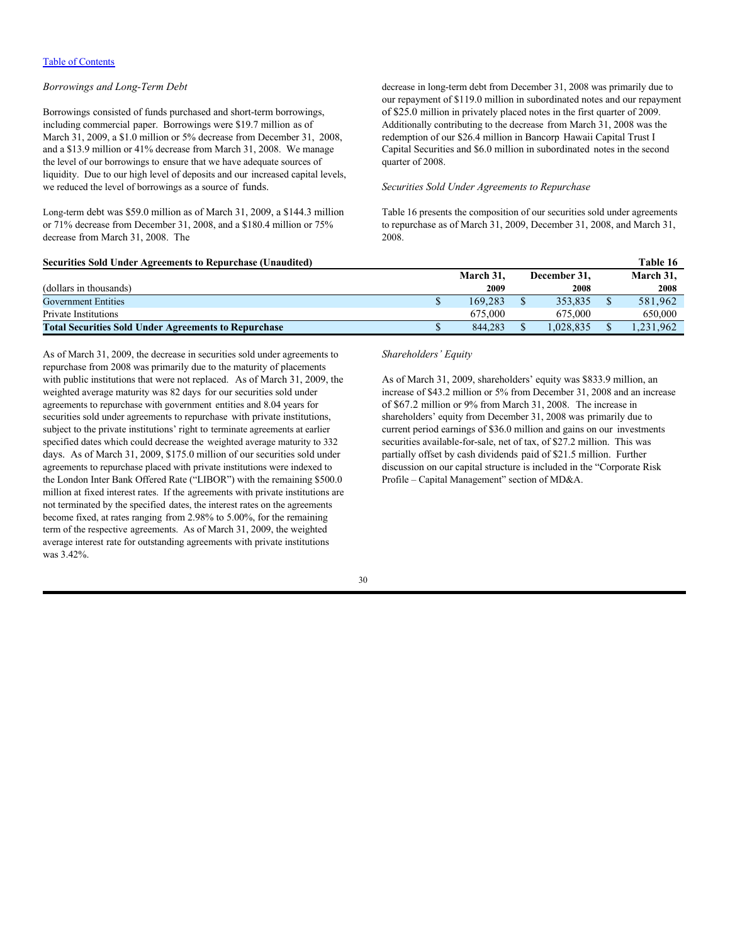## *Borrowings and Long-Term Debt*

Borrowings consisted of funds purchased and short-term borrowings, including commercial paper. Borrowings were \$19.7 million as of March 31, 2009, a \$1.0 million or 5% decrease from December 31, 2008, and a \$13.9 million or 41% decrease from March 31, 2008. We manage the level of our borrowings to ensure that we have adequate sources of liquidity. Due to our high level of deposits and our increased capital levels, we reduced the level of borrowings as a source of funds.

Long-term debt was \$59.0 million as of March 31, 2009, a \$144.3 million or 71% decrease from December 31, 2008, and a \$180.4 million or 75% decrease from March 31, 2008. The

decrease in long-term debt from December 31, 2008 was primarily due to our repayment of \$119.0 million in subordinated notes and our repayment of \$25.0 million in privately placed notes in the first quarter of 2009. Additionally contributing to the decrease from March 31, 2008 was the redemption of our \$26.4 million in Bancorp Hawaii Capital Trust I Capital Securities and \$6.0 million in subordinated notes in the second quarter of 2008.

## *Securities Sold Under Agreements to Repurchase*

Table 16 presents the composition of our securities sold under agreements to repurchase as of March 31, 2009, December 31, 2008, and March 31, 2008.

# **Securities Sold Under Agreements to Repurchase (Unaudited) Table 16**

|                                                             | March 31. | December 31. | March 31. |
|-------------------------------------------------------------|-----------|--------------|-----------|
| (dollars in thousands)                                      | 2009      | 2008         | 2008      |
| <b>Government Entities</b>                                  | 169,283   | 353.835      | 581.962   |
| Private Institutions                                        | 675,000   | 675.000      | 650,000   |
| <b>Total Securities Sold Under Agreements to Repurchase</b> | 844,283   | .028.835     | 1.231.962 |

As of March 31, 2009, the decrease in securities sold under agreements to repurchase from 2008 was primarily due to the maturity of placements with public institutions that were not replaced. As of March 31, 2009, the weighted average maturity was 82 days for our securities sold under agreements to repurchase with government entities and 8.04 years for securities sold under agreements to repurchase with private institutions, subject to the private institutions' right to terminate agreements at earlier specified dates which could decrease the weighted average maturity to 332 days. As of March 31, 2009, \$175.0 million of our securities sold under agreements to repurchase placed with private institutions were indexed to the London Inter Bank Offered Rate ("LIBOR") with the remaining \$500.0 million at fixed interest rates. If the agreements with private institutions are not terminated by the specified dates, the interest rates on the agreements become fixed, at rates ranging from 2.98% to 5.00%, for the remaining term of the respective agreements. As of March 31, 2009, the weighted average interest rate for outstanding agreements with private institutions was 3.42%.

# *Shareholders' Equity*

As of March 31, 2009, shareholders' equity was \$833.9 million, an increase of \$43.2 million or 5% from December 31, 2008 and an increase of \$67.2 million or 9% from March 31, 2008. The increase in shareholders' equity from December 31, 2008 was primarily due to current period earnings of \$36.0 million and gains on our investments securities available-for-sale, net of tax, of \$27.2 million. This was partially offset by cash dividends paid of \$21.5 million. Further discussion on our capital structure is included in the "Corporate Risk Profile – Capital Management" section of MD&A.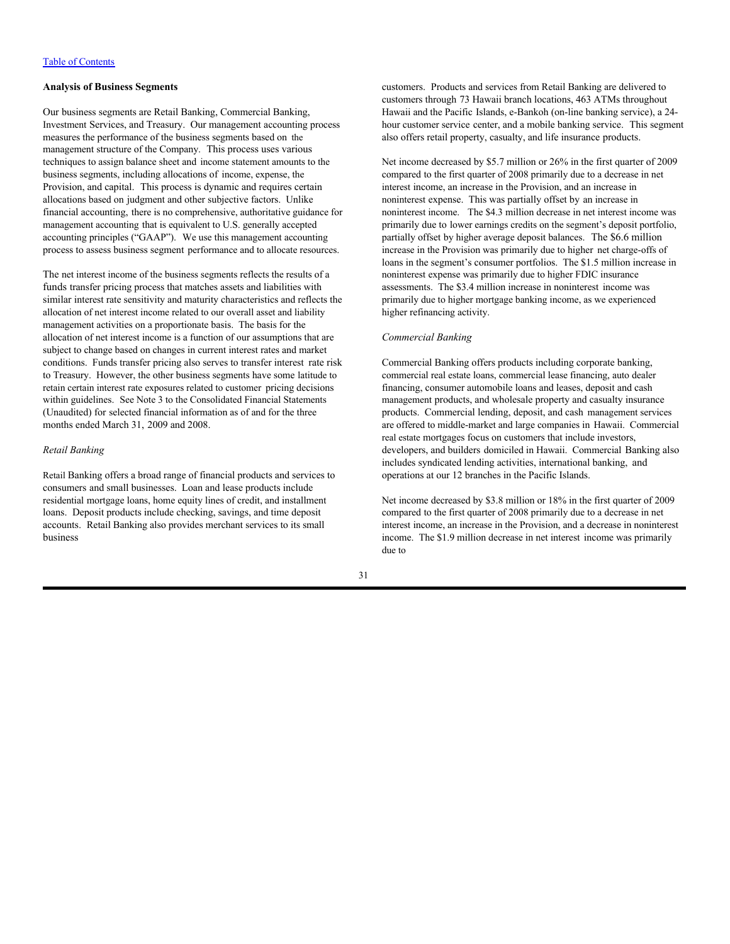### **Analysis of Business Segments**

Our business segments are Retail Banking, Commercial Banking, Investment Services, and Treasury. Our management accounting process measures the performance of the business segments based on the management structure of the Company. This process uses various techniques to assign balance sheet and income statement amounts to the business segments, including allocations of income, expense, the Provision, and capital. This process is dynamic and requires certain allocations based on judgment and other subjective factors. Unlike financial accounting, there is no comprehensive, authoritative guidance for management accounting that is equivalent to U.S. generally accepted accounting principles ("GAAP"). We use this management accounting process to assess business segment performance and to allocate resources.

The net interest income of the business segments reflects the results of a funds transfer pricing process that matches assets and liabilities with similar interest rate sensitivity and maturity characteristics and reflects the allocation of net interest income related to our overall asset and liability management activities on a proportionate basis. The basis for the allocation of net interest income is a function of our assumptions that are subject to change based on changes in current interest rates and market conditions. Funds transfer pricing also serves to transfer interest rate risk to Treasury. However, the other business segments have some latitude to retain certain interest rate exposures related to customer pricing decisions within guidelines. See Note 3 to the Consolidated Financial Statements (Unaudited) for selected financial information as of and for the three months ended March 31, 2009 and 2008.

# *Retail Banking*

Retail Banking offers a broad range of financial products and services to consumers and small businesses. Loan and lease products include residential mortgage loans, home equity lines of credit, and installment loans. Deposit products include checking, savings, and time deposit accounts. Retail Banking also provides merchant services to its small business

customers. Products and services from Retail Banking are delivered to customers through 73 Hawaii branch locations, 463 ATMs throughout Hawaii and the Pacific Islands, e-Bankoh (on-line banking service), a 24 hour customer service center, and a mobile banking service. This segment also offers retail property, casualty, and life insurance products.

Net income decreased by \$5.7 million or 26% in the first quarter of 2009 compared to the first quarter of 2008 primarily due to a decrease in net interest income, an increase in the Provision, and an increase in noninterest expense. This was partially offset by an increase in noninterest income. The \$4.3 million decrease in net interest income was primarily due to lower earnings credits on the segment's deposit portfolio, partially offset by higher average deposit balances. The \$6.6 million increase in the Provision was primarily due to higher net charge-offs of loans in the segment's consumer portfolios. The \$1.5 million increase in noninterest expense was primarily due to higher FDIC insurance assessments. The \$3.4 million increase in noninterest income was primarily due to higher mortgage banking income, as we experienced higher refinancing activity.

### *Commercial Banking*

Commercial Banking offers products including corporate banking, commercial real estate loans, commercial lease financing, auto dealer financing, consumer automobile loans and leases, deposit and cash management products, and wholesale property and casualty insurance products. Commercial lending, deposit, and cash management services are offered to middle-market and large companies in Hawaii. Commercial real estate mortgages focus on customers that include investors, developers, and builders domiciled in Hawaii. Commercial Banking also includes syndicated lending activities, international banking, and operations at our 12 branches in the Pacific Islands.

Net income decreased by \$3.8 million or 18% in the first quarter of 2009 compared to the first quarter of 2008 primarily due to a decrease in net interest income, an increase in the Provision, and a decrease in noninterest income. The \$1.9 million decrease in net interest income was primarily due to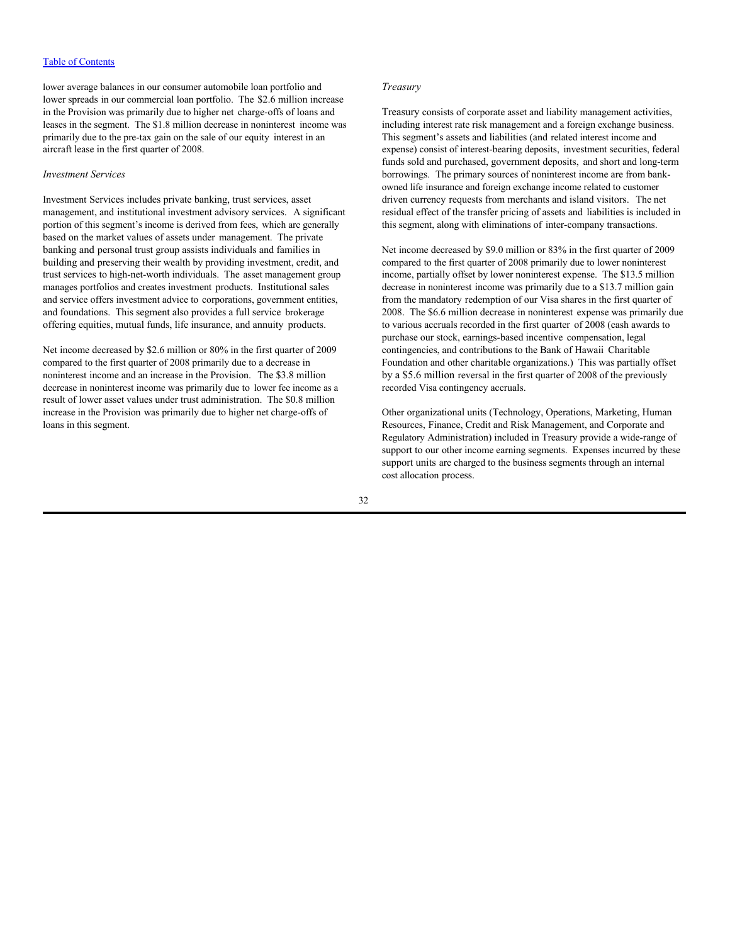lower average balances in our consumer automobile loan portfolio and lower spreads in our commercial loan portfolio. The \$2.6 million increase in the Provision was primarily due to higher net charge-offs of loans and leases in the segment. The \$1.8 million decrease in noninterest income was primarily due to the pre-tax gain on the sale of our equity interest in an aircraft lease in the first quarter of 2008.

### *Investment Services*

Investment Services includes private banking, trust services, asset management, and institutional investment advisory services. A significant portion of this segment's income is derived from fees, which are generally based on the market values of assets under management. The private banking and personal trust group assists individuals and families in building and preserving their wealth by providing investment, credit, and trust services to high-net-worth individuals. The asset management group manages portfolios and creates investment products. Institutional sales and service offers investment advice to corporations, government entities, and foundations. This segment also provides a full service brokerage offering equities, mutual funds, life insurance, and annuity products.

Net income decreased by \$2.6 million or 80% in the first quarter of 2009 compared to the first quarter of 2008 primarily due to a decrease in noninterest income and an increase in the Provision. The \$3.8 million decrease in noninterest income was primarily due to lower fee income as a result of lower asset values under trust administration. The \$0.8 million increase in the Provision was primarily due to higher net charge-offs of loans in this segment.

### *Treasury*

Treasury consists of corporate asset and liability management activities, including interest rate risk management and a foreign exchange business. This segment's assets and liabilities (and related interest income and expense) consist of interest-bearing deposits, investment securities, federal funds sold and purchased, government deposits, and short and long-term borrowings. The primary sources of noninterest income are from bankowned life insurance and foreign exchange income related to customer driven currency requests from merchants and island visitors. The net residual effect of the transfer pricing of assets and liabilities is included in this segment, along with eliminations of inter-company transactions.

Net income decreased by \$9.0 million or 83% in the first quarter of 2009 compared to the first quarter of 2008 primarily due to lower noninterest income, partially offset by lower noninterest expense. The \$13.5 million decrease in noninterest income was primarily due to a \$13.7 million gain from the mandatory redemption of our Visa shares in the first quarter of 2008. The \$6.6 million decrease in noninterest expense was primarily due to various accruals recorded in the first quarter of 2008 (cash awards to purchase our stock, earnings-based incentive compensation, legal contingencies, and contributions to the Bank of Hawaii Charitable Foundation and other charitable organizations.) This was partially offset by a \$5.6 million reversal in the first quarter of 2008 of the previously recorded Visa contingency accruals.

Other organizational units (Technology, Operations, Marketing, Human Resources, Finance, Credit and Risk Management, and Corporate and Regulatory Administration) included in Treasury provide a wide-range of support to our other income earning segments. Expenses incurred by these support units are charged to the business segments through an internal cost allocation process.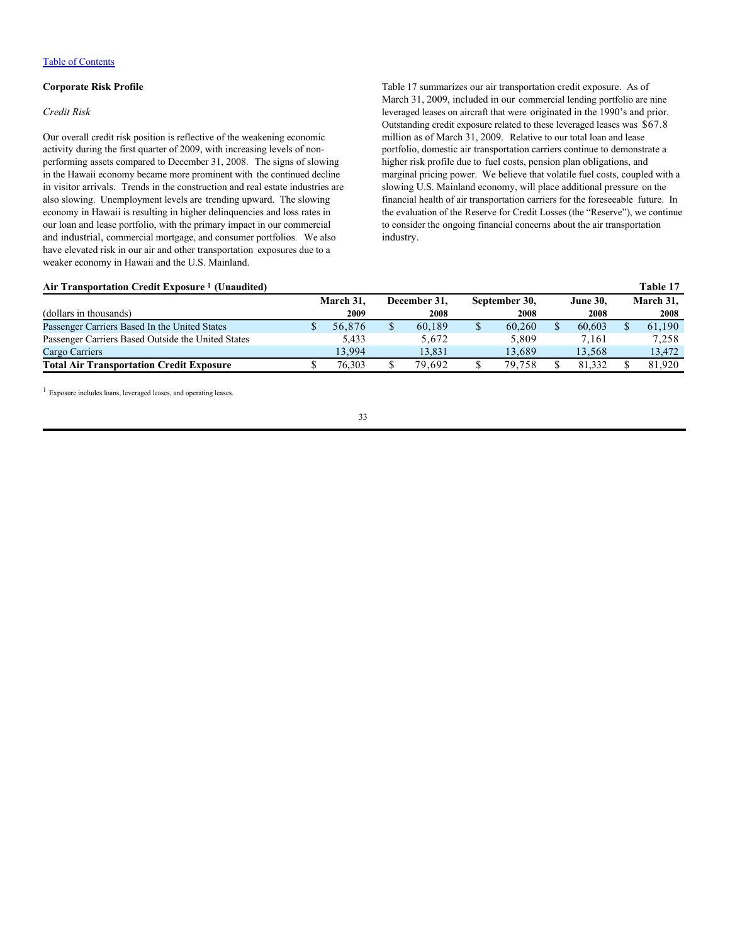# **Corporate Risk Profile**

# *Credit Risk*

Our overall credit risk position is reflective of the weakening economic activity during the first quarter of 2009, with increasing levels of nonperforming assets compared to December 31, 2008. The signs of slowing in the Hawaii economy became more prominent with the continued decline in visitor arrivals. Trends in the construction and real estate industries are also slowing. Unemployment levels are trending upward. The slowing economy in Hawaii is resulting in higher delinquencies and loss rates in our loan and lease portfolio, with the primary impact in our commercial and industrial, commercial mortgage, and consumer portfolios. We also have elevated risk in our air and other transportation exposures due to a weaker economy in Hawaii and the U.S. Mainland.

Table 17 summarizes our air transportation credit exposure. As of March 31, 2009, included in our commercial lending portfolio are nine leveraged leases on aircraft that were originated in the 1990's and prior. Outstanding credit exposure related to these leveraged leases was \$67.8 million as of March 31, 2009. Relative to our total loan and lease portfolio, domestic air transportation carriers continue to demonstrate a higher risk profile due to fuel costs, pension plan obligations, and marginal pricing power. We believe that volatile fuel costs, coupled with a slowing U.S. Mainland economy, will place additional pressure on the financial health of air transportation carriers for the foreseeable future. In the evaluation of the Reserve for Credit Losses (the "Reserve"), we continue to consider the ongoing financial concerns about the air transportation industry.

| Air Transportation Credit Exposure <sup>1</sup> (Unaudited) |           |              |               |                 | Table 17  |
|-------------------------------------------------------------|-----------|--------------|---------------|-----------------|-----------|
|                                                             | March 31. | December 31, | September 30. | <b>June 30.</b> | March 31, |
| (dollars in thousands)                                      | 2009      | 2008         | 2008          | 2008            | 2008      |
| Passenger Carriers Based In the United States               | 56.876    | 60.189       | 60.260        | 60.603          | 61.190    |
| Passenger Carriers Based Outside the United States          | 5.433     | 5.672        | 5.809         | 7.161           | 7.258     |
| Cargo Carriers                                              | 13.994    | 13.831       | 13.689        | 13.568          | 13.472    |
| <b>Total Air Transportation Credit Exposure</b>             | 76.303    | 79.692       | 79.758        | 81.332          | 81.920    |

<sup>1</sup> Exposure includes loans, leveraged leases, and operating leases.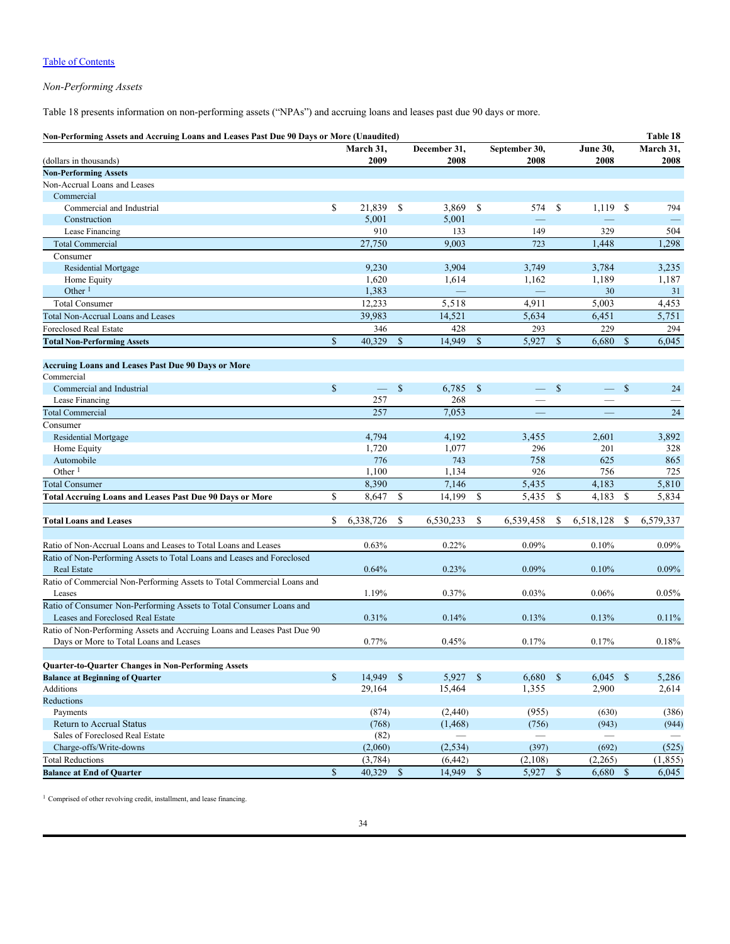# *Non-Performing Assets*

Table 18 presents information on non-performing assets ("NPAs") and accruing loans and leases past due 90 days or more.

| March 31,<br>December 31,<br>September 30,<br><b>June 30,</b><br>March 31,<br>2009<br>2008<br>2008<br>2008<br>2008<br>(dollars in thousands)<br><b>Non-Performing Assets</b><br>Non-Accrual Loans and Leases<br>Commercial<br>\$<br>21,839<br><sup>\$</sup><br>3,869<br><sup>\$</sup><br>574<br><sup>\$</sup><br>1,119 \$<br>Commercial and Industrial<br>794<br>5,001<br>Construction<br>5,001<br>910<br>133<br>149<br>329<br>504<br>Lease Financing<br>27,750<br>9,003<br>723<br>1,448<br>1,298<br><b>Total Commercial</b><br>Consumer<br>3,904<br>3,784<br><b>Residential Mortgage</b><br>9,230<br>3,749<br>3,235<br>1,620<br>1,189<br>1,614<br>1,162<br>1,187<br>Home Equity<br>Other $1$<br>1,383<br>30<br>31<br>5,518<br>4,911<br>5,003<br>4,453<br><b>Total Consumer</b><br>12,233<br>14,521<br>5,634<br>6,451<br>5,751<br>39,983<br>Total Non-Accrual Loans and Leases<br>Foreclosed Real Estate<br>428<br>293<br>229<br>294<br>346<br>$\mathbb{S}$<br>5,927<br>40,329<br>$\mathbb{S}$<br>14,949<br>$\mathbb{S}$<br>$\mathbb{S}$<br>6,680<br>$\mathbb{S}$<br>6,045<br><b>Total Non-Performing Assets</b><br><b>Accruing Loans and Leases Past Due 90 Days or More</b><br>Commercial<br>$\mathbb{S}$<br>$\mathbb{S}$<br>6,785<br>- \$<br><sup>\$</sup><br>$\mathbb{S}$<br>Commercial and Industrial<br>$\frac{1}{2}$<br>24<br>257<br>268<br>Lease Financing<br>257<br>7,053<br>24<br><b>Total Commercial</b><br>Consumer<br>4,794<br>4,192<br>3,455<br>2,601<br>3,892<br><b>Residential Mortgage</b><br>1,720<br>1,077<br>296<br>201<br>328<br>Home Equity<br>776<br>743<br>758<br>625<br>Automobile<br>865<br>Other $1$<br>756<br>1,100<br>1,134<br>926<br>725<br>5,435<br>4,183<br>8,390<br>7,146<br>5,810<br><b>Total Consumer</b><br>4,183<br>\$<br>8,647<br>\$<br>14,199<br>\$<br>5,435<br>\$<br>\$<br>5,834<br>Total Accruing Loans and Leases Past Due 90 Days or More<br>6,338,726<br>6,579,337<br>6,530,233<br>6,539,458<br>6,518,128<br>\$<br><b>Total Loans and Leases</b><br>S.<br>\$<br>\$<br>\$<br>Ratio of Non-Accrual Loans and Leases to Total Loans and Leases<br>0.63%<br>0.22%<br>0.09%<br>0.10%<br>$0.09\%$<br>Ratio of Non-Performing Assets to Total Loans and Leases and Foreclosed<br>0.64%<br>0.23%<br>0.09%<br>0.10%<br>0.09%<br>Real Estate<br>Ratio of Commercial Non-Performing Assets to Total Commercial Loans and<br>1.19%<br>0.37%<br>$0.03\%$<br>$0.06\%$<br>0.05%<br>Leases<br>Ratio of Consumer Non-Performing Assets to Total Consumer Loans and<br>0.14%<br>Leases and Foreclosed Real Estate<br>0.31%<br>0.13%<br>0.13%<br>$0.11\%$<br>Ratio of Non-Performing Assets and Accruing Loans and Leases Past Due 90<br>0.77%<br>0.45%<br>0.17%<br>0.17%<br>0.18%<br>Days or More to Total Loans and Leases<br><b>Quarter-to-Quarter Changes in Non-Performing Assets</b><br>$\mathbb{S}$<br>14,949<br><b>S</b><br>5,927 \$<br>6,680<br>$\mathbb{S}$<br>$6,045$ \$<br>5,286<br><b>Balance at Beginning of Quarter</b><br>29,164<br>15,464<br>1,355<br>2,900<br>2,614<br>Additions<br>Reductions<br>(874)<br>(2,440)<br>(955)<br>(386)<br>Payments<br>(630)<br><b>Return to Accrual Status</b><br>(768)<br>(1, 468)<br>(756)<br>(943)<br>(944)<br>Sales of Foreclosed Real Estate<br>(82)<br>$\overline{\phantom{m}}$<br>(2,060)<br>(2,534)<br>(397)<br>(525)<br>Charge-offs/Write-downs<br>(692)<br><b>Total Reductions</b><br>(3,784)<br>(6, 442)<br>(2,108)<br>(2,265)<br>(1, 855)<br>$\mathbb{S}$<br>40,329 \$<br>$14,949$ \$<br>5,927<br>$\mathbb{S}$<br>6,680<br>$\mathcal{S}$<br>6,045<br><b>Balance at End of Quarter</b> | Non-Performing Assets and Accruing Loans and Leases Past Due 90 Days or More (Unaudited) |  |  |  |  | Table 18 |
|----------------------------------------------------------------------------------------------------------------------------------------------------------------------------------------------------------------------------------------------------------------------------------------------------------------------------------------------------------------------------------------------------------------------------------------------------------------------------------------------------------------------------------------------------------------------------------------------------------------------------------------------------------------------------------------------------------------------------------------------------------------------------------------------------------------------------------------------------------------------------------------------------------------------------------------------------------------------------------------------------------------------------------------------------------------------------------------------------------------------------------------------------------------------------------------------------------------------------------------------------------------------------------------------------------------------------------------------------------------------------------------------------------------------------------------------------------------------------------------------------------------------------------------------------------------------------------------------------------------------------------------------------------------------------------------------------------------------------------------------------------------------------------------------------------------------------------------------------------------------------------------------------------------------------------------------------------------------------------------------------------------------------------------------------------------------------------------------------------------------------------------------------------------------------------------------------------------------------------------------------------------------------------------------------------------------------------------------------------------------------------------------------------------------------------------------------------------------------------------------------------------------------------------------------------------------------------------------------------------------------------------------------------------------------------------------------------------------------------------------------------------------------------------------------------------------------------------------------------------------------------------------------------------------------------------------------------------------------------------------------------------------------------------------------------------------------------------------------------------------------------------------------------------------------------------------------------------------------------------------------------------------------------------------------------------------------------------------------------------------------------------------------------------------------------------------------------------------------------------------------------------------------------------------------------------------------|------------------------------------------------------------------------------------------|--|--|--|--|----------|
|                                                                                                                                                                                                                                                                                                                                                                                                                                                                                                                                                                                                                                                                                                                                                                                                                                                                                                                                                                                                                                                                                                                                                                                                                                                                                                                                                                                                                                                                                                                                                                                                                                                                                                                                                                                                                                                                                                                                                                                                                                                                                                                                                                                                                                                                                                                                                                                                                                                                                                                                                                                                                                                                                                                                                                                                                                                                                                                                                                                                                                                                                                                                                                                                                                                                                                                                                                                                                                                                                                                                                                            |                                                                                          |  |  |  |  |          |
|                                                                                                                                                                                                                                                                                                                                                                                                                                                                                                                                                                                                                                                                                                                                                                                                                                                                                                                                                                                                                                                                                                                                                                                                                                                                                                                                                                                                                                                                                                                                                                                                                                                                                                                                                                                                                                                                                                                                                                                                                                                                                                                                                                                                                                                                                                                                                                                                                                                                                                                                                                                                                                                                                                                                                                                                                                                                                                                                                                                                                                                                                                                                                                                                                                                                                                                                                                                                                                                                                                                                                                            |                                                                                          |  |  |  |  |          |
|                                                                                                                                                                                                                                                                                                                                                                                                                                                                                                                                                                                                                                                                                                                                                                                                                                                                                                                                                                                                                                                                                                                                                                                                                                                                                                                                                                                                                                                                                                                                                                                                                                                                                                                                                                                                                                                                                                                                                                                                                                                                                                                                                                                                                                                                                                                                                                                                                                                                                                                                                                                                                                                                                                                                                                                                                                                                                                                                                                                                                                                                                                                                                                                                                                                                                                                                                                                                                                                                                                                                                                            |                                                                                          |  |  |  |  |          |
|                                                                                                                                                                                                                                                                                                                                                                                                                                                                                                                                                                                                                                                                                                                                                                                                                                                                                                                                                                                                                                                                                                                                                                                                                                                                                                                                                                                                                                                                                                                                                                                                                                                                                                                                                                                                                                                                                                                                                                                                                                                                                                                                                                                                                                                                                                                                                                                                                                                                                                                                                                                                                                                                                                                                                                                                                                                                                                                                                                                                                                                                                                                                                                                                                                                                                                                                                                                                                                                                                                                                                                            |                                                                                          |  |  |  |  |          |
|                                                                                                                                                                                                                                                                                                                                                                                                                                                                                                                                                                                                                                                                                                                                                                                                                                                                                                                                                                                                                                                                                                                                                                                                                                                                                                                                                                                                                                                                                                                                                                                                                                                                                                                                                                                                                                                                                                                                                                                                                                                                                                                                                                                                                                                                                                                                                                                                                                                                                                                                                                                                                                                                                                                                                                                                                                                                                                                                                                                                                                                                                                                                                                                                                                                                                                                                                                                                                                                                                                                                                                            |                                                                                          |  |  |  |  |          |
|                                                                                                                                                                                                                                                                                                                                                                                                                                                                                                                                                                                                                                                                                                                                                                                                                                                                                                                                                                                                                                                                                                                                                                                                                                                                                                                                                                                                                                                                                                                                                                                                                                                                                                                                                                                                                                                                                                                                                                                                                                                                                                                                                                                                                                                                                                                                                                                                                                                                                                                                                                                                                                                                                                                                                                                                                                                                                                                                                                                                                                                                                                                                                                                                                                                                                                                                                                                                                                                                                                                                                                            |                                                                                          |  |  |  |  |          |
|                                                                                                                                                                                                                                                                                                                                                                                                                                                                                                                                                                                                                                                                                                                                                                                                                                                                                                                                                                                                                                                                                                                                                                                                                                                                                                                                                                                                                                                                                                                                                                                                                                                                                                                                                                                                                                                                                                                                                                                                                                                                                                                                                                                                                                                                                                                                                                                                                                                                                                                                                                                                                                                                                                                                                                                                                                                                                                                                                                                                                                                                                                                                                                                                                                                                                                                                                                                                                                                                                                                                                                            |                                                                                          |  |  |  |  |          |
|                                                                                                                                                                                                                                                                                                                                                                                                                                                                                                                                                                                                                                                                                                                                                                                                                                                                                                                                                                                                                                                                                                                                                                                                                                                                                                                                                                                                                                                                                                                                                                                                                                                                                                                                                                                                                                                                                                                                                                                                                                                                                                                                                                                                                                                                                                                                                                                                                                                                                                                                                                                                                                                                                                                                                                                                                                                                                                                                                                                                                                                                                                                                                                                                                                                                                                                                                                                                                                                                                                                                                                            |                                                                                          |  |  |  |  |          |
|                                                                                                                                                                                                                                                                                                                                                                                                                                                                                                                                                                                                                                                                                                                                                                                                                                                                                                                                                                                                                                                                                                                                                                                                                                                                                                                                                                                                                                                                                                                                                                                                                                                                                                                                                                                                                                                                                                                                                                                                                                                                                                                                                                                                                                                                                                                                                                                                                                                                                                                                                                                                                                                                                                                                                                                                                                                                                                                                                                                                                                                                                                                                                                                                                                                                                                                                                                                                                                                                                                                                                                            |                                                                                          |  |  |  |  |          |
|                                                                                                                                                                                                                                                                                                                                                                                                                                                                                                                                                                                                                                                                                                                                                                                                                                                                                                                                                                                                                                                                                                                                                                                                                                                                                                                                                                                                                                                                                                                                                                                                                                                                                                                                                                                                                                                                                                                                                                                                                                                                                                                                                                                                                                                                                                                                                                                                                                                                                                                                                                                                                                                                                                                                                                                                                                                                                                                                                                                                                                                                                                                                                                                                                                                                                                                                                                                                                                                                                                                                                                            |                                                                                          |  |  |  |  |          |
|                                                                                                                                                                                                                                                                                                                                                                                                                                                                                                                                                                                                                                                                                                                                                                                                                                                                                                                                                                                                                                                                                                                                                                                                                                                                                                                                                                                                                                                                                                                                                                                                                                                                                                                                                                                                                                                                                                                                                                                                                                                                                                                                                                                                                                                                                                                                                                                                                                                                                                                                                                                                                                                                                                                                                                                                                                                                                                                                                                                                                                                                                                                                                                                                                                                                                                                                                                                                                                                                                                                                                                            |                                                                                          |  |  |  |  |          |
|                                                                                                                                                                                                                                                                                                                                                                                                                                                                                                                                                                                                                                                                                                                                                                                                                                                                                                                                                                                                                                                                                                                                                                                                                                                                                                                                                                                                                                                                                                                                                                                                                                                                                                                                                                                                                                                                                                                                                                                                                                                                                                                                                                                                                                                                                                                                                                                                                                                                                                                                                                                                                                                                                                                                                                                                                                                                                                                                                                                                                                                                                                                                                                                                                                                                                                                                                                                                                                                                                                                                                                            |                                                                                          |  |  |  |  |          |
|                                                                                                                                                                                                                                                                                                                                                                                                                                                                                                                                                                                                                                                                                                                                                                                                                                                                                                                                                                                                                                                                                                                                                                                                                                                                                                                                                                                                                                                                                                                                                                                                                                                                                                                                                                                                                                                                                                                                                                                                                                                                                                                                                                                                                                                                                                                                                                                                                                                                                                                                                                                                                                                                                                                                                                                                                                                                                                                                                                                                                                                                                                                                                                                                                                                                                                                                                                                                                                                                                                                                                                            |                                                                                          |  |  |  |  |          |
|                                                                                                                                                                                                                                                                                                                                                                                                                                                                                                                                                                                                                                                                                                                                                                                                                                                                                                                                                                                                                                                                                                                                                                                                                                                                                                                                                                                                                                                                                                                                                                                                                                                                                                                                                                                                                                                                                                                                                                                                                                                                                                                                                                                                                                                                                                                                                                                                                                                                                                                                                                                                                                                                                                                                                                                                                                                                                                                                                                                                                                                                                                                                                                                                                                                                                                                                                                                                                                                                                                                                                                            |                                                                                          |  |  |  |  |          |
|                                                                                                                                                                                                                                                                                                                                                                                                                                                                                                                                                                                                                                                                                                                                                                                                                                                                                                                                                                                                                                                                                                                                                                                                                                                                                                                                                                                                                                                                                                                                                                                                                                                                                                                                                                                                                                                                                                                                                                                                                                                                                                                                                                                                                                                                                                                                                                                                                                                                                                                                                                                                                                                                                                                                                                                                                                                                                                                                                                                                                                                                                                                                                                                                                                                                                                                                                                                                                                                                                                                                                                            |                                                                                          |  |  |  |  |          |
|                                                                                                                                                                                                                                                                                                                                                                                                                                                                                                                                                                                                                                                                                                                                                                                                                                                                                                                                                                                                                                                                                                                                                                                                                                                                                                                                                                                                                                                                                                                                                                                                                                                                                                                                                                                                                                                                                                                                                                                                                                                                                                                                                                                                                                                                                                                                                                                                                                                                                                                                                                                                                                                                                                                                                                                                                                                                                                                                                                                                                                                                                                                                                                                                                                                                                                                                                                                                                                                                                                                                                                            |                                                                                          |  |  |  |  |          |
|                                                                                                                                                                                                                                                                                                                                                                                                                                                                                                                                                                                                                                                                                                                                                                                                                                                                                                                                                                                                                                                                                                                                                                                                                                                                                                                                                                                                                                                                                                                                                                                                                                                                                                                                                                                                                                                                                                                                                                                                                                                                                                                                                                                                                                                                                                                                                                                                                                                                                                                                                                                                                                                                                                                                                                                                                                                                                                                                                                                                                                                                                                                                                                                                                                                                                                                                                                                                                                                                                                                                                                            |                                                                                          |  |  |  |  |          |
|                                                                                                                                                                                                                                                                                                                                                                                                                                                                                                                                                                                                                                                                                                                                                                                                                                                                                                                                                                                                                                                                                                                                                                                                                                                                                                                                                                                                                                                                                                                                                                                                                                                                                                                                                                                                                                                                                                                                                                                                                                                                                                                                                                                                                                                                                                                                                                                                                                                                                                                                                                                                                                                                                                                                                                                                                                                                                                                                                                                                                                                                                                                                                                                                                                                                                                                                                                                                                                                                                                                                                                            |                                                                                          |  |  |  |  |          |
|                                                                                                                                                                                                                                                                                                                                                                                                                                                                                                                                                                                                                                                                                                                                                                                                                                                                                                                                                                                                                                                                                                                                                                                                                                                                                                                                                                                                                                                                                                                                                                                                                                                                                                                                                                                                                                                                                                                                                                                                                                                                                                                                                                                                                                                                                                                                                                                                                                                                                                                                                                                                                                                                                                                                                                                                                                                                                                                                                                                                                                                                                                                                                                                                                                                                                                                                                                                                                                                                                                                                                                            |                                                                                          |  |  |  |  |          |
|                                                                                                                                                                                                                                                                                                                                                                                                                                                                                                                                                                                                                                                                                                                                                                                                                                                                                                                                                                                                                                                                                                                                                                                                                                                                                                                                                                                                                                                                                                                                                                                                                                                                                                                                                                                                                                                                                                                                                                                                                                                                                                                                                                                                                                                                                                                                                                                                                                                                                                                                                                                                                                                                                                                                                                                                                                                                                                                                                                                                                                                                                                                                                                                                                                                                                                                                                                                                                                                                                                                                                                            |                                                                                          |  |  |  |  |          |
|                                                                                                                                                                                                                                                                                                                                                                                                                                                                                                                                                                                                                                                                                                                                                                                                                                                                                                                                                                                                                                                                                                                                                                                                                                                                                                                                                                                                                                                                                                                                                                                                                                                                                                                                                                                                                                                                                                                                                                                                                                                                                                                                                                                                                                                                                                                                                                                                                                                                                                                                                                                                                                                                                                                                                                                                                                                                                                                                                                                                                                                                                                                                                                                                                                                                                                                                                                                                                                                                                                                                                                            |                                                                                          |  |  |  |  |          |
|                                                                                                                                                                                                                                                                                                                                                                                                                                                                                                                                                                                                                                                                                                                                                                                                                                                                                                                                                                                                                                                                                                                                                                                                                                                                                                                                                                                                                                                                                                                                                                                                                                                                                                                                                                                                                                                                                                                                                                                                                                                                                                                                                                                                                                                                                                                                                                                                                                                                                                                                                                                                                                                                                                                                                                                                                                                                                                                                                                                                                                                                                                                                                                                                                                                                                                                                                                                                                                                                                                                                                                            |                                                                                          |  |  |  |  |          |
|                                                                                                                                                                                                                                                                                                                                                                                                                                                                                                                                                                                                                                                                                                                                                                                                                                                                                                                                                                                                                                                                                                                                                                                                                                                                                                                                                                                                                                                                                                                                                                                                                                                                                                                                                                                                                                                                                                                                                                                                                                                                                                                                                                                                                                                                                                                                                                                                                                                                                                                                                                                                                                                                                                                                                                                                                                                                                                                                                                                                                                                                                                                                                                                                                                                                                                                                                                                                                                                                                                                                                                            |                                                                                          |  |  |  |  |          |
|                                                                                                                                                                                                                                                                                                                                                                                                                                                                                                                                                                                                                                                                                                                                                                                                                                                                                                                                                                                                                                                                                                                                                                                                                                                                                                                                                                                                                                                                                                                                                                                                                                                                                                                                                                                                                                                                                                                                                                                                                                                                                                                                                                                                                                                                                                                                                                                                                                                                                                                                                                                                                                                                                                                                                                                                                                                                                                                                                                                                                                                                                                                                                                                                                                                                                                                                                                                                                                                                                                                                                                            |                                                                                          |  |  |  |  |          |
|                                                                                                                                                                                                                                                                                                                                                                                                                                                                                                                                                                                                                                                                                                                                                                                                                                                                                                                                                                                                                                                                                                                                                                                                                                                                                                                                                                                                                                                                                                                                                                                                                                                                                                                                                                                                                                                                                                                                                                                                                                                                                                                                                                                                                                                                                                                                                                                                                                                                                                                                                                                                                                                                                                                                                                                                                                                                                                                                                                                                                                                                                                                                                                                                                                                                                                                                                                                                                                                                                                                                                                            |                                                                                          |  |  |  |  |          |
|                                                                                                                                                                                                                                                                                                                                                                                                                                                                                                                                                                                                                                                                                                                                                                                                                                                                                                                                                                                                                                                                                                                                                                                                                                                                                                                                                                                                                                                                                                                                                                                                                                                                                                                                                                                                                                                                                                                                                                                                                                                                                                                                                                                                                                                                                                                                                                                                                                                                                                                                                                                                                                                                                                                                                                                                                                                                                                                                                                                                                                                                                                                                                                                                                                                                                                                                                                                                                                                                                                                                                                            |                                                                                          |  |  |  |  |          |
|                                                                                                                                                                                                                                                                                                                                                                                                                                                                                                                                                                                                                                                                                                                                                                                                                                                                                                                                                                                                                                                                                                                                                                                                                                                                                                                                                                                                                                                                                                                                                                                                                                                                                                                                                                                                                                                                                                                                                                                                                                                                                                                                                                                                                                                                                                                                                                                                                                                                                                                                                                                                                                                                                                                                                                                                                                                                                                                                                                                                                                                                                                                                                                                                                                                                                                                                                                                                                                                                                                                                                                            |                                                                                          |  |  |  |  |          |
|                                                                                                                                                                                                                                                                                                                                                                                                                                                                                                                                                                                                                                                                                                                                                                                                                                                                                                                                                                                                                                                                                                                                                                                                                                                                                                                                                                                                                                                                                                                                                                                                                                                                                                                                                                                                                                                                                                                                                                                                                                                                                                                                                                                                                                                                                                                                                                                                                                                                                                                                                                                                                                                                                                                                                                                                                                                                                                                                                                                                                                                                                                                                                                                                                                                                                                                                                                                                                                                                                                                                                                            |                                                                                          |  |  |  |  |          |
|                                                                                                                                                                                                                                                                                                                                                                                                                                                                                                                                                                                                                                                                                                                                                                                                                                                                                                                                                                                                                                                                                                                                                                                                                                                                                                                                                                                                                                                                                                                                                                                                                                                                                                                                                                                                                                                                                                                                                                                                                                                                                                                                                                                                                                                                                                                                                                                                                                                                                                                                                                                                                                                                                                                                                                                                                                                                                                                                                                                                                                                                                                                                                                                                                                                                                                                                                                                                                                                                                                                                                                            |                                                                                          |  |  |  |  |          |
|                                                                                                                                                                                                                                                                                                                                                                                                                                                                                                                                                                                                                                                                                                                                                                                                                                                                                                                                                                                                                                                                                                                                                                                                                                                                                                                                                                                                                                                                                                                                                                                                                                                                                                                                                                                                                                                                                                                                                                                                                                                                                                                                                                                                                                                                                                                                                                                                                                                                                                                                                                                                                                                                                                                                                                                                                                                                                                                                                                                                                                                                                                                                                                                                                                                                                                                                                                                                                                                                                                                                                                            |                                                                                          |  |  |  |  |          |
|                                                                                                                                                                                                                                                                                                                                                                                                                                                                                                                                                                                                                                                                                                                                                                                                                                                                                                                                                                                                                                                                                                                                                                                                                                                                                                                                                                                                                                                                                                                                                                                                                                                                                                                                                                                                                                                                                                                                                                                                                                                                                                                                                                                                                                                                                                                                                                                                                                                                                                                                                                                                                                                                                                                                                                                                                                                                                                                                                                                                                                                                                                                                                                                                                                                                                                                                                                                                                                                                                                                                                                            |                                                                                          |  |  |  |  |          |
|                                                                                                                                                                                                                                                                                                                                                                                                                                                                                                                                                                                                                                                                                                                                                                                                                                                                                                                                                                                                                                                                                                                                                                                                                                                                                                                                                                                                                                                                                                                                                                                                                                                                                                                                                                                                                                                                                                                                                                                                                                                                                                                                                                                                                                                                                                                                                                                                                                                                                                                                                                                                                                                                                                                                                                                                                                                                                                                                                                                                                                                                                                                                                                                                                                                                                                                                                                                                                                                                                                                                                                            |                                                                                          |  |  |  |  |          |
|                                                                                                                                                                                                                                                                                                                                                                                                                                                                                                                                                                                                                                                                                                                                                                                                                                                                                                                                                                                                                                                                                                                                                                                                                                                                                                                                                                                                                                                                                                                                                                                                                                                                                                                                                                                                                                                                                                                                                                                                                                                                                                                                                                                                                                                                                                                                                                                                                                                                                                                                                                                                                                                                                                                                                                                                                                                                                                                                                                                                                                                                                                                                                                                                                                                                                                                                                                                                                                                                                                                                                                            |                                                                                          |  |  |  |  |          |
|                                                                                                                                                                                                                                                                                                                                                                                                                                                                                                                                                                                                                                                                                                                                                                                                                                                                                                                                                                                                                                                                                                                                                                                                                                                                                                                                                                                                                                                                                                                                                                                                                                                                                                                                                                                                                                                                                                                                                                                                                                                                                                                                                                                                                                                                                                                                                                                                                                                                                                                                                                                                                                                                                                                                                                                                                                                                                                                                                                                                                                                                                                                                                                                                                                                                                                                                                                                                                                                                                                                                                                            |                                                                                          |  |  |  |  |          |
|                                                                                                                                                                                                                                                                                                                                                                                                                                                                                                                                                                                                                                                                                                                                                                                                                                                                                                                                                                                                                                                                                                                                                                                                                                                                                                                                                                                                                                                                                                                                                                                                                                                                                                                                                                                                                                                                                                                                                                                                                                                                                                                                                                                                                                                                                                                                                                                                                                                                                                                                                                                                                                                                                                                                                                                                                                                                                                                                                                                                                                                                                                                                                                                                                                                                                                                                                                                                                                                                                                                                                                            |                                                                                          |  |  |  |  |          |
|                                                                                                                                                                                                                                                                                                                                                                                                                                                                                                                                                                                                                                                                                                                                                                                                                                                                                                                                                                                                                                                                                                                                                                                                                                                                                                                                                                                                                                                                                                                                                                                                                                                                                                                                                                                                                                                                                                                                                                                                                                                                                                                                                                                                                                                                                                                                                                                                                                                                                                                                                                                                                                                                                                                                                                                                                                                                                                                                                                                                                                                                                                                                                                                                                                                                                                                                                                                                                                                                                                                                                                            |                                                                                          |  |  |  |  |          |
|                                                                                                                                                                                                                                                                                                                                                                                                                                                                                                                                                                                                                                                                                                                                                                                                                                                                                                                                                                                                                                                                                                                                                                                                                                                                                                                                                                                                                                                                                                                                                                                                                                                                                                                                                                                                                                                                                                                                                                                                                                                                                                                                                                                                                                                                                                                                                                                                                                                                                                                                                                                                                                                                                                                                                                                                                                                                                                                                                                                                                                                                                                                                                                                                                                                                                                                                                                                                                                                                                                                                                                            |                                                                                          |  |  |  |  |          |
|                                                                                                                                                                                                                                                                                                                                                                                                                                                                                                                                                                                                                                                                                                                                                                                                                                                                                                                                                                                                                                                                                                                                                                                                                                                                                                                                                                                                                                                                                                                                                                                                                                                                                                                                                                                                                                                                                                                                                                                                                                                                                                                                                                                                                                                                                                                                                                                                                                                                                                                                                                                                                                                                                                                                                                                                                                                                                                                                                                                                                                                                                                                                                                                                                                                                                                                                                                                                                                                                                                                                                                            |                                                                                          |  |  |  |  |          |
|                                                                                                                                                                                                                                                                                                                                                                                                                                                                                                                                                                                                                                                                                                                                                                                                                                                                                                                                                                                                                                                                                                                                                                                                                                                                                                                                                                                                                                                                                                                                                                                                                                                                                                                                                                                                                                                                                                                                                                                                                                                                                                                                                                                                                                                                                                                                                                                                                                                                                                                                                                                                                                                                                                                                                                                                                                                                                                                                                                                                                                                                                                                                                                                                                                                                                                                                                                                                                                                                                                                                                                            |                                                                                          |  |  |  |  |          |
|                                                                                                                                                                                                                                                                                                                                                                                                                                                                                                                                                                                                                                                                                                                                                                                                                                                                                                                                                                                                                                                                                                                                                                                                                                                                                                                                                                                                                                                                                                                                                                                                                                                                                                                                                                                                                                                                                                                                                                                                                                                                                                                                                                                                                                                                                                                                                                                                                                                                                                                                                                                                                                                                                                                                                                                                                                                                                                                                                                                                                                                                                                                                                                                                                                                                                                                                                                                                                                                                                                                                                                            |                                                                                          |  |  |  |  |          |
|                                                                                                                                                                                                                                                                                                                                                                                                                                                                                                                                                                                                                                                                                                                                                                                                                                                                                                                                                                                                                                                                                                                                                                                                                                                                                                                                                                                                                                                                                                                                                                                                                                                                                                                                                                                                                                                                                                                                                                                                                                                                                                                                                                                                                                                                                                                                                                                                                                                                                                                                                                                                                                                                                                                                                                                                                                                                                                                                                                                                                                                                                                                                                                                                                                                                                                                                                                                                                                                                                                                                                                            |                                                                                          |  |  |  |  |          |
|                                                                                                                                                                                                                                                                                                                                                                                                                                                                                                                                                                                                                                                                                                                                                                                                                                                                                                                                                                                                                                                                                                                                                                                                                                                                                                                                                                                                                                                                                                                                                                                                                                                                                                                                                                                                                                                                                                                                                                                                                                                                                                                                                                                                                                                                                                                                                                                                                                                                                                                                                                                                                                                                                                                                                                                                                                                                                                                                                                                                                                                                                                                                                                                                                                                                                                                                                                                                                                                                                                                                                                            |                                                                                          |  |  |  |  |          |
|                                                                                                                                                                                                                                                                                                                                                                                                                                                                                                                                                                                                                                                                                                                                                                                                                                                                                                                                                                                                                                                                                                                                                                                                                                                                                                                                                                                                                                                                                                                                                                                                                                                                                                                                                                                                                                                                                                                                                                                                                                                                                                                                                                                                                                                                                                                                                                                                                                                                                                                                                                                                                                                                                                                                                                                                                                                                                                                                                                                                                                                                                                                                                                                                                                                                                                                                                                                                                                                                                                                                                                            |                                                                                          |  |  |  |  |          |
|                                                                                                                                                                                                                                                                                                                                                                                                                                                                                                                                                                                                                                                                                                                                                                                                                                                                                                                                                                                                                                                                                                                                                                                                                                                                                                                                                                                                                                                                                                                                                                                                                                                                                                                                                                                                                                                                                                                                                                                                                                                                                                                                                                                                                                                                                                                                                                                                                                                                                                                                                                                                                                                                                                                                                                                                                                                                                                                                                                                                                                                                                                                                                                                                                                                                                                                                                                                                                                                                                                                                                                            |                                                                                          |  |  |  |  |          |
|                                                                                                                                                                                                                                                                                                                                                                                                                                                                                                                                                                                                                                                                                                                                                                                                                                                                                                                                                                                                                                                                                                                                                                                                                                                                                                                                                                                                                                                                                                                                                                                                                                                                                                                                                                                                                                                                                                                                                                                                                                                                                                                                                                                                                                                                                                                                                                                                                                                                                                                                                                                                                                                                                                                                                                                                                                                                                                                                                                                                                                                                                                                                                                                                                                                                                                                                                                                                                                                                                                                                                                            |                                                                                          |  |  |  |  |          |
|                                                                                                                                                                                                                                                                                                                                                                                                                                                                                                                                                                                                                                                                                                                                                                                                                                                                                                                                                                                                                                                                                                                                                                                                                                                                                                                                                                                                                                                                                                                                                                                                                                                                                                                                                                                                                                                                                                                                                                                                                                                                                                                                                                                                                                                                                                                                                                                                                                                                                                                                                                                                                                                                                                                                                                                                                                                                                                                                                                                                                                                                                                                                                                                                                                                                                                                                                                                                                                                                                                                                                                            |                                                                                          |  |  |  |  |          |
|                                                                                                                                                                                                                                                                                                                                                                                                                                                                                                                                                                                                                                                                                                                                                                                                                                                                                                                                                                                                                                                                                                                                                                                                                                                                                                                                                                                                                                                                                                                                                                                                                                                                                                                                                                                                                                                                                                                                                                                                                                                                                                                                                                                                                                                                                                                                                                                                                                                                                                                                                                                                                                                                                                                                                                                                                                                                                                                                                                                                                                                                                                                                                                                                                                                                                                                                                                                                                                                                                                                                                                            |                                                                                          |  |  |  |  |          |
|                                                                                                                                                                                                                                                                                                                                                                                                                                                                                                                                                                                                                                                                                                                                                                                                                                                                                                                                                                                                                                                                                                                                                                                                                                                                                                                                                                                                                                                                                                                                                                                                                                                                                                                                                                                                                                                                                                                                                                                                                                                                                                                                                                                                                                                                                                                                                                                                                                                                                                                                                                                                                                                                                                                                                                                                                                                                                                                                                                                                                                                                                                                                                                                                                                                                                                                                                                                                                                                                                                                                                                            |                                                                                          |  |  |  |  |          |
|                                                                                                                                                                                                                                                                                                                                                                                                                                                                                                                                                                                                                                                                                                                                                                                                                                                                                                                                                                                                                                                                                                                                                                                                                                                                                                                                                                                                                                                                                                                                                                                                                                                                                                                                                                                                                                                                                                                                                                                                                                                                                                                                                                                                                                                                                                                                                                                                                                                                                                                                                                                                                                                                                                                                                                                                                                                                                                                                                                                                                                                                                                                                                                                                                                                                                                                                                                                                                                                                                                                                                                            |                                                                                          |  |  |  |  |          |
|                                                                                                                                                                                                                                                                                                                                                                                                                                                                                                                                                                                                                                                                                                                                                                                                                                                                                                                                                                                                                                                                                                                                                                                                                                                                                                                                                                                                                                                                                                                                                                                                                                                                                                                                                                                                                                                                                                                                                                                                                                                                                                                                                                                                                                                                                                                                                                                                                                                                                                                                                                                                                                                                                                                                                                                                                                                                                                                                                                                                                                                                                                                                                                                                                                                                                                                                                                                                                                                                                                                                                                            |                                                                                          |  |  |  |  |          |

<sup>1</sup> Comprised of other revolving credit, installment, and lease financing.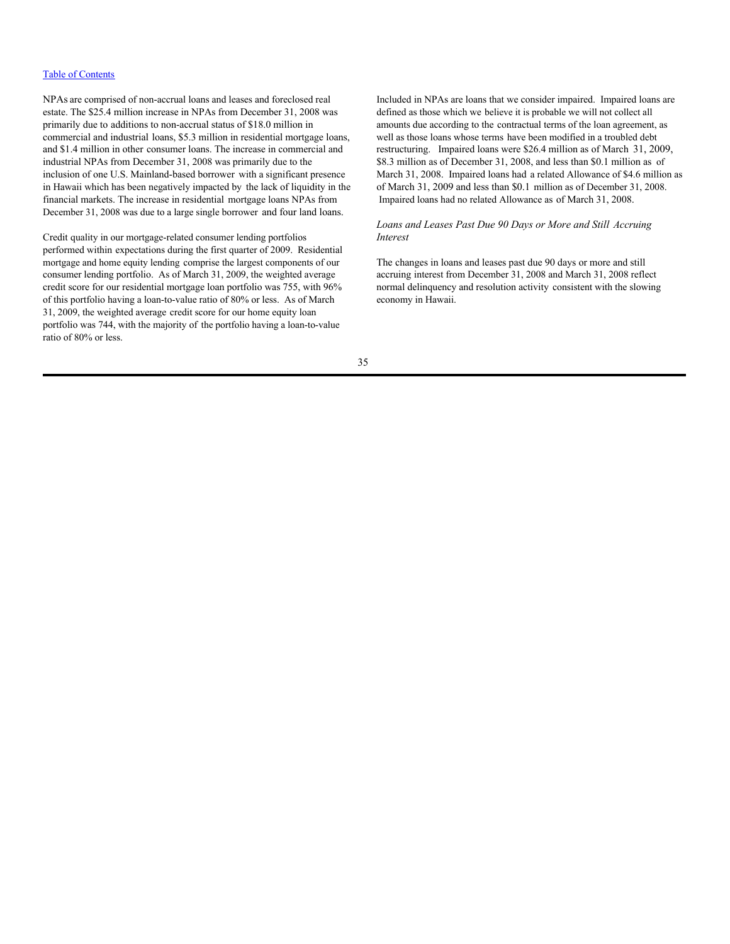NPAs are comprised of non-accrual loans and leases and foreclosed real estate. The \$25.4 million increase in NPAs from December 31, 2008 was primarily due to additions to non-accrual status of \$18.0 million in commercial and industrial loans, \$5.3 million in residential mortgage loans, and \$1.4 million in other consumer loans. The increase in commercial and industrial NPAs from December 31, 2008 was primarily due to the inclusion of one U.S. Mainland-based borrower with a significant presence in Hawaii which has been negatively impacted by the lack of liquidity in the financial markets. The increase in residential mortgage loans NPAs from December 31, 2008 was due to a large single borrower and four land loans.

Credit quality in our mortgage-related consumer lending portfolios performed within expectations during the first quarter of 2009. Residential mortgage and home equity lending comprise the largest components of our consumer lending portfolio. As of March 31, 2009, the weighted average credit score for our residential mortgage loan portfolio was 755, with 96% of this portfolio having a loan-to-value ratio of 80% or less. As of March 31, 2009, the weighted average credit score for our home equity loan portfolio was 744, with the majority of the portfolio having a loan-to-value ratio of 80% or less.

Included in NPAs are loans that we consider impaired. Impaired loans are defined as those which we believe it is probable we will not collect all amounts due according to the contractual terms of the loan agreement, as well as those loans whose terms have been modified in a troubled debt restructuring. Impaired loans were \$26.4 million as of March 31, 2009, \$8.3 million as of December 31, 2008, and less than \$0.1 million as of March 31, 2008. Impaired loans had a related Allowance of \$4.6 million as of March 31, 2009 and less than \$0.1 million as of December 31, 2008. Impaired loans had no related Allowance as of March 31, 2008.

# *Loans and Leases Past Due 90 Days or More and Still Accruing Interest*

The changes in loans and leases past due 90 days or more and still accruing interest from December 31, 2008 and March 31, 2008 reflect normal delinquency and resolution activity consistent with the slowing economy in Hawaii.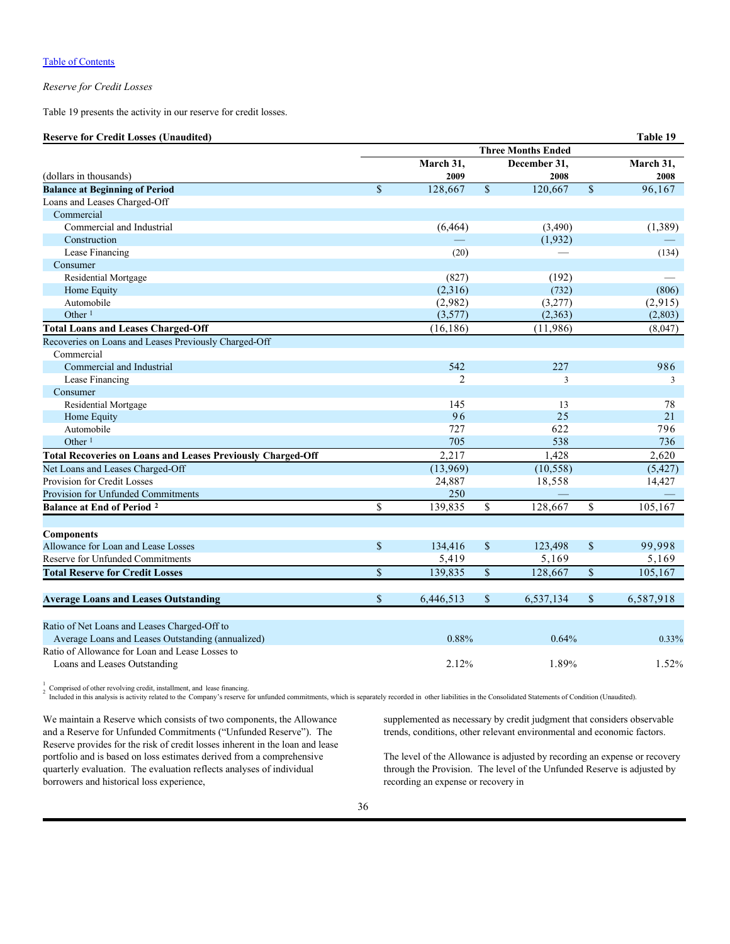# *Reserve for Credit Losses*

Table 19 presents the activity in our reserve for credit losses.

# **Reserve for Credit Losses (Unaudited) Table 19**

|                                                                    |              | March 31,      |              | December 31, |                           | March 31, |
|--------------------------------------------------------------------|--------------|----------------|--------------|--------------|---------------------------|-----------|
| (dollars in thousands)                                             |              | 2009           |              | 2008         |                           | 2008      |
| <b>Balance at Beginning of Period</b>                              | $\mathbb{S}$ | 128,667        | $\mathbb{S}$ | 120,667      | $\mathbf S$               | 96,167    |
| Loans and Leases Charged-Off                                       |              |                |              |              |                           |           |
| Commercial                                                         |              |                |              |              |                           |           |
| Commercial and Industrial                                          |              | (6, 464)       |              | (3,490)      |                           | (1, 389)  |
| Construction                                                       |              |                |              | (1,932)      |                           |           |
| Lease Financing                                                    |              | (20)           |              |              |                           | (134)     |
| Consumer                                                           |              |                |              |              |                           |           |
| Residential Mortgage                                               |              | (827)          |              | (192)        |                           |           |
| Home Equity                                                        |              | (2,316)        |              | (732)        |                           | (806)     |
| Automobile                                                         |              | (2,982)        |              | (3,277)      |                           | (2,915)   |
| Other $1$                                                          |              | (3,577)        |              | (2,363)      |                           | (2,803)   |
| <b>Total Loans and Leases Charged-Off</b>                          |              | (16, 186)      |              | (11,986)     |                           | (8,047)   |
| Recoveries on Loans and Leases Previously Charged-Off              |              |                |              |              |                           |           |
| Commercial                                                         |              |                |              |              |                           |           |
| Commercial and Industrial                                          |              | 542            |              | 227          |                           | 986       |
| Lease Financing                                                    |              | $\overline{2}$ |              | 3            |                           | 3         |
| Consumer                                                           |              |                |              |              |                           |           |
| Residential Mortgage                                               |              | 145            |              | 13           |                           | 78        |
| Home Equity                                                        |              | 96             |              | 25           |                           | 21        |
| Automobile                                                         |              | 727            |              | 622          |                           | 796       |
| Other $1$                                                          |              | 705            |              | 538          |                           | 736       |
| <b>Total Recoveries on Loans and Leases Previously Charged-Off</b> |              | 2,217          |              | 1,428        |                           | 2,620     |
| Net Loans and Leases Charged-Off                                   |              | (13,969)       |              | (10, 558)    |                           | (5, 427)  |
| Provision for Credit Losses                                        |              | 24,887         |              | 18,558       |                           | 14,427    |
| Provision for Unfunded Commitments                                 |              | 250            |              |              |                           |           |
| <b>Balance at End of Period 2</b>                                  | \$           | 139,835        | \$           | 128,667      | \$                        | 105,167   |
|                                                                    |              |                |              |              |                           |           |
| <b>Components</b>                                                  |              |                |              |              |                           |           |
| Allowance for Loan and Lease Losses                                | \$           | 134,416        | $\mathbb S$  | 123,498      | $\boldsymbol{\mathsf{S}}$ | 99,998    |
| Reserve for Unfunded Commitments                                   |              | 5,419          |              | 5,169        |                           | 5,169     |
| <b>Total Reserve for Credit Losses</b>                             | \$           | 139,835        | $\mathbb{S}$ | 128,667      | $\mathbb{S}$              | 105,167   |
|                                                                    |              |                |              |              |                           |           |
| <b>Average Loans and Leases Outstanding</b>                        | \$           | 6,446,513      | \$           | 6,537,134    | $\mathbb{S}$              | 6,587,918 |
| Ratio of Net Loans and Leases Charged-Off to                       |              |                |              |              |                           |           |
| Average Loans and Leases Outstanding (annualized)                  |              | 0.88%          |              | 0.64%        |                           | $0.33\%$  |
| Ratio of Allowance for Loan and Lease Losses to                    |              |                |              |              |                           |           |
| Loans and Leases Outstanding                                       |              | 2.12%          |              | 1.89%        |                           | 1.52%     |
|                                                                    |              |                |              |              |                           |           |

1 2

Comprised of other revolving credit, installment, and lease financing.<br>Included in this analysis is activity related to the Company's reserve for unfunded commitments, which is separately recorded in other liabilities in t

We maintain a Reserve which consists of two components, the Allowance and a Reserve for Unfunded Commitments ("Unfunded Reserve"). The Reserve provides for the risk of credit losses inherent in the loan and lease portfolio and is based on loss estimates derived from a comprehensive quarterly evaluation. The evaluation reflects analyses of individual borrowers and historical loss experience,

supplemented as necessary by credit judgment that considers observable trends, conditions, other relevant environmental and economic factors.

The level of the Allowance is adjusted by recording an expense or recovery through the Provision. The level of the Unfunded Reserve is adjusted by recording an expense or recovery in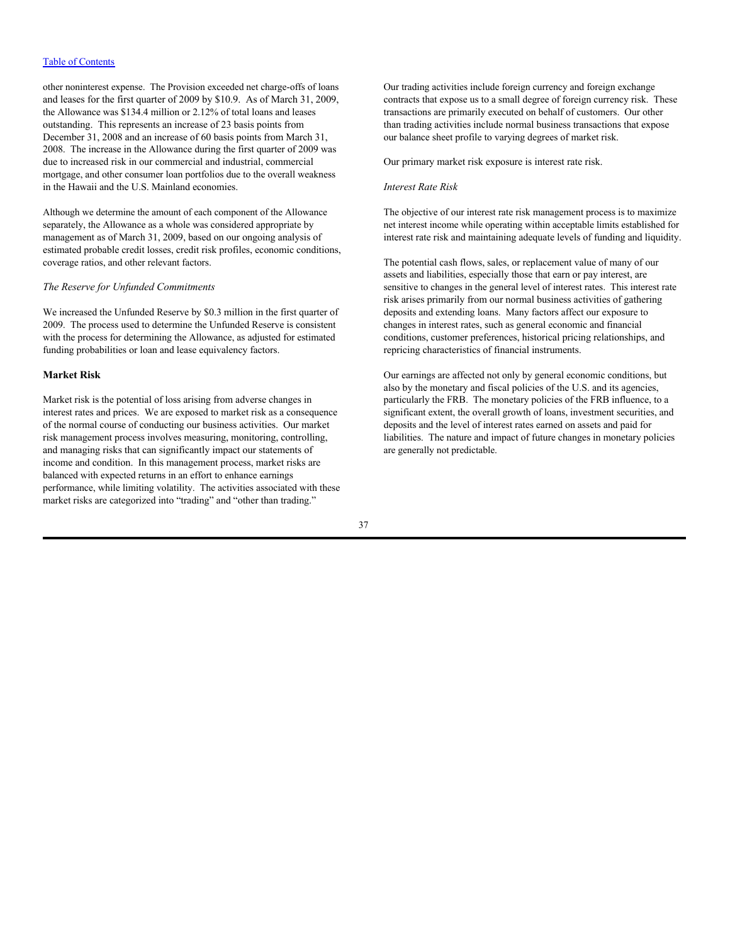other noninterest expense. The Provision exceeded net charge-offs of loans and leases for the first quarter of 2009 by \$10.9. As of March 31, 2009, the Allowance was \$134.4 million or 2.12% of total loans and leases outstanding. This represents an increase of 23 basis points from December 31, 2008 and an increase of 60 basis points from March 31, 2008. The increase in the Allowance during the first quarter of 2009 was due to increased risk in our commercial and industrial, commercial mortgage, and other consumer loan portfolios due to the overall weakness in the Hawaii and the U.S. Mainland economies.

Although we determine the amount of each component of the Allowance separately, the Allowance as a whole was considered appropriate by management as of March 31, 2009, based on our ongoing analysis of estimated probable credit losses, credit risk profiles, economic conditions, coverage ratios, and other relevant factors.

# *The Reserve for Unfunded Commitments*

We increased the Unfunded Reserve by \$0.3 million in the first quarter of 2009. The process used to determine the Unfunded Reserve is consistent with the process for determining the Allowance, as adjusted for estimated funding probabilities or loan and lease equivalency factors.

# **Market Risk**

Market risk is the potential of loss arising from adverse changes in interest rates and prices. We are exposed to market risk as a consequence of the normal course of conducting our business activities. Our market risk management process involves measuring, monitoring, controlling, and managing risks that can significantly impact our statements of income and condition. In this management process, market risks are balanced with expected returns in an effort to enhance earnings performance, while limiting volatility. The activities associated with these market risks are categorized into "trading" and "other than trading."

Our trading activities include foreign currency and foreign exchange contracts that expose us to a small degree of foreign currency risk. These transactions are primarily executed on behalf of customers. Our other than trading activities include normal business transactions that expose our balance sheet profile to varying degrees of market risk.

Our primary market risk exposure is interest rate risk.

# *Interest Rate Risk*

The objective of our interest rate risk management process is to maximize net interest income while operating within acceptable limits established for interest rate risk and maintaining adequate levels of funding and liquidity.

The potential cash flows, sales, or replacement value of many of our assets and liabilities, especially those that earn or pay interest, are sensitive to changes in the general level of interest rates. This interest rate risk arises primarily from our normal business activities of gathering deposits and extending loans. Many factors affect our exposure to changes in interest rates, such as general economic and financial conditions, customer preferences, historical pricing relationships, and repricing characteristics of financial instruments.

Our earnings are affected not only by general economic conditions, but also by the monetary and fiscal policies of the U.S. and its agencies, particularly the FRB. The monetary policies of the FRB influence, to a significant extent, the overall growth of loans, investment securities, and deposits and the level of interest rates earned on assets and paid for liabilities. The nature and impact of future changes in monetary policies are generally not predictable.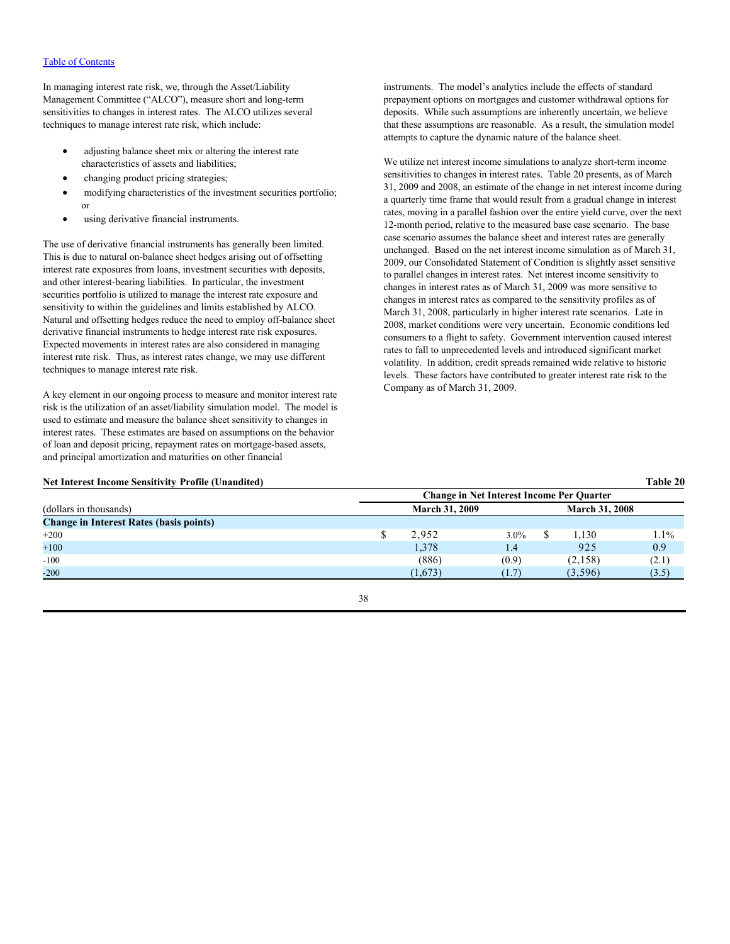In managing interest rate risk, we, through the Asset/Liability Management Committee ("ALCO"), measure short and long-term sensitivities to changes in interest rates. The ALCO utilizes several techniques to manage interest rate risk, which include:

- adjusting balance sheet mix or altering the interest rate characteristics of assets and liabilities;
- changing product pricing strategies;
- modifying characteristics of the investment securities portfolio; or
- · using derivative financial instruments.

The use of derivative financial instruments has generally been limited. This is due to natural on-balance sheet hedges arising out of offsetting interest rate exposures from loans, investment securities with deposits, and other interest-bearing liabilities. In particular, the investment securities portfolio is utilized to manage the interest rate exposure and sensitivity to within the guidelines and limits established by ALCO. Natural and offsetting hedges reduce the need to employ off-balance sheet derivative financial instruments to hedge interest rate risk exposures. Expected movements in interest rates are also considered in managing interest rate risk. Thus, as interest rates change, we may use different techniques to manage interest rate risk.

A key element in our ongoing process to measure and monitor interest rate risk is the utilization of an asset/liability simulation model. The model is used to estimate and measure the balance sheet sensitivity to changes in interest rates. These estimates are based on assumptions on the behavior of loan and deposit pricing, repayment rates on mortgage-based assets, and principal amortization and maturities on other financial

instruments. The model's analytics include the effects of standard prepayment options on mortgages and customer withdrawal options for deposits. While such assumptions are inherently uncertain, we believe that these assumptions are reasonable. As a result, the simulation model attempts to capture the dynamic nature of the balance sheet.

We utilize net interest income simulations to analyze short-term income sensitivities to changes in interest rates. Table 20 presents, as of March 31, 2009 and 2008, an estimate of the change in net interest income during a quarterly time frame that would result from a gradual change in interest rates, moving in a parallel fashion over the entire yield curve, over the next 12-month period, relative to the measured base case scenario. The base case scenario assumes the balance sheet and interest rates are generally unchanged. Based on the net interest income simulation as of March 31, 2009, our Consolidated Statement of Condition is slightly asset sensitive to parallel changes in interest rates. Net interest income sensitivity to changes in interest rates as of March 31, 2009 was more sensitive to changes in interest rates as compared to the sensitivity profiles as of March 31, 2008, particularly in higher interest rate scenarios. Late in 2008, market conditions were very uncertain. Economic conditions led consumers to a flight to safety. Government intervention caused interest rates to fall to unprecedented levels and introduced significant market volatility. In addition, credit spreads remained wide relative to historic levels. These factors have contributed to greater interest rate risk to the Company as of March 31, 2009.

# **Net Interest Income Sensitivity Profile (Unaudited) Table 20**

|                                                | <b>Change in Net Interest Income Per Quarter</b> |                       |         |                       |         |       |  |  |  |  |
|------------------------------------------------|--------------------------------------------------|-----------------------|---------|-----------------------|---------|-------|--|--|--|--|
| (dollars in thousands)                         |                                                  | <b>March 31, 2009</b> |         | <b>March 31, 2008</b> |         |       |  |  |  |  |
| <b>Change in Interest Rates (basis points)</b> |                                                  |                       |         |                       |         |       |  |  |  |  |
| $+200$                                         | D                                                | 2.952                 | $3.0\%$ |                       | 1.130   | 1.1%  |  |  |  |  |
| $+100$                                         |                                                  | 1,378                 | 1.4     |                       | 925     | 0.9   |  |  |  |  |
| $-100$                                         |                                                  | (886)                 | (0.9)   |                       | (2,158) | (2.1) |  |  |  |  |
| $-200$                                         |                                                  | (1,673)               | (1.7)   |                       | (3,596) | (3.5) |  |  |  |  |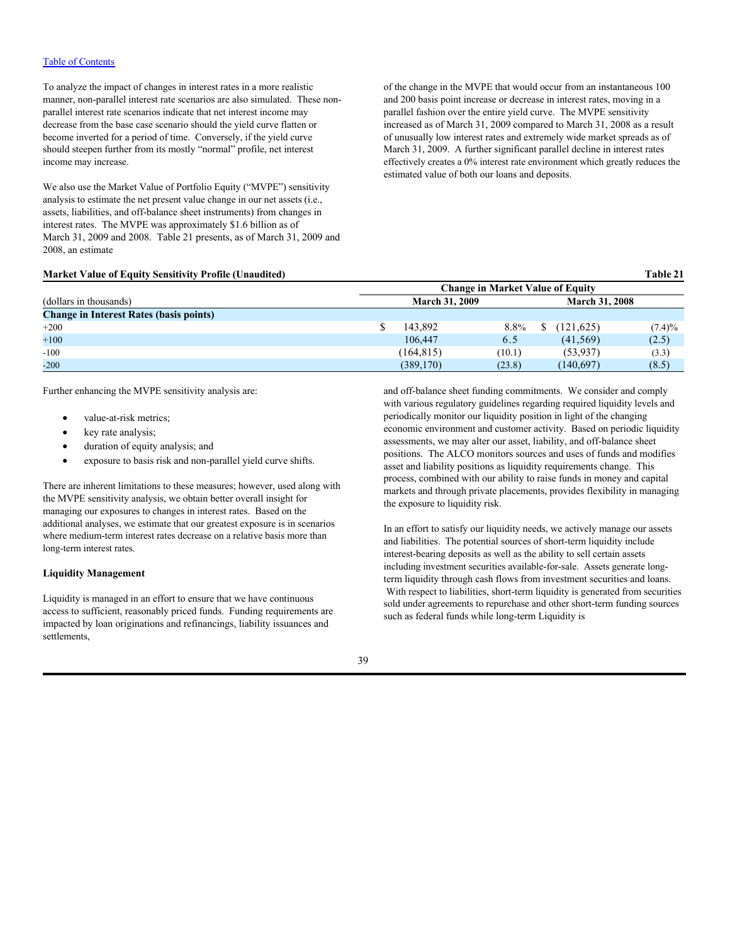To analyze the impact of changes in interest rates in a more realistic manner, non-parallel interest rate scenarios are also simulated. These nonparallel interest rate scenarios indicate that net interest income may decrease from the base case scenario should the yield curve flatten or become inverted for a period of time. Conversely, if the yield curve should steepen further from its mostly "normal" profile, net interest income may increase.

We also use the Market Value of Portfolio Equity ("MVPE") sensitivity analysis to estimate the net present value change in our net assets (i.e., assets, liabilities, and off-balance sheet instruments) from changes in interest rates. The MVPE was approximately \$1.6 billion as of March 31, 2009 and 2008. Table 21 presents, as of March 31, 2009 and 2008, an estimate

of the change in the MVPE that would occur from an instantaneous 100 and 200 basis point increase or decrease in interest rates, moving in a parallel fashion over the entire yield curve. The MVPE sensitivity increased as of March 31, 2009 compared to March 31, 2008 as a result of unusually low interest rates and extremely wide market spreads as of March 31, 2009. A further significant parallel decline in interest rates effectively creates a 0% interest rate environment which greatly reduces the estimated value of both our loans and deposits.

# **Market Value of Equity Sensitivity Profile (Unaudited) Table 21**

**Change in Market Value of Equity** (dollars in thousands) **March 31, 2009 March 31, 2008 Change in Interest Rates (basis points)**  $+200$  8.8% \$ (121,625) (7.4)%  $+100$   $106,447$   $6.5$   $(41,569)$   $(2.5)$ 

Further enhancing the MVPE sensitivity analysis are:

- value-at-risk metrics;
- key rate analysis;
- duration of equity analysis; and
- exposure to basis risk and non-parallel yield curve shifts.

There are inherent limitations to these measures; however, used along with the MVPE sensitivity analysis, we obtain better overall insight for managing our exposures to changes in interest rates. Based on the additional analyses, we estimate that our greatest exposure is in scenarios where medium-term interest rates decrease on a relative basis more than long-term interest rates.

### **Liquidity Management**

Liquidity is managed in an effort to ensure that we have continuous access to sufficient, reasonably priced funds. Funding requirements are impacted by loan originations and refinancings, liability issuances and settlements,

and off-balance sheet funding commitments. We consider and comply with various regulatory guidelines regarding required liquidity levels and periodically monitor our liquidity position in light of the changing economic environment and customer activity. Based on periodic liquidity assessments, we may alter our asset, liability, and off-balance sheet positions. The ALCO monitors sources and uses of funds and modifies asset and liability positions as liquidity requirements change. This process, combined with our ability to raise funds in money and capital markets and through private placements, provides flexibility in managing the exposure to liquidity risk.

In an effort to satisfy our liquidity needs, we actively manage our assets and liabilities. The potential sources of short-term liquidity include interest-bearing deposits as well as the ability to sell certain assets including investment securities available-for-sale. Assets generate longterm liquidity through cash flows from investment securities and loans. With respect to liabilities, short-term liquidity is generated from securities sold under agreements to repurchase and other short-term funding sources such as federal funds while long-term Liquidity is

 $(164,815)$   $(10.1)$   $(53,937)$   $(3.3)$ -200 (389,170) (23.8) (140,697) (8.5)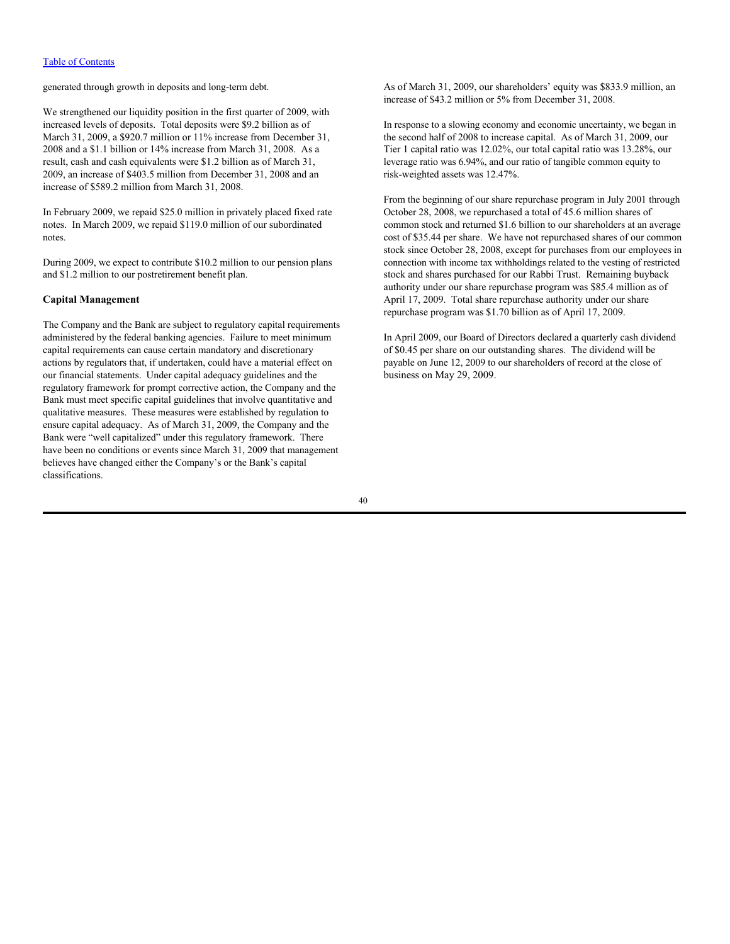generated through growth in deposits and long-term debt.

We strengthened our liquidity position in the first quarter of 2009, with increased levels of deposits. Total deposits were \$9.2 billion as of March 31, 2009, a \$920.7 million or 11% increase from December 31, 2008 and a \$1.1 billion or 14% increase from March 31, 2008. As a result, cash and cash equivalents were \$1.2 billion as of March 31, 2009, an increase of \$403.5 million from December 31, 2008 and an increase of \$589.2 million from March 31, 2008.

In February 2009, we repaid \$25.0 million in privately placed fixed rate notes. In March 2009, we repaid \$119.0 million of our subordinated notes.

During 2009, we expect to contribute \$10.2 million to our pension plans and \$1.2 million to our postretirement benefit plan.

# **Capital Management**

The Company and the Bank are subject to regulatory capital requirements administered by the federal banking agencies. Failure to meet minimum capital requirements can cause certain mandatory and discretionary actions by regulators that, if undertaken, could have a material effect on our financial statements. Under capital adequacy guidelines and the regulatory framework for prompt corrective action, the Company and the Bank must meet specific capital guidelines that involve quantitative and qualitative measures. These measures were established by regulation to ensure capital adequacy. As of March 31, 2009, the Company and the Bank were "well capitalized" under this regulatory framework. There have been no conditions or events since March 31, 2009 that management believes have changed either the Company's or the Bank's capital classifications.

As of March 31, 2009, our shareholders' equity was \$833.9 million, an increase of \$43.2 million or 5% from December 31, 2008.

In response to a slowing economy and economic uncertainty, we began in the second half of 2008 to increase capital. As of March 31, 2009, our Tier 1 capital ratio was 12.02%, our total capital ratio was 13.28%, our leverage ratio was 6.94%, and our ratio of tangible common equity to risk-weighted assets was 12.47%.

From the beginning of our share repurchase program in July 2001 through October 28, 2008, we repurchased a total of 45.6 million shares of common stock and returned \$1.6 billion to our shareholders at an average cost of \$35.44 per share. We have not repurchased shares of our common stock since October 28, 2008, except for purchases from our employees in connection with income tax withholdings related to the vesting of restricted stock and shares purchased for our Rabbi Trust. Remaining buyback authority under our share repurchase program was \$85.4 million as of April 17, 2009. Total share repurchase authority under our share repurchase program was \$1.70 billion as of April 17, 2009.

In April 2009, our Board of Directors declared a quarterly cash dividend of \$0.45 per share on our outstanding shares. The dividend will be payable on June 12, 2009 to our shareholders of record at the close of business on May 29, 2009.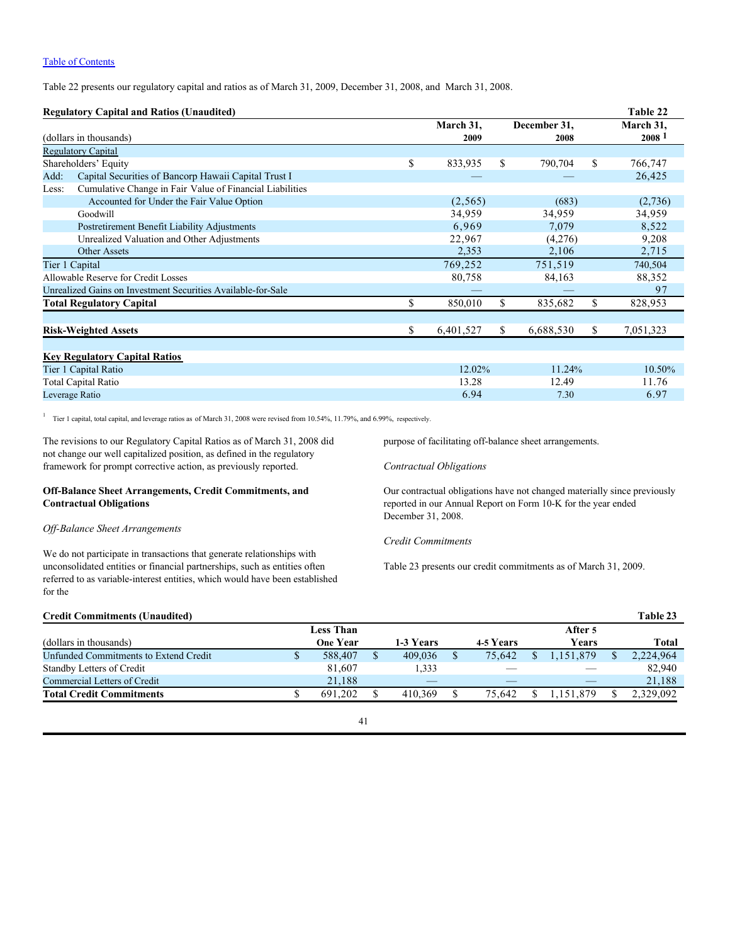Table 22 presents our regulatory capital and ratios as of March 31, 2009, December 31, 2008, and March 31, 2008.

# **Regulatory Capital and Ratios (Unaudited) Table 22**

|       | Regulatory Capital and Ratios (Unaudited)                    |                 |   |              |               | 1 avie 22         |
|-------|--------------------------------------------------------------|-----------------|---|--------------|---------------|-------------------|
|       |                                                              | March 31,       |   | December 31, |               | March 31,         |
|       | (dollars in thousands)                                       | 2009            |   | 2008         |               | 2008 <sup>1</sup> |
|       | <b>Regulatory Capital</b>                                    |                 |   |              |               |                   |
|       | Shareholders' Equity                                         | \$<br>833,935   | S | 790,704      | S.            | 766,747           |
| Add:  | Capital Securities of Bancorp Hawaii Capital Trust I         |                 |   |              |               | 26,425            |
| Less: | Cumulative Change in Fair Value of Financial Liabilities     |                 |   |              |               |                   |
|       | Accounted for Under the Fair Value Option                    | (2, 565)        |   | (683)        |               | (2,736)           |
|       | Goodwill                                                     | 34,959          |   | 34,959       |               | 34,959            |
|       | Postretirement Benefit Liability Adjustments                 | 6,969           |   | 7,079        |               | 8,522             |
|       | Unrealized Valuation and Other Adjustments                   | 22,967          |   | (4,276)      |               | 9,208             |
|       | Other Assets                                                 | 2,353           |   | 2,106        |               | 2,715             |
|       | Tier 1 Capital                                               | 769,252         |   | 751,519      |               | 740,504           |
|       | Allowable Reserve for Credit Losses                          | 80,758          |   | 84,163       |               | 88,352            |
|       | Unrealized Gains on Investment Securities Available-for-Sale |                 |   |              |               | 97                |
|       | <b>Total Regulatory Capital</b>                              | \$<br>850,010   | S | 835,682      | \$            | 828,953           |
|       |                                                              |                 |   |              |               |                   |
|       | <b>Risk-Weighted Assets</b>                                  | \$<br>6,401,527 | S | 6,688,530    | <sup>\$</sup> | 7,051,323         |
|       |                                                              |                 |   |              |               |                   |
|       | <b>Key Regulatory Capital Ratios</b>                         |                 |   |              |               |                   |
|       | Tier 1 Capital Ratio                                         | 12.02%          |   | 11.24%       |               | 10.50%            |
|       | <b>Total Capital Ratio</b>                                   | 13.28           |   | 12.49        |               | 11.76             |
|       | Leverage Ratio                                               | 6.94            |   | 7.30         |               | 6.97              |
|       |                                                              |                 |   |              |               |                   |

Tier 1 capital, total capital, and leverage ratios as of March 31, 2008 were revised from 10.54%, 11.79%, and 6.99%, respectively.

The revisions to our Regulatory Capital Ratios as of March 31, 2008 did not change our well capitalized position, as defined in the regulatory framework for prompt corrective action, as previously reported.

# **Off-Balance Sheet Arrangements, Credit Commitments, and Contractual Obligations**

### *Off-Balance Sheet Arrangements*

We do not participate in transactions that generate relationships with unconsolidated entities or financial partnerships, such as entities often referred to as variable-interest entities, which would have been established for the

purpose of facilitating off-balance sheet arrangements.

*Contractual Obligations*

Our contractual obligations have not changed materially since previously reported in our Annual Report on Form 10-K for the year ended December 31, 2008.

# *Credit Commitments*

Table 23 presents our credit commitments as of March 31, 2009.

| <b>Credit Commitments (Unaudited)</b> |                  |           |           |           | Table 23  |
|---------------------------------------|------------------|-----------|-----------|-----------|-----------|
|                                       | <b>Less Than</b> |           |           | After 5   |           |
| (dollars in thousands)                | <b>One Year</b>  | 1-3 Years | 4-5 Years | Years     | Total     |
| Unfunded Commitments to Extend Credit | 588,407          | 409,036   | 75.642    | 1.151.879 | 2.224.964 |
| Standby Letters of Credit             | 81,607           | 1,333     |           |           | 82,940    |
| Commercial Letters of Credit          | 21.188           | __        |           |           | 21,188    |
| <b>Total Credit Commitments</b>       | 691.202          | 410.369   | 75.642    | 1.151.879 | 2.329.092 |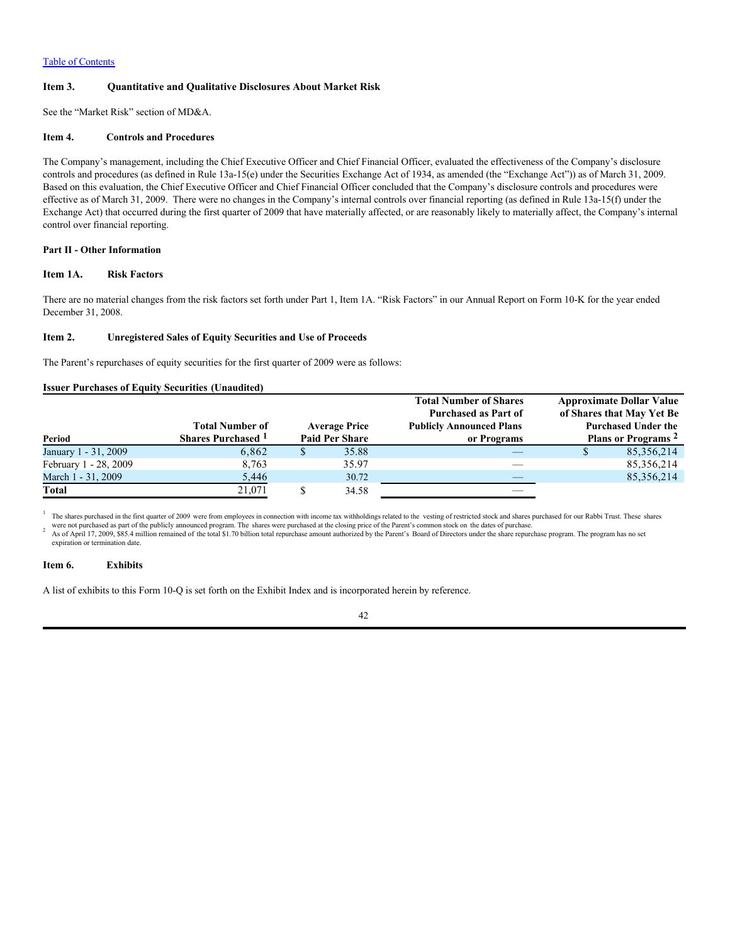# <span id="page-43-0"></span>**Item 3. Quantitative and Qualitative Disclosures About Market Risk**

See the "Market Risk" section of MD&A.

# **Item 4. Controls and Procedures**

The Company's management, including the Chief Executive Officer and Chief Financial Officer, evaluated the effectiveness of the Company's disclosure controls and procedures (as defined in Rule 13a-15(e) under the Securities Exchange Act of 1934, as amended (the "Exchange Act")) as of March 31, 2009. Based on this evaluation, the Chief Executive Officer and Chief Financial Officer concluded that the Company's disclosure controls and procedures were effective as of March 31, 2009. There were no changes in the Company's internal controls over financial reporting (as defined in Rule 13a-15(f) under the Exchange Act) that occurred during the first quarter of 2009 that have materially affected, or are reasonably likely to materially affect, the Company's internal control over financial reporting.

# **Part II - Other Information**

# **Item 1A. Risk Factors**

There are no material changes from the risk factors set forth under Part 1, Item 1A. "Risk Factors" in our Annual Report on Form 10-K for the year ended December 31, 2008.

# **Item 2. Unregistered Sales of Equity Securities and Use of Proceeds**

The Parent's repurchases of equity securities for the first quarter of 2009 were as follows:

# **Issuer Purchases of Equity Securities (Unaudited)**

|                       |                        |                       | <b>Total Number of Shares</b>   |   | <b>Approximate Dollar Value</b> |  |
|-----------------------|------------------------|-----------------------|---------------------------------|---|---------------------------------|--|
|                       |                        |                       | <b>Purchased as Part of</b>     |   | of Shares that May Yet Be       |  |
|                       | <b>Total Number of</b> | <b>Average Price</b>  | <b>Publicly Announced Plans</b> |   | <b>Purchased Under the</b>      |  |
| Period                | Shares Purchased 1     | <b>Paid Per Share</b> | or Programs                     |   | <b>Plans or Programs</b> 2      |  |
| January 1 - 31, 2009  | 6,862                  | \$<br>35.88           |                                 | S | 85, 356, 214                    |  |
| February 1 - 28, 2009 | 8.763                  | 35.97                 |                                 |   | 85, 356, 214                    |  |
| March 1 - 31, 2009    | 5,446                  | 30.72                 |                                 |   | 85, 356, 214                    |  |
| <b>Total</b>          | 21.071                 | 34.58                 |                                 |   |                                 |  |

The shares purchased in the first quarter of 2009 were from employees in connection with income tax withholdings related to the vesting of restricted stock and shares purchased for our Rabbi Trust. These shares were not purchased as part of the publicly announced program. The shares were purchased at the closing price of the Parent's common stock on the dates of purchase. 1

As of April 17, 2009, \$85.4 million remained of the total \$1.70 billion total repurchase amount authorized by the Parent's Board of Directors under the share repurchase program. The program has no set expiration or termination date.

### **Item 6. Exhibits**

A list of exhibits to this Form 10-Q is set forth on the Exhibit Index and is incorporated herein by reference.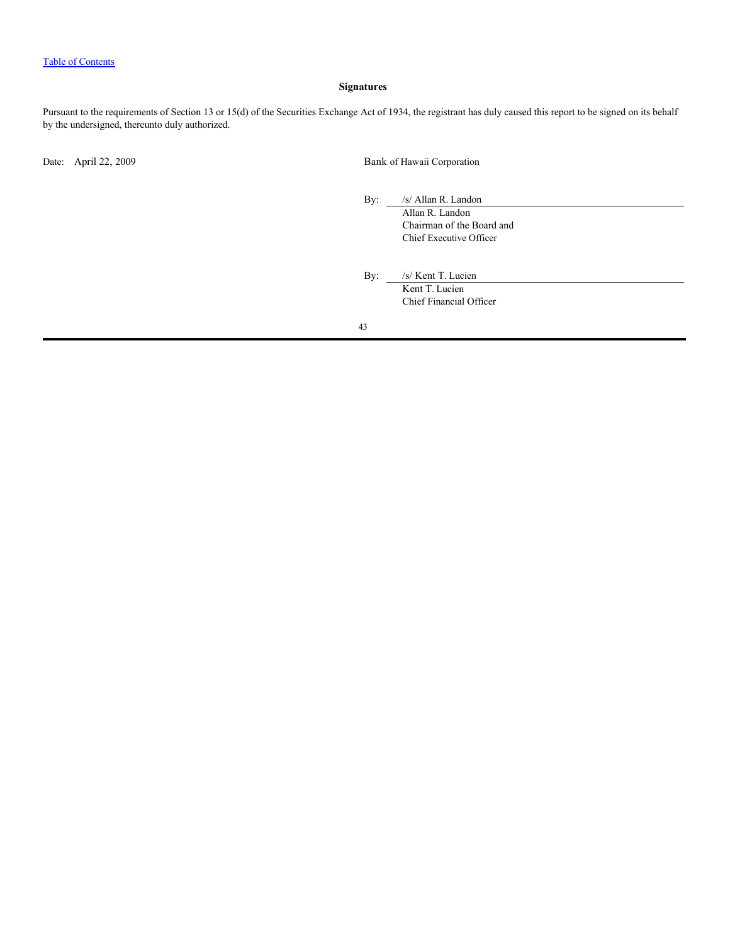# **Signatures**

<span id="page-44-0"></span>Pursuant to the requirements of Section 13 or 15(d) of the Securities Exchange Act of 1934, the registrant has duly caused this report to be signed on its behalf by the undersigned, thereunto duly authorized.

Date: April 22, 2009 Bank of Hawaii Corporation

By: /s/ Allan R. Landon

 Allan R. Landon Chairman of the Board and Chief Executive Officer

By: /s/ Kent T. Lucien

 Kent T. Lucien Chief Financial Officer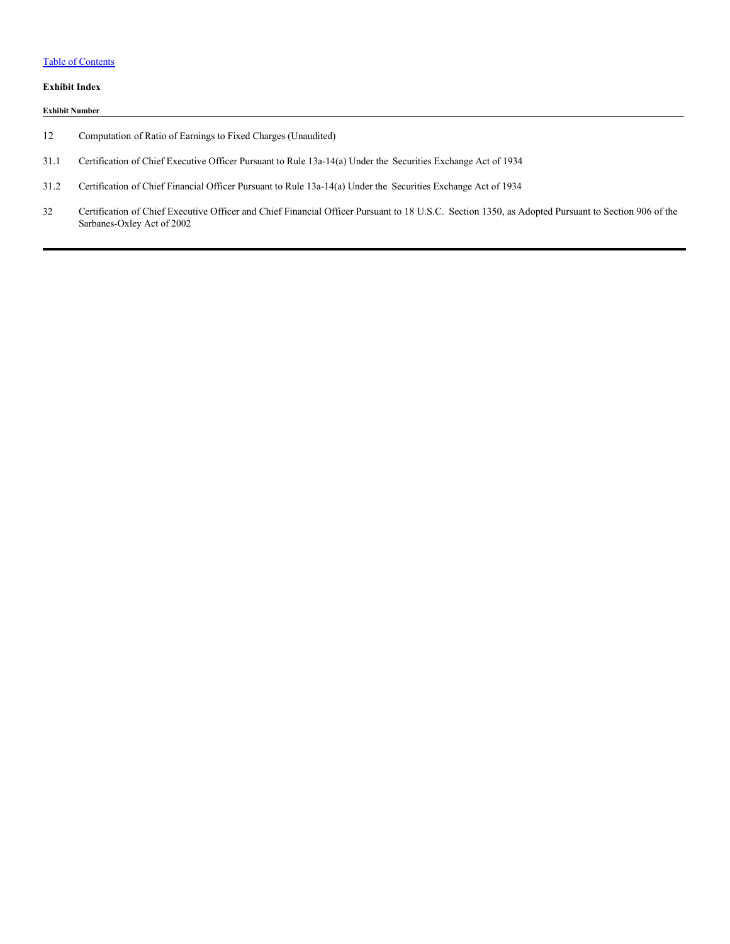# **Exhibit Index**

# **Exhibit Number**

- 12 Computation of Ratio of Earnings to Fixed Charges (Unaudited)
- 31.1 Certification of Chief Executive Officer Pursuant to Rule 13a-14(a) Under the Securities Exchange Act of 1934
- 31.2 Certification of Chief Financial Officer Pursuant to Rule 13a-14(a) Under the Securities Exchange Act of 1934
- 32 Certification of Chief Executive Officer and Chief Financial Officer Pursuant to 18 U.S.C. Section 1350, as Adopted Pursuant to Section 906 of the Sarbanes-Oxley Act of 2002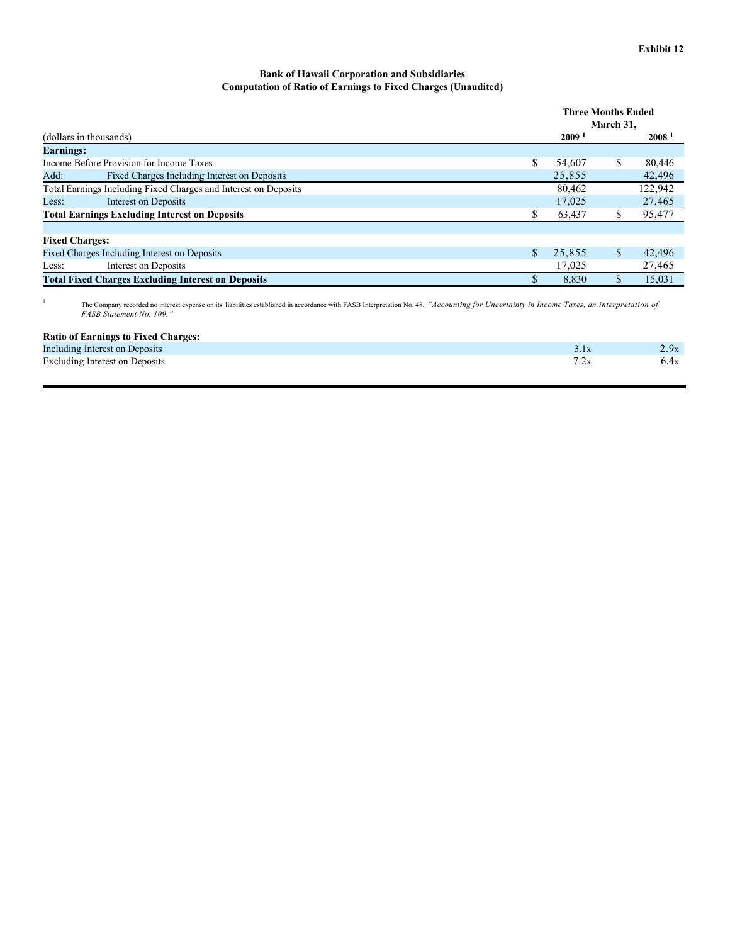# **Bank of Hawaii Corporation and Subsidiaries Computation of Ratio of Earnings to Fixed Charges (Unaudited)**

|                                                      |                                                                 |              | <b>Three Months Ended</b> |           |                   |
|------------------------------------------------------|-----------------------------------------------------------------|--------------|---------------------------|-----------|-------------------|
|                                                      |                                                                 |              |                           | March 31, |                   |
| (dollars in thousands)                               |                                                                 |              | 2009 <sup>1</sup>         |           | 2008 <sup>1</sup> |
| <b>Earnings:</b>                                     |                                                                 |              |                           |           |                   |
| Income Before Provision for Income Taxes             |                                                                 | \$           | 54,607                    |           | 80,446            |
| Add:                                                 | Fixed Charges Including Interest on Deposits                    |              | 25,855                    |           | 42,496            |
|                                                      | Total Earnings Including Fixed Charges and Interest on Deposits |              | 80,462                    |           | 122.942           |
| Interest on Deposits<br>Less:                        |                                                                 |              | 17,025                    |           | 27,465            |
| <b>Total Earnings Excluding Interest on Deposits</b> |                                                                 |              | 63,437                    |           | 95,477            |
|                                                      |                                                                 |              |                           |           |                   |
| <b>Fixed Charges:</b>                                |                                                                 |              |                           |           |                   |
| Fixed Charges Including Interest on Deposits         |                                                                 | $\mathbb{S}$ | 25,855                    |           | 42,496            |
| Interest on Deposits<br>Less:                        |                                                                 |              | 17.025                    |           | 27,465            |
|                                                      | <b>Total Fixed Charges Excluding Interest on Deposits</b>       |              |                           |           | 15,031            |
|                                                      |                                                                 |              |                           |           |                   |

The Company recorded no interest expense on its liabilities established in accordance with FASB Interpretation No. 48, *"Accounting for Uncertainty in Income Taxes, an interpretation of FASB Statement No. 109."* 1

# **Ratio of Earnings to Fixed Charges:**

| Including Interest on Deposits | Uv.<br>$\sim \sim$ |
|--------------------------------|--------------------|
| Excluding Interest on Deposits |                    |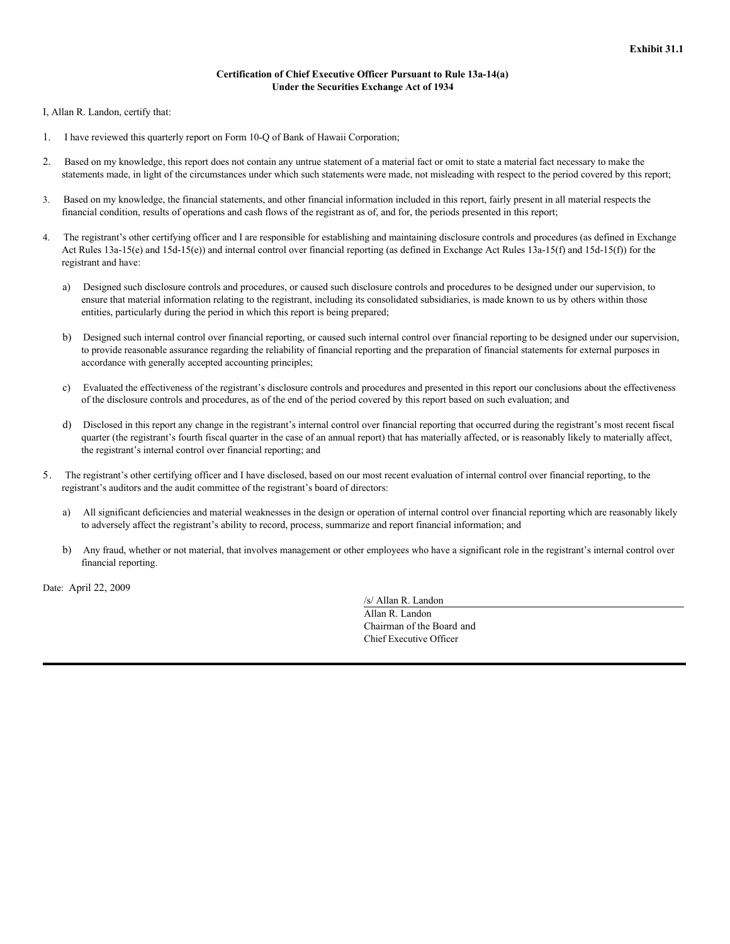# **Certification of Chief Executive Officer Pursuant to Rule 13a-14(a) Under the Securities Exchange Act of 1934**

I, Allan R. Landon, certify that:

- 1. I have reviewed this quarterly report on Form 10-Q of Bank of Hawaii Corporation;
- 2. Based on my knowledge, this report does not contain any untrue statement of a material fact or omit to state a material fact necessary to make the statements made, in light of the circumstances under which such statements were made, not misleading with respect to the period covered by this report;
- 3. Based on my knowledge, the financial statements, and other financial information included in this report, fairly present in all material respects the financial condition, results of operations and cash flows of the registrant as of, and for, the periods presented in this report;
- 4. The registrant's other certifying officer and I are responsible for establishing and maintaining disclosure controls and procedures (as defined in Exchange Act Rules 13a-15(e) and 15d-15(e)) and internal control over financial reporting (as defined in Exchange Act Rules 13a-15(f) and 15d-15(f)) for the registrant and have:
	- a) Designed such disclosure controls and procedures, or caused such disclosure controls and procedures to be designed under our supervision, to ensure that material information relating to the registrant, including its consolidated subsidiaries, is made known to us by others within those entities, particularly during the period in which this report is being prepared;
	- b) Designed such internal control over financial reporting, or caused such internal control over financial reporting to be designed under our supervision, to provide reasonable assurance regarding the reliability of financial reporting and the preparation of financial statements for external purposes in accordance with generally accepted accounting principles;
	- c) Evaluated the effectiveness of the registrant's disclosure controls and procedures and presented in this report our conclusions about the effectiveness of the disclosure controls and procedures, as of the end of the period covered by this report based on such evaluation; and
	- d) Disclosed in this report any change in the registrant's internal control over financial reporting that occurred during the registrant's most recent fiscal quarter (the registrant's fourth fiscal quarter in the case of an annual report) that has materially affected, or is reasonably likely to materially affect, the registrant's internal control over financial reporting; and
- 5. The registrant's other certifying officer and I have disclosed, based on our most recent evaluation of internal control over financial reporting, to the registrant's auditors and the audit committee of the registrant's board of directors:
	- All significant deficiencies and material weaknesses in the design or operation of internal control over financial reporting which are reasonably likely to adversely affect the registrant's ability to record, process, summarize and report financial information; and
	- b) Any fraud, whether or not material, that involves management or other employees who have a significant role in the registrant's internal control over financial reporting.

Date: April 22, 2009

/s/ Allan R. Landon

Allan R. Landon Chairman of the Board and Chief Executive Officer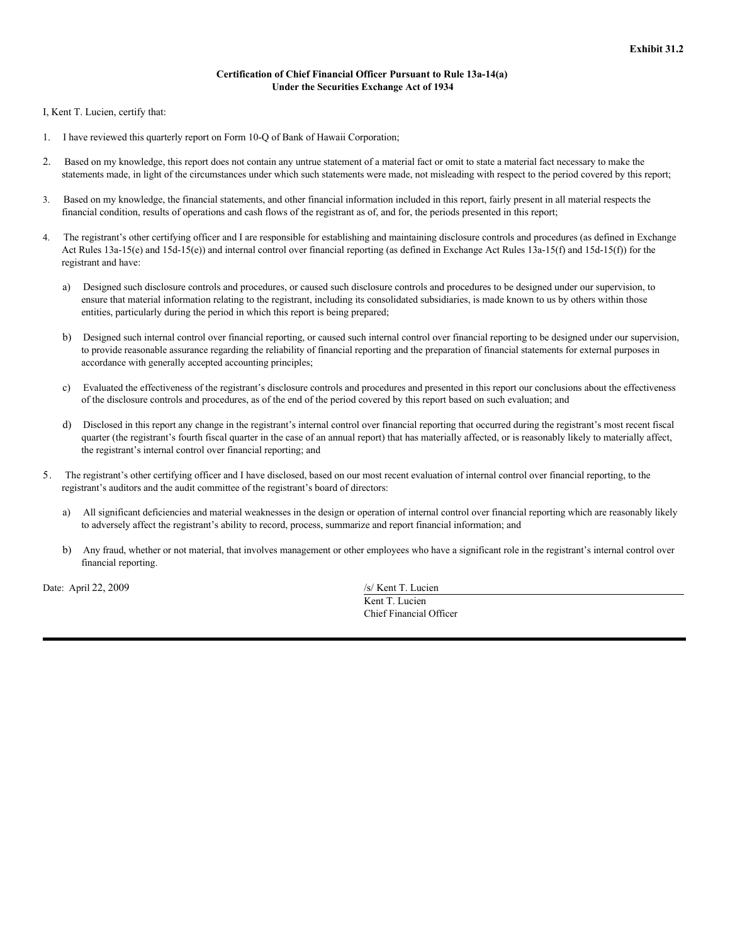# **Certification of Chief Financial Officer Pursuant to Rule 13a-14(a) Under the Securities Exchange Act of 1934**

I, Kent T. Lucien, certify that:

- 1. I have reviewed this quarterly report on Form 10-Q of Bank of Hawaii Corporation;
- 2. Based on my knowledge, this report does not contain any untrue statement of a material fact or omit to state a material fact necessary to make the statements made, in light of the circumstances under which such statements were made, not misleading with respect to the period covered by this report;
- 3. Based on my knowledge, the financial statements, and other financial information included in this report, fairly present in all material respects the financial condition, results of operations and cash flows of the registrant as of, and for, the periods presented in this report;
- 4. The registrant's other certifying officer and I are responsible for establishing and maintaining disclosure controls and procedures (as defined in Exchange Act Rules 13a-15(e) and 15d-15(e)) and internal control over financial reporting (as defined in Exchange Act Rules 13a-15(f) and 15d-15(f)) for the registrant and have:
	- a) Designed such disclosure controls and procedures, or caused such disclosure controls and procedures to be designed under our supervision, to ensure that material information relating to the registrant, including its consolidated subsidiaries, is made known to us by others within those entities, particularly during the period in which this report is being prepared;
	- b) Designed such internal control over financial reporting, or caused such internal control over financial reporting to be designed under our supervision, to provide reasonable assurance regarding the reliability of financial reporting and the preparation of financial statements for external purposes in accordance with generally accepted accounting principles;
	- c) Evaluated the effectiveness of the registrant's disclosure controls and procedures and presented in this report our conclusions about the effectiveness of the disclosure controls and procedures, as of the end of the period covered by this report based on such evaluation; and
	- d) Disclosed in this report any change in the registrant's internal control over financial reporting that occurred during the registrant's most recent fiscal quarter (the registrant's fourth fiscal quarter in the case of an annual report) that has materially affected, or is reasonably likely to materially affect, the registrant's internal control over financial reporting; and
- 5. The registrant's other certifying officer and I have disclosed, based on our most recent evaluation of internal control over financial reporting, to the registrant's auditors and the audit committee of the registrant's board of directors:
	- All significant deficiencies and material weaknesses in the design or operation of internal control over financial reporting which are reasonably likely to adversely affect the registrant's ability to record, process, summarize and report financial information; and
	- b) Any fraud, whether or not material, that involves management or other employees who have a significant role in the registrant's internal control over financial reporting.

Date: April 22, 2009 /s/ Kent T. Lucien

Kent T. Lucien Chief Financial Officer